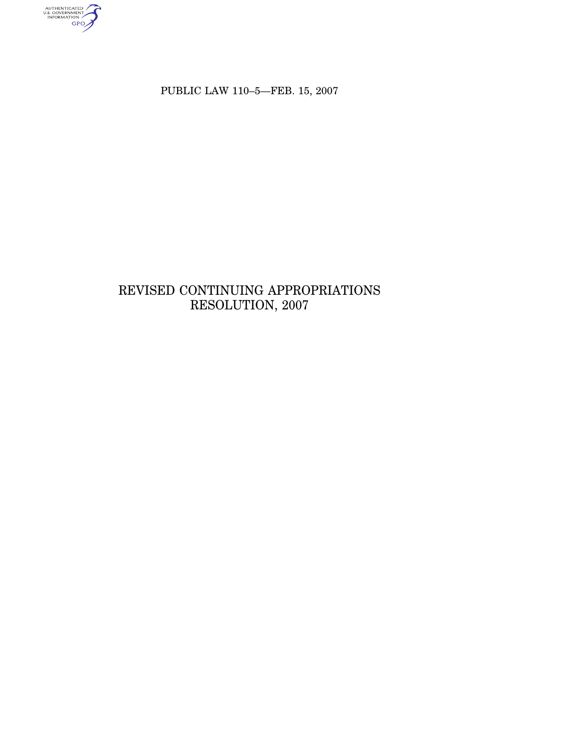authenticated<br>u.s. government<br>information<br>GPO

PUBLIC LAW 110–5—FEB. 15, 2007

# REVISED CONTINUING APPROPRIATIONS RESOLUTION, 2007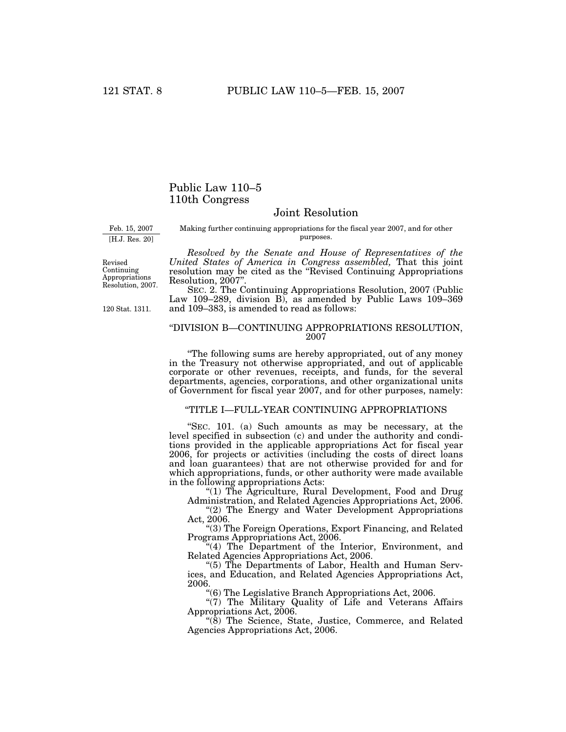# Public Law 110–5 110th Congress

# Joint Resolution Making further continuing appropriations for the fiscal year 2007, and for other

purposes.

Feb. 15, 2007 [H.J. Res. 20]

> *Resolved by the Senate and House of Representatives of the United States of America in Congress assembled,* That this joint resolution may be cited as the ''Revised Continuing Appropriations Resolution, 2007''.

SEC. 2. The Continuing Appropriations Resolution, 2007 (Public Law 109–289, division B), as amended by Public Laws 109–369 and 109–383, is amended to read as follows:

#### ''DIVISION B—CONTINUING APPROPRIATIONS RESOLUTION, 2007

''The following sums are hereby appropriated, out of any money in the Treasury not otherwise appropriated, and out of applicable corporate or other revenues, receipts, and funds, for the several departments, agencies, corporations, and other organizational units of Government for fiscal year 2007, and for other purposes, namely:

#### ''TITLE I—FULL-YEAR CONTINUING APPROPRIATIONS

''SEC. 101. (a) Such amounts as may be necessary, at the level specified in subsection (c) and under the authority and conditions provided in the applicable appropriations Act for fiscal year 2006, for projects or activities (including the costs of direct loans and loan guarantees) that are not otherwise provided for and for which appropriations, funds, or other authority were made available in the following appropriations Acts:

"(1) The Agriculture, Rural Development, Food and Drug Administration, and Related Agencies Appropriations Act, 2006.

"(2) The Energy and Water Development Appropriations" Act, 2006.

''(3) The Foreign Operations, Export Financing, and Related Programs Appropriations Act, 2006.

"(4) The Department of the Interior, Environment, and Related Agencies Appropriations Act, 2006.

''(5) The Departments of Labor, Health and Human Services, and Education, and Related Agencies Appropriations Act, 2006.

''(6) The Legislative Branch Appropriations Act, 2006.

"(7) The Military Quality of Life and Veterans Affairs Appropriations Act, 2006.

''(8) The Science, State, Justice, Commerce, and Related Agencies Appropriations Act, 2006.

Revised Continuing Appropriations Resolution, 2007.

120 Stat. 1311.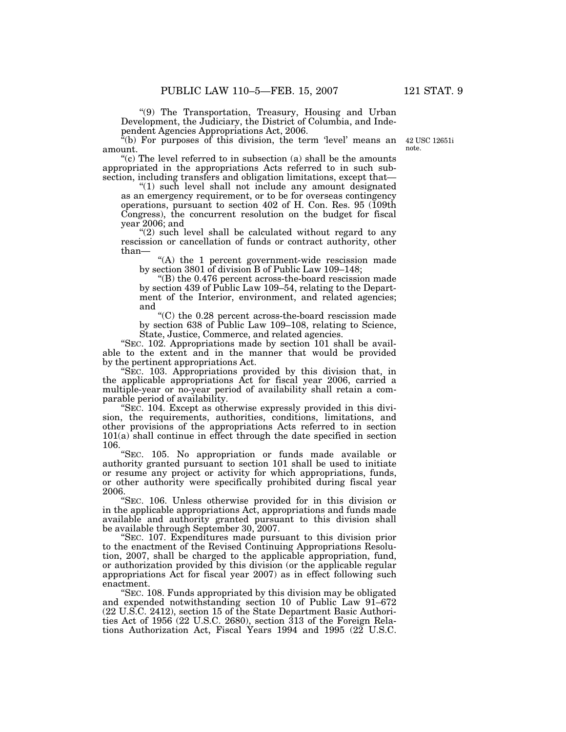''(9) The Transportation, Treasury, Housing and Urban Development, the Judiciary, the District of Columbia, and Independent Agencies Appropriations Act, 2006.

"(b) For purposes of this division, the term 'level' means an amount.

 $C$ ) The level referred to in subsection (a) shall be the amounts appropriated in the appropriations Acts referred to in such subsection, including transfers and obligation limitations, except that—

"(1) such level shall not include any amount designated as an emergency requirement, or to be for overseas contingency operations, pursuant to section 402 of H. Con. Res. 95 (109th Congress), the concurrent resolution on the budget for fiscal year 2006; and

" $(2)$  such level shall be calculated without regard to any rescission or cancellation of funds or contract authority, other than—

 $(A)$  the 1 percent government-wide rescission made by section 3801 of division B of Public Law 109–148;

''(B) the 0.476 percent across-the-board rescission made by section 439 of Public Law 109–54, relating to the Department of the Interior, environment, and related agencies; and

''(C) the 0.28 percent across-the-board rescission made by section 638 of Public Law 109–108, relating to Science, State, Justice, Commerce, and related agencies.

''SEC. 102. Appropriations made by section 101 shall be available to the extent and in the manner that would be provided by the pertinent appropriations Act.

''SEC. 103. Appropriations provided by this division that, in the applicable appropriations Act for fiscal year 2006, carried a multiple-year or no-year period of availability shall retain a comparable period of availability.

''SEC. 104. Except as otherwise expressly provided in this division, the requirements, authorities, conditions, limitations, and other provisions of the appropriations Acts referred to in section  $101(a)$  shall continue in effect through the date specified in section 106.

''SEC. 105. No appropriation or funds made available or authority granted pursuant to section 101 shall be used to initiate or resume any project or activity for which appropriations, funds, or other authority were specifically prohibited during fiscal year 2006.

''SEC. 106. Unless otherwise provided for in this division or in the applicable appropriations Act, appropriations and funds made available and authority granted pursuant to this division shall be available through September 30, 2007.

''SEC. 107. Expenditures made pursuant to this division prior to the enactment of the Revised Continuing Appropriations Resolution, 2007, shall be charged to the applicable appropriation, fund, or authorization provided by this division (or the applicable regular appropriations Act for fiscal year 2007) as in effect following such enactment.

''SEC. 108. Funds appropriated by this division may be obligated and expended notwithstanding section 10 of Public Law 91–672 (22 U.S.C. 2412), section 15 of the State Department Basic Authorities Act of 1956 (22 U.S.C. 2680), section 313 of the Foreign Relations Authorization Act, Fiscal Years 1994 and 1995 (22 U.S.C.

42 USC 12651i note.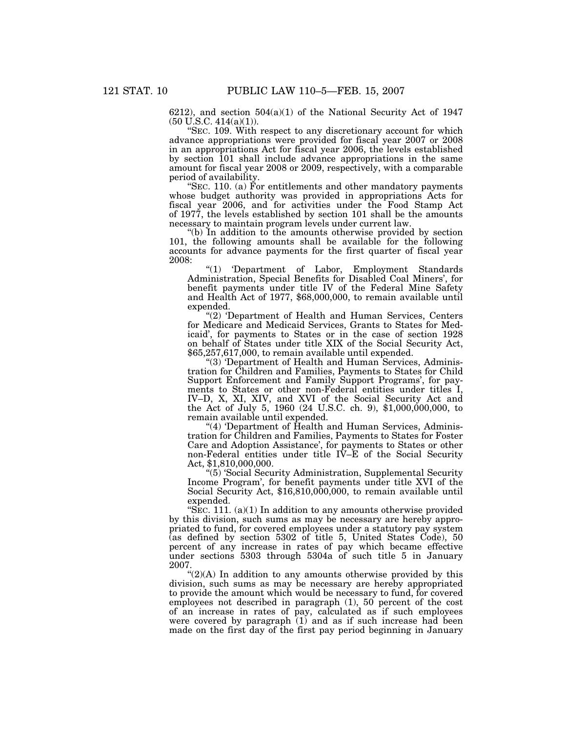6212), and section 504(a)(1) of the National Security Act of 1947  $(50 \text{ U.S.C. } 414(a)(1)).$ 

"SEC. 109. With respect to any discretionary account for which advance appropriations were provided for fiscal year 2007 or 2008 in an appropriations Act for fiscal year 2006, the levels established by section 101 shall include advance appropriations in the same amount for fiscal year 2008 or 2009, respectively, with a comparable period of availability.

''SEC. 110. (a) For entitlements and other mandatory payments whose budget authority was provided in appropriations Acts for fiscal year 2006, and for activities under the Food Stamp Act of 1977, the levels established by section 101 shall be the amounts necessary to maintain program levels under current law.

''(b) In addition to the amounts otherwise provided by section 101, the following amounts shall be available for the following accounts for advance payments for the first quarter of fiscal year 2008:

''(1) 'Department of Labor, Employment Standards Administration, Special Benefits for Disabled Coal Miners', for benefit payments under title IV of the Federal Mine Safety and Health Act of 1977, \$68,000,000, to remain available until expended.

"(2) 'Department of Health and Human Services, Centers for Medicare and Medicaid Services, Grants to States for Medicaid', for payments to States or in the case of section 1928 on behalf of States under title XIX of the Social Security Act, \$65,257,617,000, to remain available until expended.

"(3) 'Department of Health and Human Services, Administration for Children and Families, Payments to States for Child Support Enforcement and Family Support Programs', for payments to States or other non-Federal entities under titles I, IV–D, X, XI, XIV, and XVI of the Social Security Act and the Act of July 5, 1960 (24 U.S.C. ch. 9), \$1,000,000,000, to remain available until expended.

"(4) 'Department of Health and Human Services, Administration for Children and Families, Payments to States for Foster Care and Adoption Assistance', for payments to States or other non-Federal entities under title IV–E of the Social Security Act, \$1,810,000,000.

''(5) 'Social Security Administration, Supplemental Security Income Program', for benefit payments under title XVI of the Social Security Act, \$16,810,000,000, to remain available until expended.

"SEC. 111. (a)(1) In addition to any amounts otherwise provided by this division, such sums as may be necessary are hereby appropriated to fund, for covered employees under a statutory pay system (as defined by section 5302 of title 5, United States Code), 50 percent of any increase in rates of pay which became effective under sections 5303 through 5304a of such title 5 in January 2007.

''(2)(A) In addition to any amounts otherwise provided by this division, such sums as may be necessary are hereby appropriated to provide the amount which would be necessary to fund, for covered employees not described in paragraph (1), 50 percent of the cost of an increase in rates of pay, calculated as if such employees were covered by paragraph  $(1)$  and as if such increase had been made on the first day of the first pay period beginning in January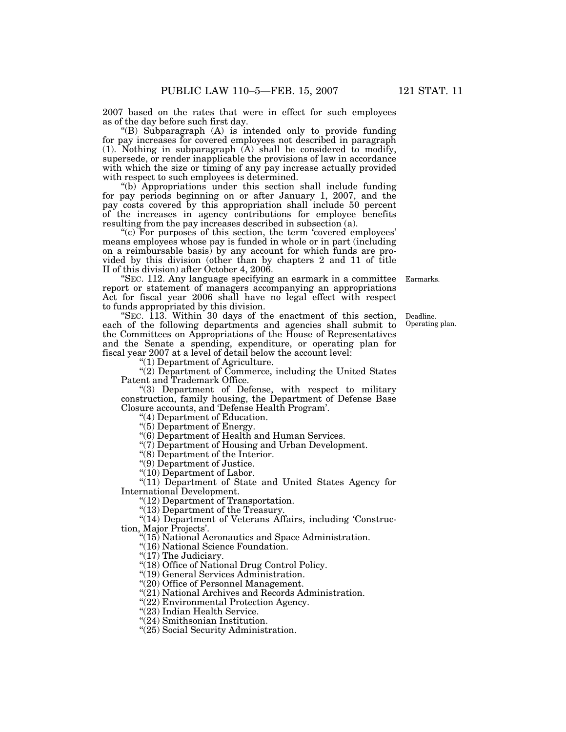2007 based on the rates that were in effect for such employees as of the day before such first day.

''(B) Subparagraph (A) is intended only to provide funding for pay increases for covered employees not described in paragraph (1). Nothing in subparagraph (A) shall be considered to modify, supersede, or render inapplicable the provisions of law in accordance with which the size or timing of any pay increase actually provided with respect to such employees is determined.

''(b) Appropriations under this section shall include funding for pay periods beginning on or after January 1, 2007, and the pay costs covered by this appropriation shall include 50 percent of the increases in agency contributions for employee benefits resulting from the pay increases described in subsection (a).

"(c) For purposes of this section, the term 'covered employees' means employees whose pay is funded in whole or in part (including on a reimbursable basis) by any account for which funds are provided by this division (other than by chapters 2 and 11 of title II of this division) after October 4, 2006.

''SEC. 112. Any language specifying an earmark in a committee report or statement of managers accompanying an appropriations Act for fiscal year 2006 shall have no legal effect with respect to funds appropriated by this division. Earmarks.

SEC. 113. Within 30 days of the enactment of this section, each of the following departments and agencies shall submit to the Committees on Appropriations of the House of Representatives and the Senate a spending, expenditure, or operating plan for fiscal year 2007 at a level of detail below the account level:

''(1) Department of Agriculture.

"(2) Department of Commerce, including the United States Patent and Trademark Office.

"(3) Department of Defense, with respect to military construction, family housing, the Department of Defense Base Closure accounts, and 'Defense Health Program'.

''(4) Department of Education.

"(5) Department of Energy.

''(6) Department of Health and Human Services.

''(7) Department of Housing and Urban Development.

''(8) Department of the Interior.

''(9) Department of Justice.

''(10) Department of Labor.

"(11) Department of State and United States Agency for International Development.

''(12) Department of Transportation.

"(13) Department of the Treasury.

"(14) Department of Veterans Affairs, including 'Construc-

tion, Major Projects'.

''(15) National Aeronautics and Space Administration.

"(16) National Science Foundation.

" $(17)$  The Judiciary.

''(18) Office of National Drug Control Policy.

''(19) General Services Administration.

"(20) Office of Personnel Management.

''(21) National Archives and Records Administration.

"(22) Environmental Protection Agency.

"(23) Indian Health Service.

''(24) Smithsonian Institution.

''(25) Social Security Administration.

Deadline.

Operating plan.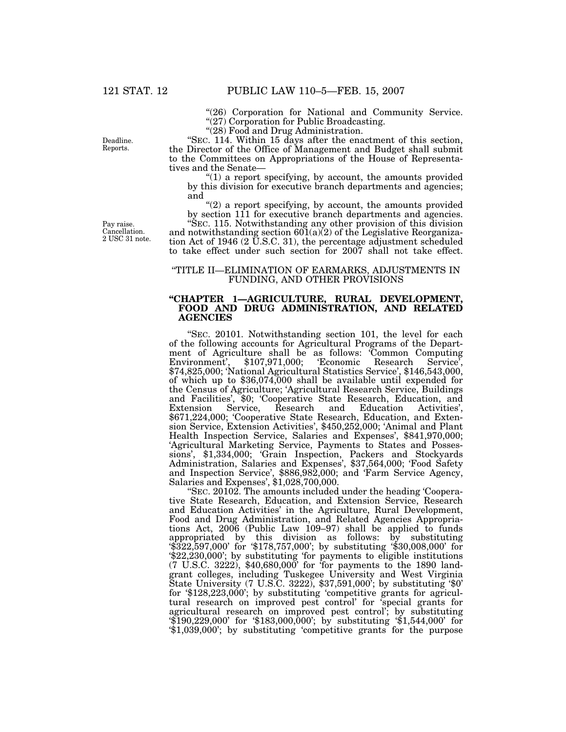Deadline. Reports.

"(26) Corporation for National and Community Service. "(27) Corporation for Public Broadcasting.

"(28) Food and Drug Administration.

''SEC. 114. Within 15 days after the enactment of this section, the Director of the Office of Management and Budget shall submit to the Committees on Appropriations of the House of Representatives and the Senate—

" $(1)$  a report specifying, by account, the amounts provided by this division for executive branch departments and agencies; and

"(2) a report specifying, by account, the amounts provided by section 111 for executive branch departments and agencies.

''SEC. 115. Notwithstanding any other provision of this division and notwithstanding section  $601(a)(2)$  of the Legislative Reorganization Act of 1946  $(2 \overline{U}$ .S.C. 31), the percentage adjustment scheduled to take effect under such section for 2007 shall not take effect.

#### ''TITLE II—ELIMINATION OF EARMARKS, ADJUSTMENTS IN FUNDING, AND OTHER PROVISIONS

#### **''CHAPTER 1—AGRICULTURE, RURAL DEVELOPMENT, FOOD AND DRUG ADMINISTRATION, AND RELATED AGENCIES**

''SEC. 20101. Notwithstanding section 101, the level for each of the following accounts for Agricultural Programs of the Department of Agriculture shall be as follows: Common Computing<br>Environment', \$107,971,000; 'Economic Research Service', Environment', \$107,971,000; 'Economic Research Service', \$74,825,000; 'National Agricultural Statistics Service', \$146,543,000, of which up to \$36,074,000 shall be available until expended for the Census of Agriculture; 'Agricultural Research Service, Buildings and Facilities', \$0; 'Cooperative State Research, Education, and Education Activities', \$671,224,000; 'Cooperative State Research, Education, and Extension Service, Extension Activities', \$450,252,000; 'Animal and Plant Health Inspection Service, Salaries and Expenses', \$841,970,000; 'Agricultural Marketing Service, Payments to States and Possessions', \$1,334,000; 'Grain Inspection, Packers and Stockyards Administration, Salaries and Expenses', \$37,564,000; 'Food Safety and Inspection Service', \$886,982,000; and 'Farm Service Agency, Salaries and Expenses', \$1,028,700,000.

''SEC. 20102. The amounts included under the heading 'Cooperative State Research, Education, and Extension Service, Research and Education Activities' in the Agriculture, Rural Development, Food and Drug Administration, and Related Agencies Appropriations Act, 2006 (Public Law 109–97) shall be applied to funds appropriated by this division as follows: by substituting '\$322,597,000' for '\$178,757,000'; by substituting '\$30,008,000' for '\$22,230,000'; by substituting 'for payments to eligible institutions (7 U.S.C. 3222), \$40,680,000' for 'for payments to the 1890 landgrant colleges, including Tuskegee University and West Virginia State University (7 U.S.C. 3222), \$37,591,000'; by substituting '\$0' for '\$128,223,000'; by substituting 'competitive grants for agricultural research on improved pest control' for 'special grants for agricultural research on improved pest control'; by substituting '\$190,229,000' for '\$183,000,000'; by substituting '\$1,544,000' for '\$1,039,000'; by substituting 'competitive grants for the purpose

Pay raise. Cancellation. 2 USC 31 note.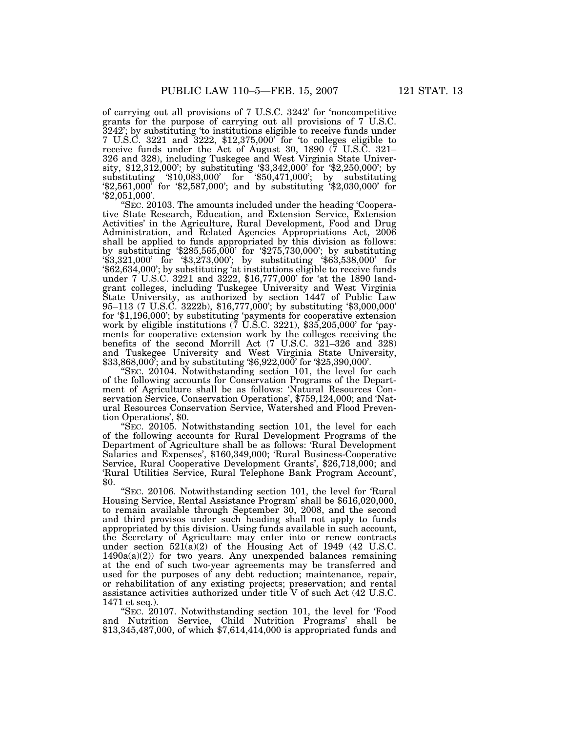of carrying out all provisions of 7 U.S.C. 3242' for 'noncompetitive grants for the purpose of carrying out all provisions of 7 U.S.C. 3242'; by substituting 'to institutions eligible to receive funds under 7 U.S.C. 3221 and 3222, \$12,375,000' for 'to colleges eligible to receive funds under the Act of August 30, 1890 (7 U.S.C. 321– 326 and 328), including Tuskegee and West Virginia State University, \$12,312,000'; by substituting '\$3,342,000' for '\$2,250,000'; by substituting '\$10,083,000' for '\$50,471,000'; by substituting '\$2,561,000' for '\$2,587,000'; and by substituting '\$2,030,000' for '\$2,051,000'.

''SEC. 20103. The amounts included under the heading 'Cooperative State Research, Education, and Extension Service, Extension Activities' in the Agriculture, Rural Development, Food and Drug Administration, and Related Agencies Appropriations Act, 2006 shall be applied to funds appropriated by this division as follows: by substituting '\$285,565,000' for '\$275,730,000'; by substituting '\$3,321,000' for '\$3,273,000'; by substituting '\$63,538,000' for '\$62,634,000'; by substituting 'at institutions eligible to receive funds under 7 U.S.C. 3221 and 3222, \$16,777,000' for 'at the 1890 landgrant colleges, including Tuskegee University and West Virginia State University, as authorized by section 1447 of Public Law 95–113 (7 U.S.C. 3222b), \$16,777,000'; by substituting '\$3,000,000' for '\$1,196,000'; by substituting 'payments for cooperative extension work by eligible institutions (7 U.S.C. 3221), \$35,205,000' for 'payments for cooperative extension work by the colleges receiving the benefits of the second Morrill Act (7 U.S.C. 321–326 and 328) and Tuskegee University and West Virginia State University, \$33,868,000'; and by substituting '\$6,922,000' for '\$25,390,000'.

SEC. 20104. Notwithstanding section 101, the level for each of the following accounts for Conservation Programs of the Department of Agriculture shall be as follows: 'Natural Resources Conservation Service, Conservation Operations', \$759,124,000; and 'Natural Resources Conservation Service, Watershed and Flood Prevention Operations', \$0.

''SEC. 20105. Notwithstanding section 101, the level for each of the following accounts for Rural Development Programs of the Department of Agriculture shall be as follows: 'Rural Development Salaries and Expenses', \$160,349,000; 'Rural Business-Cooperative Service, Rural Cooperative Development Grants', \$26,718,000; and 'Rural Utilities Service, Rural Telephone Bank Program Account', \$0.

''SEC. 20106. Notwithstanding section 101, the level for 'Rural Housing Service, Rental Assistance Program' shall be \$616,020,000, to remain available through September 30, 2008, and the second and third provisos under such heading shall not apply to funds appropriated by this division. Using funds available in such account, the Secretary of Agriculture may enter into or renew contracts under section  $521(a)(2)$  of the Housing Act of 1949 (42 U.S.C.  $1490a(a)(2)$  for two years. Any unexpended balances remaining at the end of such two-year agreements may be transferred and used for the purposes of any debt reduction; maintenance, repair, or rehabilitation of any existing projects; preservation; and rental assistance activities authorized under title V of such Act (42 U.S.C. 1471 et seq.).

''SEC. 20107. Notwithstanding section 101, the level for 'Food and Nutrition Service, Child Nutrition Programs' shall be \$13,345,487,000, of which \$7,614,414,000 is appropriated funds and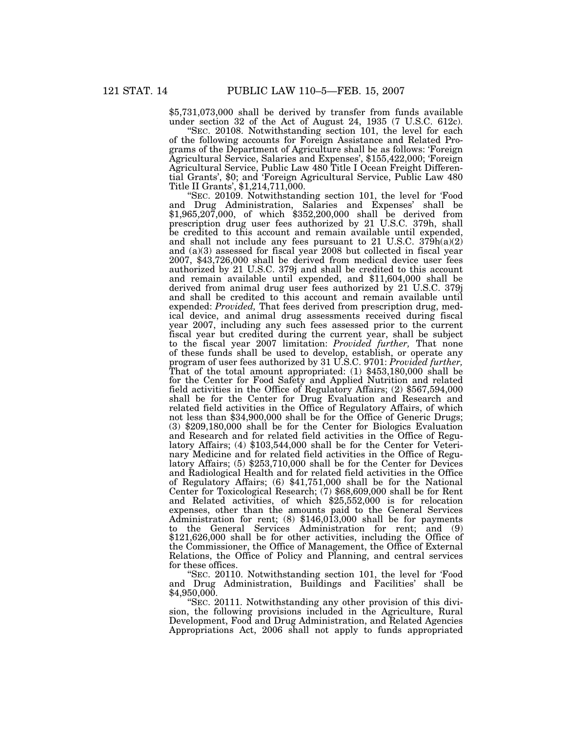\$5,731,073,000 shall be derived by transfer from funds available under section 32 of the Act of August 24, 1935 (7 U.S.C. 612c).

"SEC. 20108. Notwithstanding section 101, the level for each of the following accounts for Foreign Assistance and Related Programs of the Department of Agriculture shall be as follows: 'Foreign Agricultural Service, Salaries and Expenses', \$155,422,000; 'Foreign Agricultural Service, Public Law 480 Title I Ocean Freight Differential Grants', \$0; and 'Foreign Agricultural Service, Public Law 480 Title II Grants', \$1,214,711,000.

'SEC. 20109. Notwithstanding section 101, the level for 'Food and Drug Administration, Salaries and Expenses' shall be \$1,965,207,000, of which \$352,200,000 shall be derived from prescription drug user fees authorized by 21 U.S.C. 379h, shall be credited to this account and remain available until expended, and shall not include any fees pursuant to 21 U.S.C.  $379h(a)(2)$ and (a)(3) assessed for fiscal year 2008 but collected in fiscal year 2007, \$43,726,000 shall be derived from medical device user fees authorized by 21 U.S.C. 379j and shall be credited to this account and remain available until expended, and \$11,604,000 shall be derived from animal drug user fees authorized by 21 U.S.C. 379j and shall be credited to this account and remain available until expended: *Provided,* That fees derived from prescription drug, medical device, and animal drug assessments received during fiscal year 2007, including any such fees assessed prior to the current fiscal year but credited during the current year, shall be subject to the fiscal year 2007 limitation: *Provided further,* That none of these funds shall be used to develop, establish, or operate any program of user fees authorized by 31 U.S.C. 9701: *Provided further,* That of the total amount appropriated: (1) \$453,180,000 shall be for the Center for Food Safety and Applied Nutrition and related field activities in the Office of Regulatory Affairs; (2) \$567,594,000 shall be for the Center for Drug Evaluation and Research and related field activities in the Office of Regulatory Affairs, of which not less than \$34,900,000 shall be for the Office of Generic Drugs; (3) \$209,180,000 shall be for the Center for Biologics Evaluation and Research and for related field activities in the Office of Regulatory Affairs; (4) \$103,544,000 shall be for the Center for Veterinary Medicine and for related field activities in the Office of Regulatory Affairs; (5) \$253,710,000 shall be for the Center for Devices and Radiological Health and for related field activities in the Office of Regulatory Affairs; (6) \$41,751,000 shall be for the National Center for Toxicological Research; (7) \$68,609,000 shall be for Rent and Related activities, of which \$25,552,000 is for relocation expenses, other than the amounts paid to the General Services Administration for rent; (8) \$146,013,000 shall be for payments to the General Services Administration for rent; and (9) \$121,626,000 shall be for other activities, including the Office of the Commissioner, the Office of Management, the Office of External Relations, the Office of Policy and Planning, and central services for these offices.

''SEC. 20110. Notwithstanding section 101, the level for 'Food and Drug Administration, Buildings and Facilities' shall be \$4,950,000.

''SEC. 20111. Notwithstanding any other provision of this division, the following provisions included in the Agriculture, Rural Development, Food and Drug Administration, and Related Agencies Appropriations Act, 2006 shall not apply to funds appropriated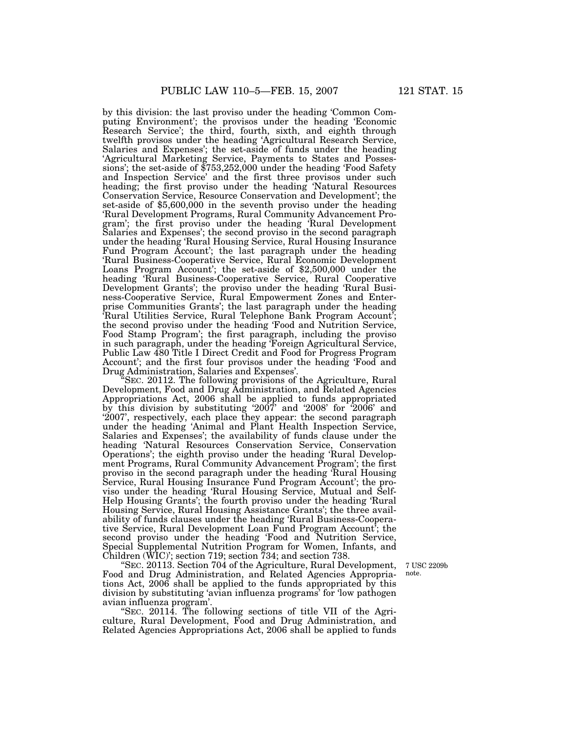by this division: the last proviso under the heading 'Common Computing Environment'; the provisos under the heading 'Economic Research Service'; the third, fourth, sixth, and eighth through twelfth provisos under the heading 'Agricultural Research Service, Salaries and Expenses'; the set-aside of funds under the heading 'Agricultural Marketing Service, Payments to States and Possessions'; the set-aside of \$753,252,000 under the heading 'Food Safety and Inspection Service' and the first three provisos under such heading; the first proviso under the heading 'Natural Resources Conservation Service, Resource Conservation and Development'; the set-aside of \$5,600,000 in the seventh proviso under the heading 'Rural Development Programs, Rural Community Advancement Program'; the first proviso under the heading 'Rural Development Salaries and Expenses'; the second proviso in the second paragraph under the heading 'Rural Housing Service, Rural Housing Insurance Fund Program Account'; the last paragraph under the heading 'Rural Business-Cooperative Service, Rural Economic Development Loans Program Account'; the set-aside of \$2,500,000 under the heading 'Rural Business-Cooperative Service, Rural Cooperative Development Grants'; the proviso under the heading 'Rural Business-Cooperative Service, Rural Empowerment Zones and Enterprise Communities Grants'; the last paragraph under the heading 'Rural Utilities Service, Rural Telephone Bank Program Account'; the second proviso under the heading 'Food and Nutrition Service, Food Stamp Program'; the first paragraph, including the proviso in such paragraph, under the heading 'Foreign Agricultural Service, Public Law 480 Title I Direct Credit and Food for Progress Program Account'; and the first four provisos under the heading 'Food and Drug Administration, Salaries and Expenses'.

SEC. 20112. The following provisions of the Agriculture, Rural Development, Food and Drug Administration, and Related Agencies Appropriations Act, 2006 shall be applied to funds appropriated by this division by substituting '2007' and '2008' for '2006' and '2007', respectively, each place they appear: the second paragraph under the heading 'Animal and Plant Health Inspection Service, Salaries and Expenses'; the availability of funds clause under the heading 'Natural Resources Conservation Service, Conservation Operations'; the eighth proviso under the heading 'Rural Development Programs, Rural Community Advancement Program'; the first proviso in the second paragraph under the heading 'Rural Housing Service, Rural Housing Insurance Fund Program Account'; the proviso under the heading 'Rural Housing Service, Mutual and Self-Help Housing Grants'; the fourth proviso under the heading 'Rural Housing Service, Rural Housing Assistance Grants'; the three availability of funds clauses under the heading 'Rural Business-Cooperative Service, Rural Development Loan Fund Program Account'; the second proviso under the heading 'Food and Nutrition Service, Special Supplemental Nutrition Program for Women, Infants, and Children (WIC)'; section 719; section 734; and section 738.

> 7 USC 2209b note.

''SEC. 20113. Section 704 of the Agriculture, Rural Development, Food and Drug Administration, and Related Agencies Appropriations Act, 2006 shall be applied to the funds appropriated by this division by substituting 'avian influenza programs' for 'low pathogen avian influenza program'.

''SEC. 20114. The following sections of title VII of the Agriculture, Rural Development, Food and Drug Administration, and Related Agencies Appropriations Act, 2006 shall be applied to funds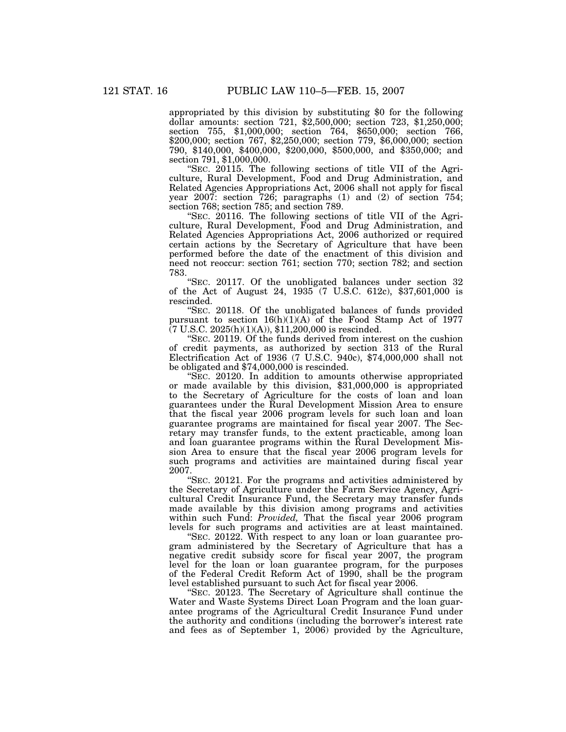appropriated by this division by substituting \$0 for the following dollar amounts: section 721, \$2,500,000; section 723, \$1,250,000; section 755, \$1,000,000; section 764, \$650,000; section 766, \$200,000; section 767, \$2,250,000; section 779, \$6,000,000; section 790, \$140,000, \$400,000, \$200,000, \$500,000, and \$350,000; and section 791, \$1,000,000.

''SEC. 20115. The following sections of title VII of the Agriculture, Rural Development, Food and Drug Administration, and Related Agencies Appropriations Act, 2006 shall not apply for fiscal year 2007: section 726; paragraphs (1) and (2) of section 754; section 768; section 785; and section 789.

"SEC. 20116. The following sections of title VII of the Agriculture, Rural Development, Food and Drug Administration, and Related Agencies Appropriations Act, 2006 authorized or required certain actions by the Secretary of Agriculture that have been performed before the date of the enactment of this division and need not reoccur: section 761; section 770; section 782; and section 783.

''SEC. 20117. Of the unobligated balances under section 32 of the Act of August 24, 1935 (7 U.S.C. 612c), \$37,601,000 is rescinded.

''SEC. 20118. Of the unobligated balances of funds provided pursuant to section  $16(h)(1)(A)$  of the Food Stamp Act of 1977  $(7 \text{ U.S.C. } 2025(h)(1)(A))$ , \$11,200,000 is rescinded.

''SEC. 20119. Of the funds derived from interest on the cushion of credit payments, as authorized by section 313 of the Rural Electrification Act of 1936 (7 U.S.C. 940c), \$74,000,000 shall not be obligated and \$74,000,000 is rescinded.

''SEC. 20120. In addition to amounts otherwise appropriated or made available by this division, \$31,000,000 is appropriated to the Secretary of Agriculture for the costs of loan and loan guarantees under the Rural Development Mission Area to ensure that the fiscal year 2006 program levels for such loan and loan guarantee programs are maintained for fiscal year 2007. The Secretary may transfer funds, to the extent practicable, among loan and loan guarantee programs within the Rural Development Mission Area to ensure that the fiscal year 2006 program levels for such programs and activities are maintained during fiscal year 2007.

''SEC. 20121. For the programs and activities administered by the Secretary of Agriculture under the Farm Service Agency, Agricultural Credit Insurance Fund, the Secretary may transfer funds made available by this division among programs and activities within such Fund: *Provided,* That the fiscal year 2006 program levels for such programs and activities are at least maintained.

''SEC. 20122. With respect to any loan or loan guarantee program administered by the Secretary of Agriculture that has a negative credit subsidy score for fiscal year 2007, the program level for the loan or loan guarantee program, for the purposes of the Federal Credit Reform Act of 1990, shall be the program level established pursuant to such Act for fiscal year 2006.

''SEC. 20123. The Secretary of Agriculture shall continue the Water and Waste Systems Direct Loan Program and the loan guarantee programs of the Agricultural Credit Insurance Fund under the authority and conditions (including the borrower's interest rate and fees as of September 1, 2006) provided by the Agriculture,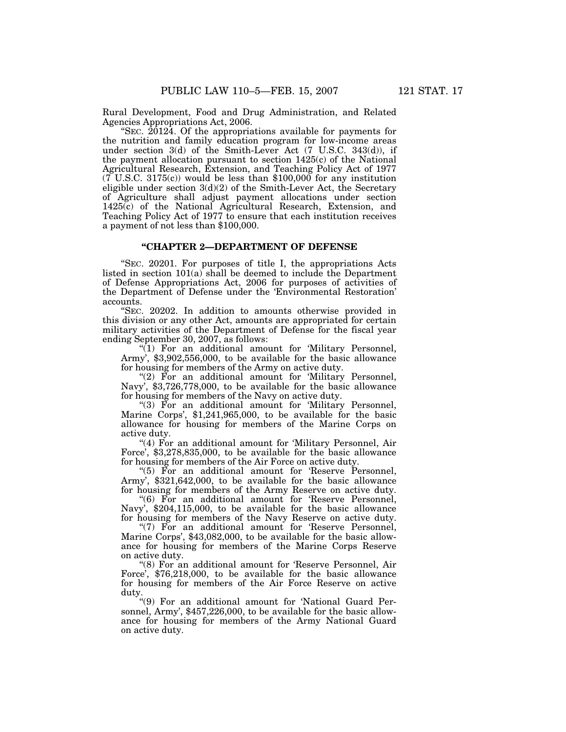Rural Development, Food and Drug Administration, and Related Agencies Appropriations Act, 2006.

"SEC.  $20124$ . Of the appropriations available for payments for the nutrition and family education program for low-income areas under section 3(d) of the Smith-Lever Act (7 U.S.C. 343(d)), if the payment allocation pursuant to section 1425(c) of the National Agricultural Research, Extension, and Teaching Policy Act of 1977  $(7 \text{ U.S.C. } 3175(c))$  would be less than \$100,000 for any institution eligible under section  $3(d)(2)$  of the Smith-Lever Act, the Secretary of Agriculture shall adjust payment allocations under section 1425(c) of the National Agricultural Research, Extension, and Teaching Policy Act of 1977 to ensure that each institution receives a payment of not less than \$100,000.

#### **''CHAPTER 2—DEPARTMENT OF DEFENSE**

"SEC. 20201. For purposes of title I, the appropriations Acts listed in section 101(a) shall be deemed to include the Department of Defense Appropriations Act, 2006 for purposes of activities of the Department of Defense under the 'Environmental Restoration' accounts.

''SEC. 20202. In addition to amounts otherwise provided in this division or any other Act, amounts are appropriated for certain military activities of the Department of Defense for the fiscal year ending September 30, 2007, as follows:

"(1) For an additional amount for 'Military Personnel, Army', \$3,902,556,000, to be available for the basic allowance for housing for members of the Army on active duty.

"(2) For an additional amount for 'Military Personnel, Navy', \$3,726,778,000, to be available for the basic allowance for housing for members of the Navy on active duty.

"(3) For an additional amount for 'Military Personnel, Marine Corps', \$1,241,965,000, to be available for the basic allowance for housing for members of the Marine Corps on active duty.

"(4) For an additional amount for 'Military Personnel, Air Force', \$3,278,835,000, to be available for the basic allowance for housing for members of the Air Force on active duty.

"(5) For an additional amount for 'Reserve Personnel, Army', \$321,642,000, to be available for the basic allowance for housing for members of the Army Reserve on active duty.

''(6) For an additional amount for 'Reserve Personnel, Navy', \$204,115,000, to be available for the basic allowance for housing for members of the Navy Reserve on active duty.

"(7) For an additional amount for 'Reserve Personnel, Marine Corps', \$43,082,000, to be available for the basic allowance for housing for members of the Marine Corps Reserve on active duty.

"(8) For an additional amount for 'Reserve Personnel, Air Force', \$76,218,000, to be available for the basic allowance for housing for members of the Air Force Reserve on active duty.

''(9) For an additional amount for 'National Guard Personnel, Army', \$457,226,000, to be available for the basic allowance for housing for members of the Army National Guard on active duty.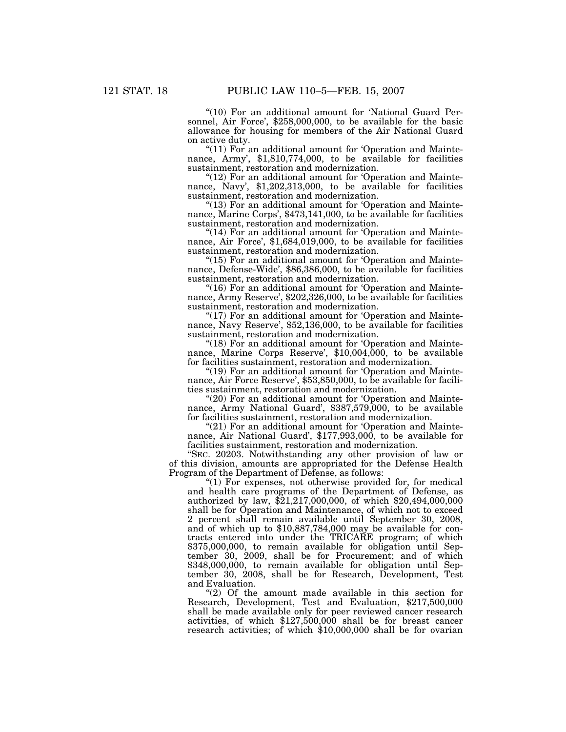"(10) For an additional amount for 'National Guard Personnel, Air Force', \$258,000,000, to be available for the basic allowance for housing for members of the Air National Guard on active duty.

"(11) For an additional amount for 'Operation and Maintenance, Army', \$1,810,774,000, to be available for facilities sustainment, restoration and modernization.

" $(12)$  For an additional amount for 'Operation and Maintenance, Navy', \$1,202,313,000, to be available for facilities sustainment, restoration and modernization.

"(13) For an additional amount for 'Operation and Maintenance, Marine Corps', \$473,141,000, to be available for facilities sustainment, restoration and modernization.

"(14) For an additional amount for 'Operation and Maintenance, Air Force', \$1,684,019,000, to be available for facilities sustainment, restoration and modernization.

"(15) For an additional amount for 'Operation and Maintenance, Defense-Wide', \$86,386,000, to be available for facilities sustainment, restoration and modernization.

"(16) For an additional amount for 'Operation and Maintenance, Army Reserve', \$202,326,000, to be available for facilities sustainment, restoration and modernization.

"(17) For an additional amount for 'Operation and Maintenance, Navy Reserve', \$52,136,000, to be available for facilities sustainment, restoration and modernization.

"(18) For an additional amount for 'Operation and Maintenance, Marine Corps Reserve', \$10,004,000, to be available for facilities sustainment, restoration and modernization.

"(19) For an additional amount for 'Operation and Maintenance, Air Force Reserve', \$53,850,000, to be available for facilities sustainment, restoration and modernization.

"(20) For an additional amount for 'Operation and Maintenance, Army National Guard', \$387,579,000, to be available for facilities sustainment, restoration and modernization.

" $(21)$  For an additional amount for 'Operation and Maintenance, Air National Guard', \$177,993,000, to be available for facilities sustainment, restoration and modernization.

''SEC. 20203. Notwithstanding any other provision of law or of this division, amounts are appropriated for the Defense Health Program of the Department of Defense, as follows:

"(1) For expenses, not otherwise provided for, for medical and health care programs of the Department of Defense, as authorized by law, \$21,217,000,000, of which \$20,494,000,000 shall be for Operation and Maintenance, of which not to exceed 2 percent shall remain available until September 30, 2008, and of which up to \$10,887,784,000 may be available for contracts entered into under the TRICARE program; of which \$375,000,000, to remain available for obligation until September 30, 2009, shall be for Procurement; and of which \$348,000,000, to remain available for obligation until September 30, 2008, shall be for Research, Development, Test and Evaluation.

"(2) Of the amount made available in this section for Research, Development, Test and Evaluation, \$217,500,000 shall be made available only for peer reviewed cancer research activities, of which \$127,500,000 shall be for breast cancer research activities; of which \$10,000,000 shall be for ovarian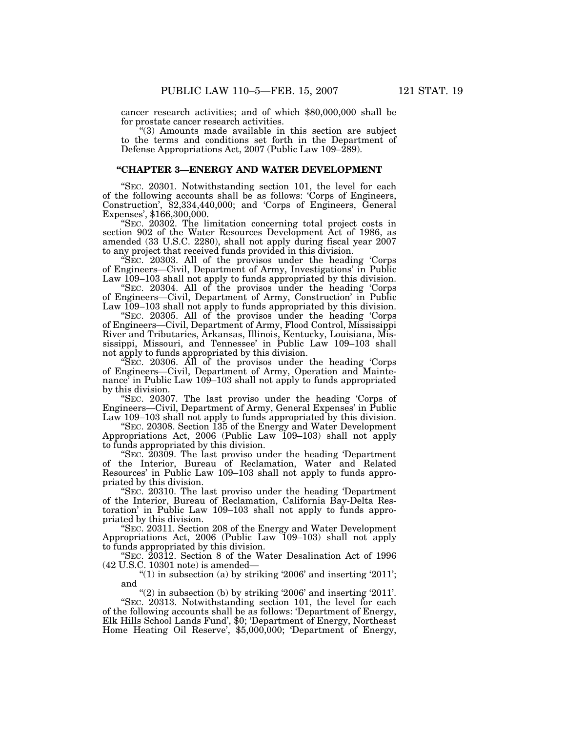cancer research activities; and of which \$80,000,000 shall be for prostate cancer research activities.

''(3) Amounts made available in this section are subject to the terms and conditions set forth in the Department of Defense Appropriations Act, 2007 (Public Law 109–289).

#### **''CHAPTER 3—ENERGY AND WATER DEVELOPMENT**

''SEC. 20301. Notwithstanding section 101, the level for each of the following accounts shall be as follows: 'Corps of Engineers, Construction', \$2,334,440,000; and 'Corps of Engineers, General Expenses', \$166,300,000.

''SEC. 20302. The limitation concerning total project costs in section 902 of the Water Resources Development Act of 1986, as amended (33 U.S.C. 2280), shall not apply during fiscal year 2007 to any project that received funds provided in this division.

''SEC. 20303. All of the provisos under the heading 'Corps of Engineers—Civil, Department of Army, Investigations' in Public Law 109–103 shall not apply to funds appropriated by this division.

''SEC. 20304. All of the provisos under the heading 'Corps of Engineers—Civil, Department of Army, Construction' in Public Law 109–103 shall not apply to funds appropriated by this division.

"SEC. 20305. All of the provisos under the heading 'Corps of Engineers—Civil, Department of Army, Flood Control, Mississippi River and Tributaries, Arkansas, Illinois, Kentucky, Louisiana, Mississippi, Missouri, and Tennessee' in Public Law 109–103 shall not apply to funds appropriated by this division.

''SEC. 20306. All of the provisos under the heading 'Corps of Engineers—Civil, Department of Army, Operation and Maintenance' in Public Law 109–103 shall not apply to funds appropriated by this division.

''SEC. 20307. The last proviso under the heading 'Corps of Engineers—Civil, Department of Army, General Expenses' in Public Law 109–103 shall not apply to funds appropriated by this division.

''SEC. 20308. Section 135 of the Energy and Water Development Appropriations Act, 2006 (Public Law 109–103) shall not apply to funds appropriated by this division.

''SEC. 20309. The last proviso under the heading 'Department of the Interior, Bureau of Reclamation, Water and Related Resources' in Public Law 109–103 shall not apply to funds appropriated by this division.

''SEC. 20310. The last proviso under the heading 'Department of the Interior, Bureau of Reclamation, California Bay-Delta Restoration' in Public Law 109–103 shall not apply to funds appropriated by this division.

''SEC. 20311. Section 208 of the Energy and Water Development Appropriations Act, 2006 (Public Law 109–103) shall not apply to funds appropriated by this division.

''SEC. 20312. Section 8 of the Water Desalination Act of 1996 (42 U.S.C. 10301 note) is amended—

"(1) in subsection (a) by striking '2006' and inserting '2011'; and

" $(2)$  in subsection (b) by striking '2006' and inserting '2011'. ''SEC. 20313. Notwithstanding section 101, the level for each of the following accounts shall be as follows: 'Department of Energy, Elk Hills School Lands Fund', \$0; 'Department of Energy, Northeast Home Heating Oil Reserve', \$5,000,000; 'Department of Energy,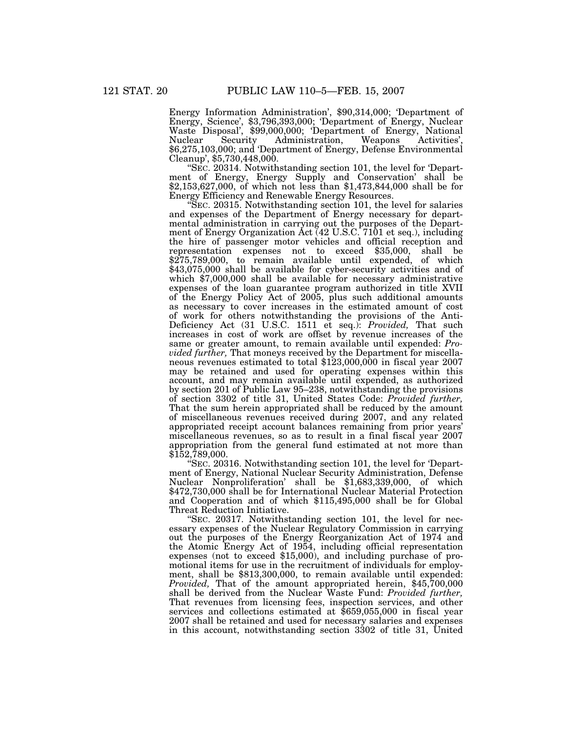Energy Information Administration', \$90,314,000; 'Department of Energy, Science', \$3,796,393,000; 'Department of Energy, Nuclear Waste Disposal', \$99,000,000; 'Department of Energy, National Nuclear Security Administration, Weapons Activities', \$6,275,103,000; and 'Department of Energy, Defense Environmental Cleanup', \$5,730,448,000.

''SEC. 20314. Notwithstanding section 101, the level for 'Department of Energy, Energy Supply and Conservation' shall be \$2,153,627,000, of which not less than \$1,473,844,000 shall be for Energy Efficiency and Renewable Energy Resources.

''SEC. 20315. Notwithstanding section 101, the level for salaries and expenses of the Department of Energy necessary for departmental administration in carrying out the purposes of the Department of Energy Organization Act (42 U.S.C. 7101 et seq.), including the hire of passenger motor vehicles and official reception and representation expenses not to exceed \$35,000, shall be \$275,789,000, to remain available until expended, of which \$43,075,000 shall be available for cyber-security activities and of which \$7,000,000 shall be available for necessary administrative expenses of the loan guarantee program authorized in title XVII of the Energy Policy Act of 2005, plus such additional amounts as necessary to cover increases in the estimated amount of cost of work for others notwithstanding the provisions of the Anti-Deficiency Act (31 U.S.C. 1511 et seq.): *Provided,* That such increases in cost of work are offset by revenue increases of the same or greater amount, to remain available until expended: *Provided further,* That moneys received by the Department for miscellaneous revenues estimated to total \$123,000,000 in fiscal year 2007 may be retained and used for operating expenses within this account, and may remain available until expended, as authorized by section 201 of Public Law 95–238, notwithstanding the provisions of section 3302 of title 31, United States Code: *Provided further,* That the sum herein appropriated shall be reduced by the amount of miscellaneous revenues received during 2007, and any related appropriated receipt account balances remaining from prior years' miscellaneous revenues, so as to result in a final fiscal year 2007 appropriation from the general fund estimated at not more than \$152,789,000.

''SEC. 20316. Notwithstanding section 101, the level for 'Department of Energy, National Nuclear Security Administration, Defense Nuclear Nonproliferation' shall be \$1,683,339,000, of which \$472,730,000 shall be for International Nuclear Material Protection and Cooperation and of which \$115,495,000 shall be for Global Threat Reduction Initiative.

''SEC. 20317. Notwithstanding section 101, the level for necessary expenses of the Nuclear Regulatory Commission in carrying out the purposes of the Energy Reorganization Act of 1974 and the Atomic Energy Act of 1954, including official representation expenses (not to exceed \$15,000), and including purchase of promotional items for use in the recruitment of individuals for employment, shall be \$813,300,000, to remain available until expended: *Provided,* That of the amount appropriated herein, \$45,700,000 shall be derived from the Nuclear Waste Fund: *Provided further,* That revenues from licensing fees, inspection services, and other services and collections estimated at \$659,055,000 in fiscal year 2007 shall be retained and used for necessary salaries and expenses in this account, notwithstanding section 3302 of title 31, United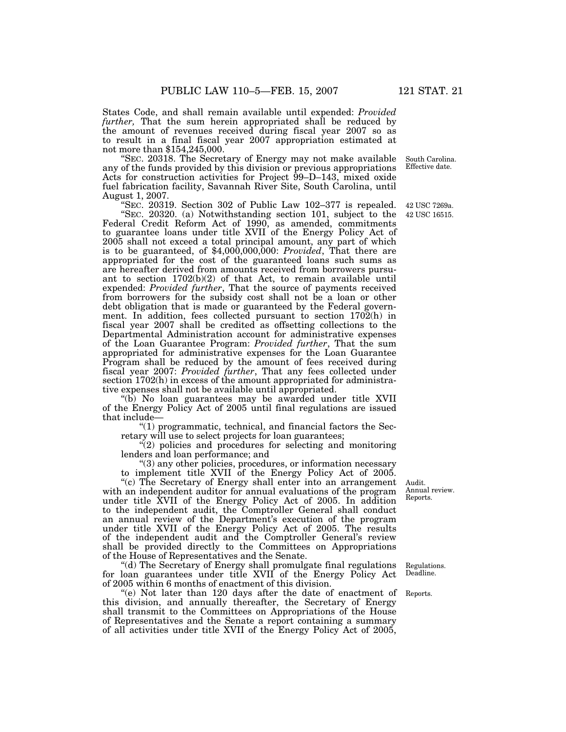States Code, and shall remain available until expended: *Provided further,* That the sum herein appropriated shall be reduced by the amount of revenues received during fiscal year 2007 so as to result in a final fiscal year 2007 appropriation estimated at not more than \$154,245,000.

''SEC. 20318. The Secretary of Energy may not make available any of the funds provided by this division or previous appropriations Acts for construction activities for Project 99–D–143, mixed oxide fuel fabrication facility, Savannah River Site, South Carolina, until August 1, 2007.

''SEC. 20319. Section 302 of Public Law 102–377 is repealed.

"SEC. 20320. (a) Notwithstanding section 101, subject to the Federal Credit Reform Act of 1990, as amended, commitments to guarantee loans under title XVII of the Energy Policy Act of 2005 shall not exceed a total principal amount, any part of which is to be guaranteed, of \$4,000,000,000: *Provided*, That there are appropriated for the cost of the guaranteed loans such sums as are hereafter derived from amounts received from borrowers pursuant to section 1702(b)(2) of that Act, to remain available until expended: *Provided further*, That the source of payments received from borrowers for the subsidy cost shall not be a loan or other debt obligation that is made or guaranteed by the Federal government. In addition, fees collected pursuant to section 1702(h) in fiscal year 2007 shall be credited as offsetting collections to the Departmental Administration account for administrative expenses of the Loan Guarantee Program: *Provided further*, That the sum appropriated for administrative expenses for the Loan Guarantee Program shall be reduced by the amount of fees received during fiscal year 2007: *Provided further*, That any fees collected under section 1702(h) in excess of the amount appropriated for administrative expenses shall not be available until appropriated.

''(b) No loan guarantees may be awarded under title XVII of the Energy Policy Act of 2005 until final regulations are issued that include—

''(1) programmatic, technical, and financial factors the Secretary will use to select projects for loan guarantees;

''(2) policies and procedures for selecting and monitoring lenders and loan performance; and

''(3) any other policies, procedures, or information necessary to implement title XVII of the Energy Policy Act of 2005.

"(c) The Secretary of Energy shall enter into an arrangement with an independent auditor for annual evaluations of the program under title XVII of the Energy Policy Act of 2005. In addition to the independent audit, the Comptroller General shall conduct an annual review of the Department's execution of the program under title XVII of the Energy Policy Act of 2005. The results of the independent audit and the Comptroller General's review shall be provided directly to the Committees on Appropriations of the House of Representatives and the Senate.

''(d) The Secretary of Energy shall promulgate final regulations for loan guarantees under title XVII of the Energy Policy Act of 2005 within 6 months of enactment of this division.

''(e) Not later than 120 days after the date of enactment of this division, and annually thereafter, the Secretary of Energy shall transmit to the Committees on Appropriations of the House of Representatives and the Senate a report containing a summary of all activities under title XVII of the Energy Policy Act of 2005,

Audit. Annual review. Reports.

South Carolina. Effective date.

42 USC 16515. 42 USC 7269a.

Regulations. Deadline.

Reports.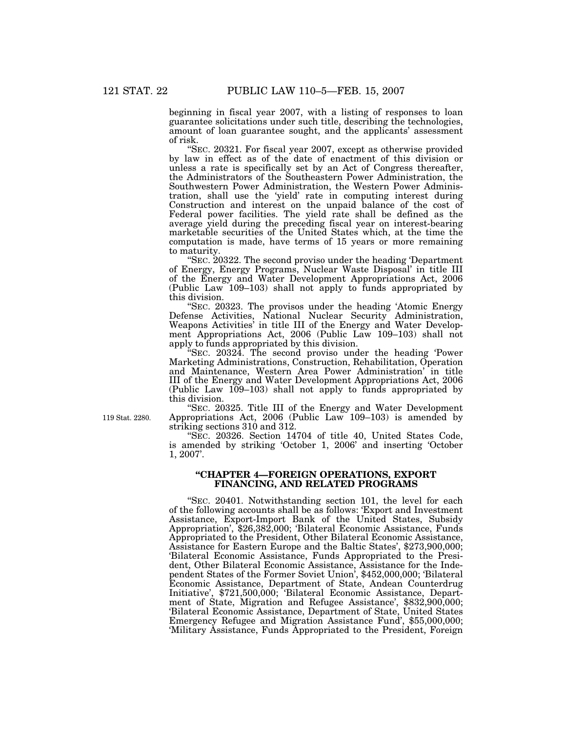beginning in fiscal year 2007, with a listing of responses to loan guarantee solicitations under such title, describing the technologies, amount of loan guarantee sought, and the applicants' assessment of risk.

''SEC. 20321. For fiscal year 2007, except as otherwise provided by law in effect as of the date of enactment of this division or unless a rate is specifically set by an Act of Congress thereafter, the Administrators of the Southeastern Power Administration, the Southwestern Power Administration, the Western Power Administration, shall use the 'yield' rate in computing interest during Construction and interest on the unpaid balance of the cost of Federal power facilities. The yield rate shall be defined as the average yield during the preceding fiscal year on interest-bearing marketable securities of the United States which, at the time the computation is made, have terms of 15 years or more remaining to maturity.

''SEC. 20322. The second proviso under the heading 'Department of Energy, Energy Programs, Nuclear Waste Disposal' in title III of the Energy and Water Development Appropriations Act, 2006 (Public Law 109–103) shall not apply to funds appropriated by this division.

''SEC. 20323. The provisos under the heading 'Atomic Energy Defense Activities, National Nuclear Security Administration, Weapons Activities' in title III of the Energy and Water Development Appropriations Act, 2006 (Public Law 109–103) shall not apply to funds appropriated by this division.

''SEC. 20324. The second proviso under the heading 'Power Marketing Administrations, Construction, Rehabilitation, Operation and Maintenance, Western Area Power Administration' in title III of the Energy and Water Development Appropriations Act, 2006 (Public Law 109–103) shall not apply to funds appropriated by this division.

''SEC. 20325. Title III of the Energy and Water Development Appropriations Act, 2006 (Public Law 109–103) is amended by striking sections 310 and 312.

''SEC. 20326. Section 14704 of title 40, United States Code, is amended by striking 'October 1, 2006' and inserting 'October 1, 2007'.

### **''CHAPTER 4—FOREIGN OPERATIONS, EXPORT FINANCING, AND RELATED PROGRAMS**

''SEC. 20401. Notwithstanding section 101, the level for each of the following accounts shall be as follows: 'Export and Investment Assistance, Export-Import Bank of the United States, Subsidy Appropriation', \$26,382,000; 'Bilateral Economic Assistance, Funds Appropriated to the President, Other Bilateral Economic Assistance, Assistance for Eastern Europe and the Baltic States', \$273,900,000; 'Bilateral Economic Assistance, Funds Appropriated to the President, Other Bilateral Economic Assistance, Assistance for the Independent States of the Former Soviet Union', \$452,000,000; 'Bilateral Economic Assistance, Department of State, Andean Counterdrug Initiative', \$721,500,000; 'Bilateral Economic Assistance, Department of State, Migration and Refugee Assistance', \$832,900,000; 'Bilateral Economic Assistance, Department of State, United States Emergency Refugee and Migration Assistance Fund', \$55,000,000; 'Military Assistance, Funds Appropriated to the President, Foreign

119 Stat. 2280.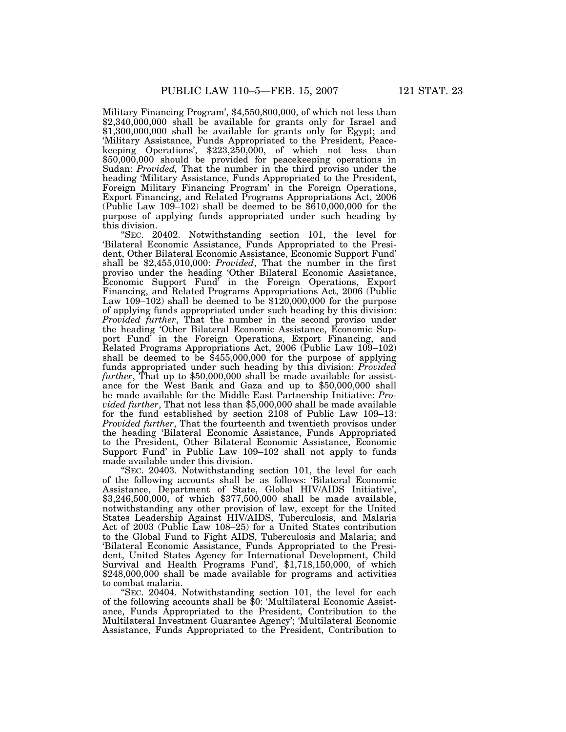Military Financing Program', \$4,550,800,000, of which not less than \$2,340,000,000 shall be available for grants only for Israel and \$1,300,000,000 shall be available for grants only for Egypt; and 'Military Assistance, Funds Appropriated to the President, Peacekeeping Operations', \$223,250,000, of which not less than \$50,000,000 should be provided for peacekeeping operations in Sudan: *Provided,* That the number in the third proviso under the heading 'Military Assistance, Funds Appropriated to the President, Foreign Military Financing Program' in the Foreign Operations, Export Financing, and Related Programs Appropriations Act, 2006 (Public Law 109–102) shall be deemed to be \$610,000,000 for the purpose of applying funds appropriated under such heading by this division.

''SEC. 20402. Notwithstanding section 101, the level for 'Bilateral Economic Assistance, Funds Appropriated to the President, Other Bilateral Economic Assistance, Economic Support Fund' shall be \$2,455,010,000: *Provided*, That the number in the first proviso under the heading 'Other Bilateral Economic Assistance, Economic Support Fund' in the Foreign Operations, Export Financing, and Related Programs Appropriations Act, 2006 (Public Law  $109-102$ ) shall be deemed to be \$120,000,000 for the purpose of applying funds appropriated under such heading by this division: *Provided further*, That the number in the second proviso under the heading 'Other Bilateral Economic Assistance, Economic Support Fund' in the Foreign Operations, Export Financing, and Related Programs Appropriations Act, 2006 (Public Law 109–102) shall be deemed to be  $$455,000,000$  for the purpose of applying funds appropriated under such heading by this division: *Provided further*, That up to \$50,000,000 shall be made available for assistance for the West Bank and Gaza and up to \$50,000,000 shall be made available for the Middle East Partnership Initiative: *Provided further*, That not less than \$5,000,000 shall be made available for the fund established by section 2108 of Public Law 109–13: *Provided further*, That the fourteenth and twentieth provisos under the heading 'Bilateral Economic Assistance, Funds Appropriated to the President, Other Bilateral Economic Assistance, Economic Support Fund' in Public Law 109–102 shall not apply to funds made available under this division.

''SEC. 20403. Notwithstanding section 101, the level for each of the following accounts shall be as follows: 'Bilateral Economic Assistance, Department of State, Global HIV/AIDS Initiative', \$3,246,500,000, of which \$377,500,000 shall be made available, notwithstanding any other provision of law, except for the United States Leadership Against HIV/AIDS, Tuberculosis, and Malaria Act of 2003 (Public Law 108–25) for a United States contribution to the Global Fund to Fight AIDS, Tuberculosis and Malaria; and 'Bilateral Economic Assistance, Funds Appropriated to the President, United States Agency for International Development, Child Survival and Health Programs Fund', \$1,718,150,000, of which \$248,000,000 shall be made available for programs and activities to combat malaria.

''SEC. 20404. Notwithstanding section 101, the level for each of the following accounts shall be \$0: 'Multilateral Economic Assistance, Funds Appropriated to the President, Contribution to the Multilateral Investment Guarantee Agency'; 'Multilateral Economic Assistance, Funds Appropriated to the President, Contribution to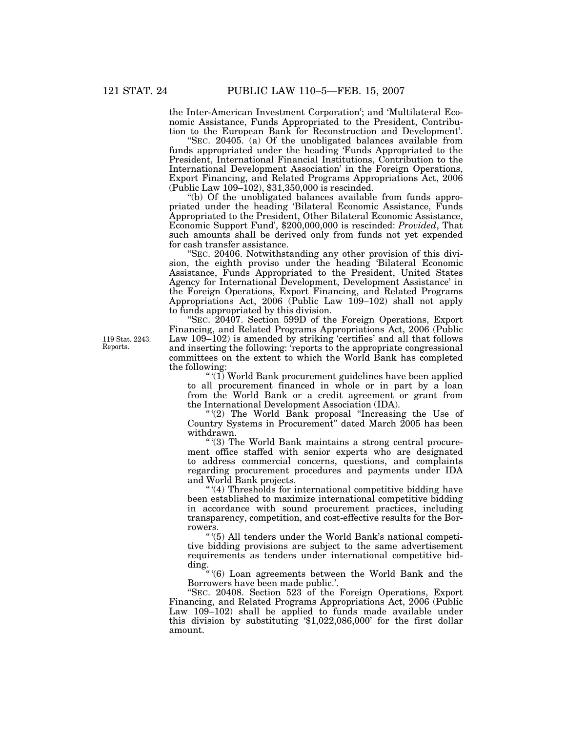the Inter-American Investment Corporation'; and 'Multilateral Economic Assistance, Funds Appropriated to the President, Contribution to the European Bank for Reconstruction and Development'.

''SEC. 20405. (a) Of the unobligated balances available from funds appropriated under the heading 'Funds Appropriated to the President, International Financial Institutions, Contribution to the International Development Association' in the Foreign Operations, Export Financing, and Related Programs Appropriations Act, 2006 (Public Law 109–102), \$31,350,000 is rescinded.

''(b) Of the unobligated balances available from funds appropriated under the heading 'Bilateral Economic Assistance, Funds Appropriated to the President, Other Bilateral Economic Assistance, Economic Support Fund', \$200,000,000 is rescinded: *Provided*, That such amounts shall be derived only from funds not yet expended for cash transfer assistance.

''SEC. 20406. Notwithstanding any other provision of this division, the eighth proviso under the heading 'Bilateral Economic Assistance, Funds Appropriated to the President, United States Agency for International Development, Development Assistance' in the Foreign Operations, Export Financing, and Related Programs Appropriations Act, 2006 (Public Law 109–102) shall not apply to funds appropriated by this division.

''SEC. 20407. Section 599D of the Foreign Operations, Export Financing, and Related Programs Appropriations Act, 2006 (Public Law 109–102) is amended by striking 'certifies' and all that follows and inserting the following: 'reports to the appropriate congressional committees on the extent to which the World Bank has completed the following:

'' '(1) World Bank procurement guidelines have been applied to all procurement financed in whole or in part by a loan from the World Bank or a credit agreement or grant from the International Development Association (IDA).

"(2) The World Bank proposal "Increasing the Use of Country Systems in Procurement'' dated March 2005 has been withdrawn.

'' '(3) The World Bank maintains a strong central procurement office staffed with senior experts who are designated to address commercial concerns, questions, and complaints regarding procurement procedures and payments under IDA and World Bank projects.

'' '(4) Thresholds for international competitive bidding have been established to maximize international competitive bidding in accordance with sound procurement practices, including transparency, competition, and cost-effective results for the Borrowers.

'' '(5) All tenders under the World Bank's national competitive bidding provisions are subject to the same advertisement requirements as tenders under international competitive bidding.

'' '(6) Loan agreements between the World Bank and the Borrowers have been made public.'.

''SEC. 20408. Section 523 of the Foreign Operations, Export Financing, and Related Programs Appropriations Act, 2006 (Public Law 109–102) shall be applied to funds made available under this division by substituting '\$1,022,086,000' for the first dollar amount.

119 Stat. 2243. Reports.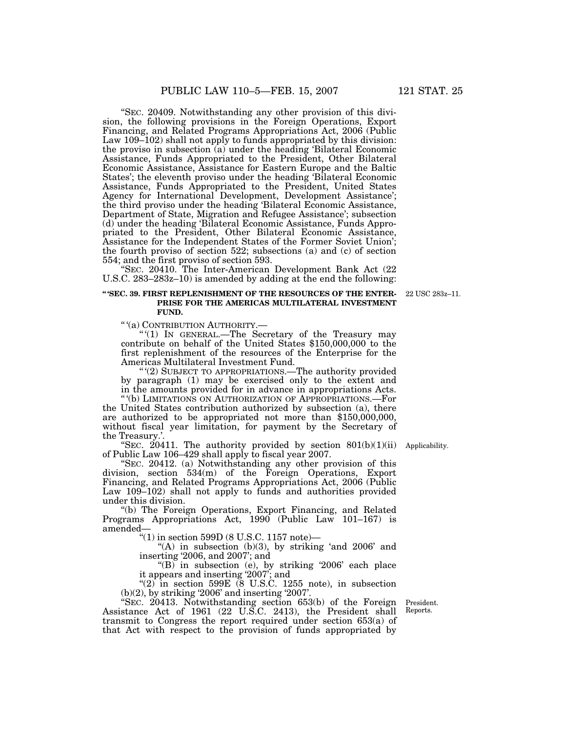''SEC. 20409. Notwithstanding any other provision of this division, the following provisions in the Foreign Operations, Export Financing, and Related Programs Appropriations Act, 2006 (Public Law 109–102) shall not apply to funds appropriated by this division: the proviso in subsection (a) under the heading 'Bilateral Economic Assistance, Funds Appropriated to the President, Other Bilateral Economic Assistance, Assistance for Eastern Europe and the Baltic States'; the eleventh proviso under the heading 'Bilateral Economic Assistance, Funds Appropriated to the President, United States Agency for International Development, Development Assistance'; the third proviso under the heading 'Bilateral Economic Assistance, Department of State, Migration and Refugee Assistance'; subsection (d) under the heading 'Bilateral Economic Assistance, Funds Appropriated to the President, Other Bilateral Economic Assistance, Assistance for the Independent States of the Former Soviet Union'; the fourth proviso of section 522; subsections (a) and (c) of section 554; and the first proviso of section 593.

"SEC. 20410. The Inter-American Development Bank Act (22 U.S.C. 283–283z–10) is amended by adding at the end the following:

#### **'' 'SEC. 39. FIRST REPLENISHMENT OF THE RESOURCES OF THE ENTER-PRISE FOR THE AMERICAS MULTILATERAL INVESTMENT FUND.**

'' '(a) CONTRIBUTION AUTHORITY.—

'' '(1) IN GENERAL.—The Secretary of the Treasury may contribute on behalf of the United States \$150,000,000 to the first replenishment of the resources of the Enterprise for the Americas Multilateral Investment Fund.

'' '(2) SUBJECT TO APPROPRIATIONS.—The authority provided by paragraph (1) may be exercised only to the extent and in the amounts provided for in advance in appropriations Acts.

'' '(b) LIMITATIONS ON AUTHORIZATION OF APPROPRIATIONS.—For the United States contribution authorized by subsection (a), there are authorized to be appropriated not more than \$150,000,000, without fiscal year limitation, for payment by the Secretary of the Treasury.'.

"SEC. 20411. The authority provided by section  $801(b)(1)(ii)$  Applicability. of Public Law 106–429 shall apply to fiscal year 2007.

"SEC. 20412. (a) Notwithstanding any other provision of this division, section 534(m) of the Foreign Operations, Export Financing, and Related Programs Appropriations Act, 2006 (Public Law 109–102) shall not apply to funds and authorities provided under this division.

''(b) The Foreign Operations, Export Financing, and Related Programs Appropriations Act, 1990 (Public Law 101–167) is amended—

 $"(1)$  in section 599D (8 U.S.C. 1157 note)-

"(A) in subsection  $(b)(3)$ , by striking 'and 2006' and inserting '2006, and 2007'; and

"(B) in subsection (e), by striking '2006' each place it appears and inserting '2007'; and

" $(2)$  in section 599E (8 U.S.C. 1255 note), in subsection (b)(2), by striking '2006' and inserting '2007'.

''SEC. 20413. Notwithstanding section 653(b) of the Foreign Assistance Act of 1961 (22 U.S.C. 2413), the President shall transmit to Congress the report required under section 653(a) of that Act with respect to the provision of funds appropriated by

President. Reports.

22 USC 283z–11.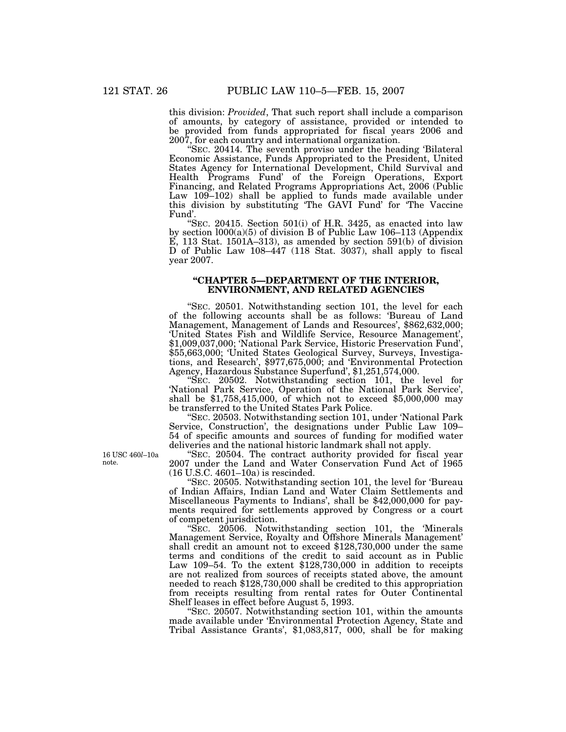this division: *Provided*, That such report shall include a comparison of amounts, by category of assistance, provided or intended to be provided from funds appropriated for fiscal years 2006 and 2007, for each country and international organization.

''SEC. 20414. The seventh proviso under the heading 'Bilateral Economic Assistance, Funds Appropriated to the President, United States Agency for International Development, Child Survival and Health Programs Fund' of the Foreign Operations, Export Financing, and Related Programs Appropriations Act, 2006 (Public Law 109–102) shall be applied to funds made available under this division by substituting 'The GAVI Fund' for 'The Vaccine Fund'.

"SEC. 20415. Section 501(i) of H.R. 3425, as enacted into law by section l000(a)(5) of division B of Public Law 106–113 (Appendix E, 113 Stat. 1501A–313), as amended by section 591(b) of division D of Public Law 108–447 (118 Stat. 3037), shall apply to fiscal year 2007.

#### **''CHAPTER 5—DEPARTMENT OF THE INTERIOR, ENVIRONMENT, AND RELATED AGENCIES**

''SEC. 20501. Notwithstanding section 101, the level for each of the following accounts shall be as follows: 'Bureau of Land Management, Management of Lands and Resources', \$862,632,000; 'United States Fish and Wildlife Service, Resource Management', \$1,009,037,000; 'National Park Service, Historic Preservation Fund', \$55,663,000; 'United States Geological Survey, Surveys, Investigations, and Research', \$977,675,000; and 'Environmental Protection Agency, Hazardous Substance Superfund', \$1,251,574,000.

''SEC. 20502. Notwithstanding section 101, the level for 'National Park Service, Operation of the National Park Service', shall be \$1,758,415,000, of which not to exceed \$5,000,000 may be transferred to the United States Park Police.

''SEC. 20503. Notwithstanding section 101, under 'National Park Service, Construction', the designations under Public Law 109– 54 of specific amounts and sources of funding for modified water deliveries and the national historic landmark shall not apply.

"SEC. 20504. The contract authority provided for fiscal year 2007 under the Land and Water Conservation Fund Act of 1965 (16 U.S.C. 4601–10a) is rescinded.

''SEC. 20505. Notwithstanding section 101, the level for 'Bureau of Indian Affairs, Indian Land and Water Claim Settlements and Miscellaneous Payments to Indians', shall be \$42,000,000 for payments required for settlements approved by Congress or a court of competent jurisdiction.

''SEC. 20506. Notwithstanding section 101, the 'Minerals Management Service, Royalty and Offshore Minerals Management' shall credit an amount not to exceed \$128,730,000 under the same terms and conditions of the credit to said account as in Public Law 109–54. To the extent \$128,730,000 in addition to receipts are not realized from sources of receipts stated above, the amount needed to reach \$128,730,000 shall be credited to this appropriation from receipts resulting from rental rates for Outer Continental Shelf leases in effect before August 5, 1993.

''SEC. 20507. Notwithstanding section 101, within the amounts made available under 'Environmental Protection Agency, State and Tribal Assistance Grants', \$1,083,817, 000, shall be for making

16 USC 460*l*–10a note.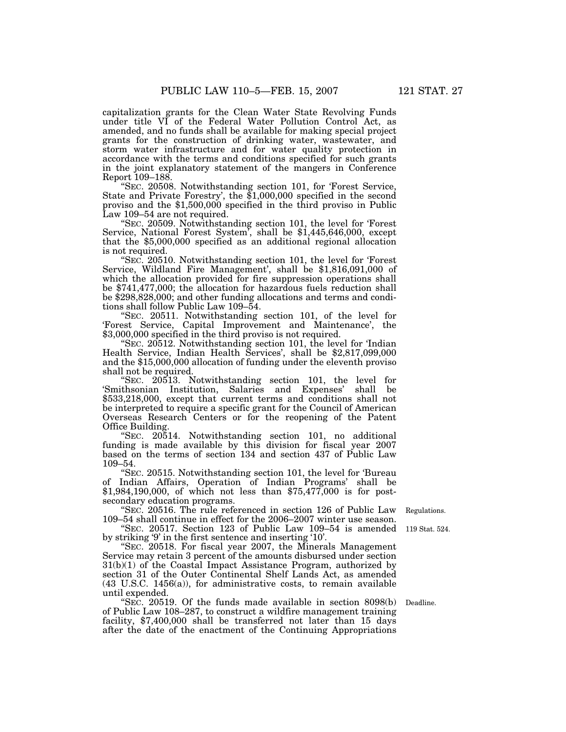capitalization grants for the Clean Water State Revolving Funds under title VI of the Federal Water Pollution Control Act, as amended, and no funds shall be available for making special project grants for the construction of drinking water, wastewater, and storm water infrastructure and for water quality protection in accordance with the terms and conditions specified for such grants in the joint explanatory statement of the mangers in Conference Report 109–188.

''SEC. 20508. Notwithstanding section 101, for 'Forest Service, State and Private Forestry', the \$1,000,000 specified in the second proviso and the \$1,500,000 specified in the third proviso in Public

Law 109–54 are not required.<br>
"SEC. 20509. Notwithstanding section 101, the level for 'Forest' Service, National Forest System', shall be  $$1,445,646,000$ , except that the \$5,000,000 specified as an additional regional allocation is not required.

''SEC. 20510. Notwithstanding section 101, the level for 'Forest Service, Wildland Fire Management', shall be \$1,816,091,000 of which the allocation provided for fire suppression operations shall be \$741,477,000; the allocation for hazardous fuels reduction shall be \$298,828,000; and other funding allocations and terms and conditions shall follow Public Law 109–54.

''SEC. 20511. Notwithstanding section 101, of the level for 'Forest Service, Capital Improvement and Maintenance', the \$3,000,000 specified in the third proviso is not required.

''SEC. 20512. Notwithstanding section 101, the level for 'Indian Health Service, Indian Health Services', shall be \$2,817,099,000 and the \$15,000,000 allocation of funding under the eleventh proviso shall not be required.

''SEC. 20513. Notwithstanding section 101, the level for 'Smithsonian Institution, Salaries and Expenses' shall be \$533,218,000, except that current terms and conditions shall not be interpreted to require a specific grant for the Council of American Overseas Research Centers or for the reopening of the Patent Office Building.

''SEC. 20514. Notwithstanding section 101, no additional funding is made available by this division for fiscal year 2007 based on the terms of section 134 and section 437 of Public Law 109–54.

''SEC. 20515. Notwithstanding section 101, the level for 'Bureau of Indian Affairs, Operation of Indian Programs' shall be \$1,984,190,000, of which not less than \$75,477,000 is for postsecondary education programs.

''SEC. 20516. The rule referenced in section 126 of Public Law 109–54 shall continue in effect for the 2006–2007 winter use season.

''SEC. 20517. Section 123 of Public Law 109–54 is amended by striking '9' in the first sentence and inserting '10'.

''SEC. 20518. For fiscal year 2007, the Minerals Management Service may retain 3 percent of the amounts disbursed under section 31(b)(1) of the Coastal Impact Assistance Program, authorized by section 31 of the Outer Continental Shelf Lands Act, as amended (43 U.S.C. 1456(a)), for administrative costs, to remain available until expended.

''SEC. 20519. Of the funds made available in section 8098(b) of Public Law 108–287, to construct a wildfire management training facility, \$7,400,000 shall be transferred not later than 15 days after the date of the enactment of the Continuing Appropriations

119 Stat. 524. Regulations.

Deadline.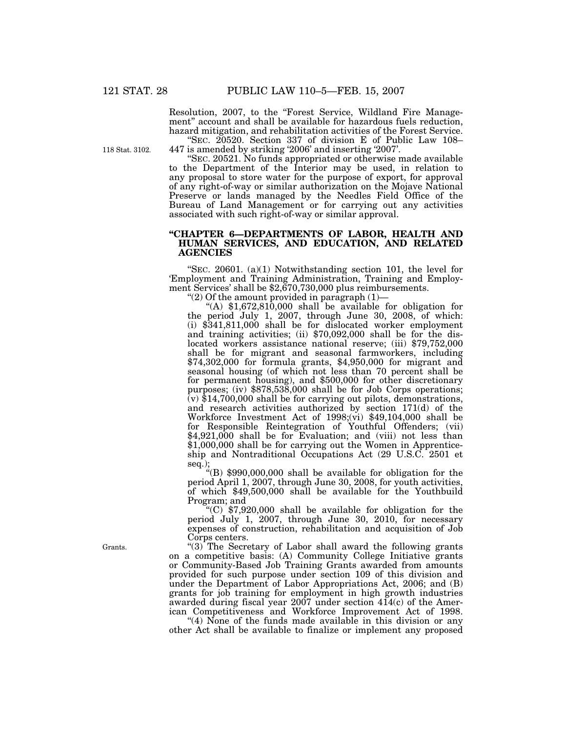Resolution, 2007, to the ''Forest Service, Wildland Fire Management" account and shall be available for hazardous fuels reduction, hazard mitigation, and rehabilitation activities of the Forest Service. ''SEC. 20520. Section 337 of division E of Public Law 108–

118 Stat. 3102.

447 is amended by striking '2006' and inserting '2007'.

''SEC. 20521. No funds appropriated or otherwise made available to the Department of the Interior may be used, in relation to any proposal to store water for the purpose of export, for approval of any right-of-way or similar authorization on the Mojave National Preserve or lands managed by the Needles Field Office of the Bureau of Land Management or for carrying out any activities associated with such right-of-way or similar approval.

# **''CHAPTER 6—DEPARTMENTS OF LABOR, HEALTH AND HUMAN SERVICES, AND EDUCATION, AND RELATED AGENCIES**

"SEC. 20601.  $(a)(1)$  Notwithstanding section 101, the level for 'Employment and Training Administration, Training and Employment Services' shall be \$2,670,730,000 plus reimbursements.

"(2) Of the amount provided in paragraph  $(1)$ -

"(A)  $$1,672,810,000$  shall be available for obligation for the period July 1, 2007, through June 30, 2008, of which: (i) \$341,811,000 shall be for dislocated worker employment and training activities; (ii) \$70,092,000 shall be for the dislocated workers assistance national reserve; (iii) \$79,752,000 shall be for migrant and seasonal farmworkers, including \$74,302,000 for formula grants, \$4,950,000 for migrant and seasonal housing (of which not less than 70 percent shall be for permanent housing), and \$500,000 for other discretionary purposes; (iv) \$878,538,000 shall be for Job Corps operations;  $\bar{y}$  \$14,700,000 shall be for carrying out pilots, demonstrations, and research activities authorized by section 171(d) of the Workforce Investment Act of 1998;(vi) \$49,104,000 shall be for Responsible Reintegration of Youthful Offenders; (vii) \$4,921,000 shall be for Evaluation; and (viii) not less than \$1,000,000 shall be for carrying out the Women in Apprenticeship and Nontraditional Occupations Act (29 U.S.C. 2501 et seq.);

''(B) \$990,000,000 shall be available for obligation for the period April 1, 2007, through June 30, 2008, for youth activities, of which \$49,500,000 shall be available for the Youthbuild Program; and

''(C) \$7,920,000 shall be available for obligation for the period July 1, 2007, through June 30, 2010, for necessary expenses of construction, rehabilitation and acquisition of Job Corps centers.

" $(3)$ <sup>"</sup>The Secretary of Labor shall award the following grants" on a competitive basis: (A) Community College Initiative grants or Community-Based Job Training Grants awarded from amounts provided for such purpose under section 109 of this division and under the Department of Labor Appropriations Act, 2006; and (B) grants for job training for employment in high growth industries awarded during fiscal year 2007 under section 414(c) of the American Competitiveness and Workforce Improvement Act of 1998.

" $(4)$  None of the funds made available in this division or any other Act shall be available to finalize or implement any proposed

Grants.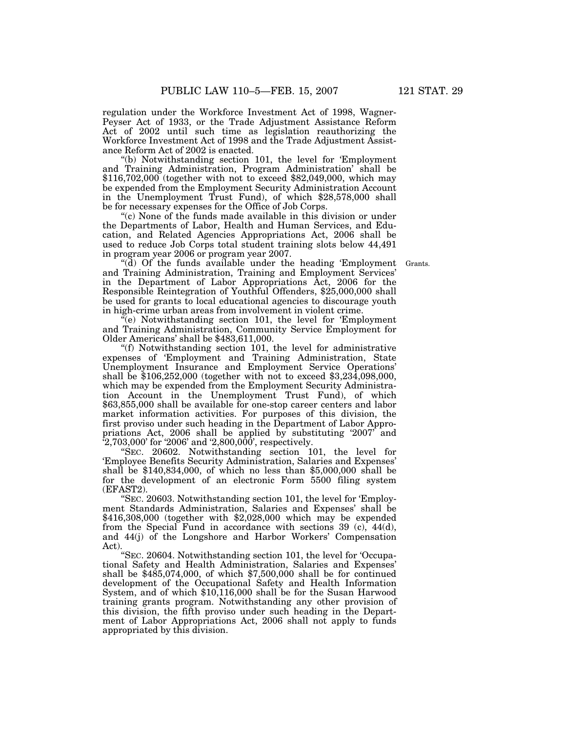regulation under the Workforce Investment Act of 1998, Wagner-Peyser Act of 1933, or the Trade Adjustment Assistance Reform Act of 2002 until such time as legislation reauthorizing the Workforce Investment Act of 1998 and the Trade Adjustment Assistance Reform Act of 2002 is enacted.

(b) Notwithstanding section 101, the level for 'Employment' and Training Administration, Program Administration' shall be \$116,702,000 (together with not to exceed \$82,049,000, which may be expended from the Employment Security Administration Account in the Unemployment Trust Fund), of which \$28,578,000 shall be for necessary expenses for the Office of Job Corps.

"(c) None of the funds made available in this division or under the Departments of Labor, Health and Human Services, and Education, and Related Agencies Appropriations Act, 2006 shall be used to reduce Job Corps total student training slots below 44,491 in program year 2006 or program year 2007.

Grants.

''(d) Of the funds available under the heading 'Employment and Training Administration, Training and Employment Services' in the Department of Labor Appropriations Act, 2006 for the Responsible Reintegration of Youthful Offenders, \$25,000,000 shall be used for grants to local educational agencies to discourage youth in high-crime urban areas from involvement in violent crime.

 $\mathcal{H}(e)$  Notwithstanding section 101, the level for 'Employment' and Training Administration, Community Service Employment for Older Americans' shall be \$483,611,000.

''(f) Notwithstanding section 101, the level for administrative expenses of 'Employment and Training Administration, State Unemployment Insurance and Employment Service Operations' shall be \$106,252,000 (together with not to exceed \$3,234,098,000, which may be expended from the Employment Security Administration Account in the Unemployment Trust Fund), of which \$63,855,000 shall be available for one-stop career centers and labor market information activities. For purposes of this division, the first proviso under such heading in the Department of Labor Appropriations Act, 2006 shall be applied by substituting '2007' and  $2,703,000$ ' for '2006' and '2,800,000', respectively.

''SEC. 20602. Notwithstanding section 101, the level for 'Employee Benefits Security Administration, Salaries and Expenses' shall be \$140,834,000, of which no less than \$5,000,000 shall be for the development of an electronic Form 5500 filing system (EFAST2).

''SEC. 20603. Notwithstanding section 101, the level for 'Employment Standards Administration, Salaries and Expenses' shall be \$416,308,000 (together with \$2,028,000 which may be expended from the Special Fund in accordance with sections 39 (c), 44(d), and 44(j) of the Longshore and Harbor Workers' Compensation Act).

''SEC. 20604. Notwithstanding section 101, the level for 'Occupational Safety and Health Administration, Salaries and Expenses' shall be \$485,074,000, of which \$7,500,000 shall be for continued development of the Occupational Safety and Health Information System, and of which \$10,116,000 shall be for the Susan Harwood training grants program. Notwithstanding any other provision of this division, the fifth proviso under such heading in the Department of Labor Appropriations Act, 2006 shall not apply to funds appropriated by this division.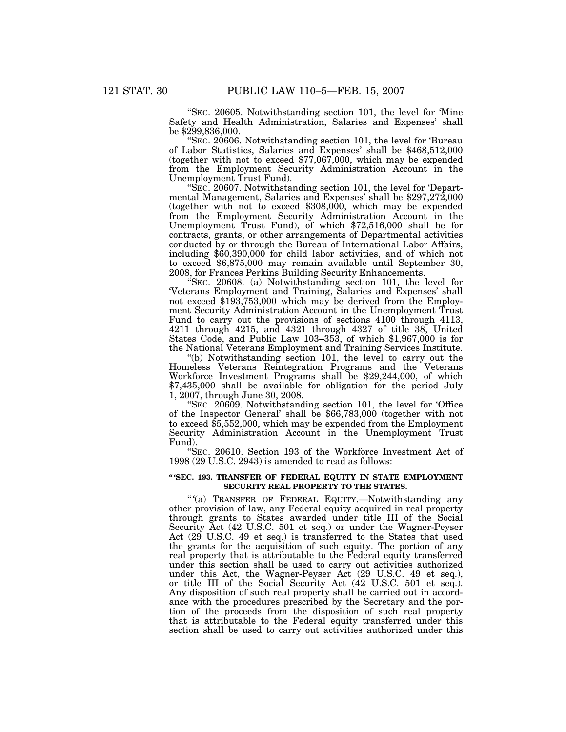''SEC. 20605. Notwithstanding section 101, the level for 'Mine Safety and Health Administration, Salaries and Expenses' shall be \$299,836,000.

''SEC. 20606. Notwithstanding section 101, the level for 'Bureau of Labor Statistics, Salaries and Expenses' shall be \$468,512,000 (together with not to exceed \$77,067,000, which may be expended from the Employment Security Administration Account in the Unemployment Trust Fund).

''SEC. 20607. Notwithstanding section 101, the level for 'Departmental Management, Salaries and Expenses' shall be \$297,272,000 (together with not to exceed \$308,000, which may be expended from the Employment Security Administration Account in the Unemployment Trust Fund), of which \$72,516,000 shall be for contracts, grants, or other arrangements of Departmental activities conducted by or through the Bureau of International Labor Affairs, including \$60,390,000 for child labor activities, and of which not to exceed \$6,875,000 may remain available until September 30, 2008, for Frances Perkins Building Security Enhancements.

''SEC. 20608. (a) Notwithstanding section 101, the level for 'Veterans Employment and Training, Salaries and Expenses' shall not exceed \$193,753,000 which may be derived from the Employment Security Administration Account in the Unemployment Trust Fund to carry out the provisions of sections 4100 through 4113, 4211 through 4215, and 4321 through 4327 of title 38, United States Code, and Public Law 103–353, of which \$1,967,000 is for the National Veterans Employment and Training Services Institute.

''(b) Notwithstanding section 101, the level to carry out the Homeless Veterans Reintegration Programs and the Veterans Workforce Investment Programs shall be \$29,244,000, of which \$7,435,000 shall be available for obligation for the period July 1, 2007, through June 30, 2008.

''SEC. 20609. Notwithstanding section 101, the level for 'Office of the Inspector General' shall be \$66,783,000 (together with not to exceed \$5,552,000, which may be expended from the Employment Security Administration Account in the Unemployment Trust Fund).

''SEC. 20610. Section 193 of the Workforce Investment Act of 1998 (29 U.S.C. 2943) is amended to read as follows:

#### **'' 'SEC. 193. TRANSFER OF FEDERAL EQUITY IN STATE EMPLOYMENT SECURITY REAL PROPERTY TO THE STATES.**

'' '(a) TRANSFER OF FEDERAL EQUITY.—Notwithstanding any other provision of law, any Federal equity acquired in real property through grants to States awarded under title III of the Social Security Act (42 U.S.C. 501 et seq.) or under the Wagner-Peyser Act (29 U.S.C. 49 et seq.) is transferred to the States that used the grants for the acquisition of such equity. The portion of any real property that is attributable to the Federal equity transferred under this section shall be used to carry out activities authorized under this Act, the Wagner-Peyser Act (29 U.S.C. 49 et seq.), or title III of the Social Security Act (42 U.S.C. 501 et seq.). Any disposition of such real property shall be carried out in accordance with the procedures prescribed by the Secretary and the portion of the proceeds from the disposition of such real property that is attributable to the Federal equity transferred under this section shall be used to carry out activities authorized under this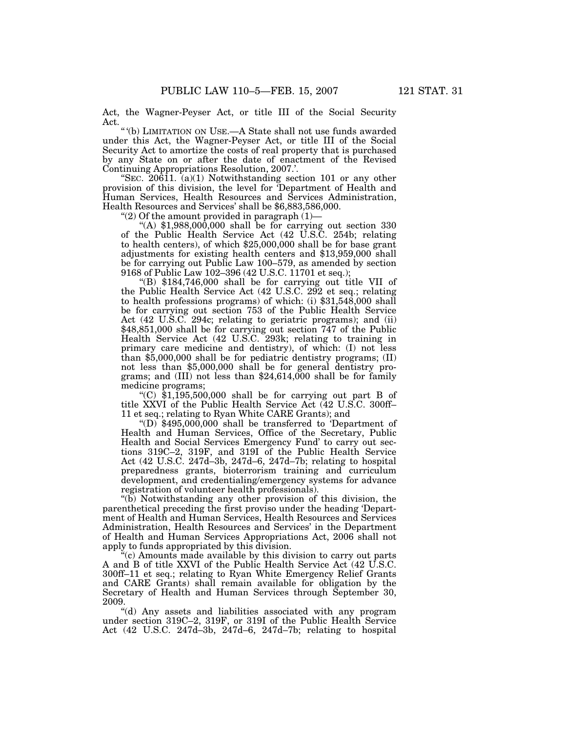Act, the Wagner-Peyser Act, or title III of the Social Security Act.

'' '(b) LIMITATION ON USE.—A State shall not use funds awarded under this Act, the Wagner-Peyser Act, or title III of the Social Security Act to amortize the costs of real property that is purchased by any State on or after the date of enactment of the Revised Continuing Appropriations Resolution, 2007.'.

"SEC. 20611. (a)(1) Notwithstanding section 101 or any other provision of this division, the level for 'Department of Health and Human Services, Health Resources and Services Administration, Health Resources and Services' shall be \$6,883,586,000.

"(2) Of the amount provided in paragraph  $(1)$ —

"(A)  $$1,988,000,000$  shall be for carrying out section 330 of the Public Health Service Act (42 U.S.C. 254b; relating to health centers), of which \$25,000,000 shall be for base grant adjustments for existing health centers and \$13,959,000 shall be for carrying out Public Law 100–579, as amended by section 9168 of Public Law 102–396 (42 U.S.C. 11701 et seq.);

''(B) \$184,746,000 shall be for carrying out title VII of the Public Health Service Act (42 U.S.C. 292 et seq.; relating to health professions programs) of which: (i) \$31,548,000 shall be for carrying out section 753 of the Public Health Service Act (42 U.S.C. 294c; relating to geriatric programs); and (ii) \$48,851,000 shall be for carrying out section 747 of the Public Health Service Act (42 U.S.C. 293k; relating to training in primary care medicine and dentistry), of which: (I) not less than \$5,000,000 shall be for pediatric dentistry programs; (II) not less than \$5,000,000 shall be for general dentistry programs; and (III) not less than \$24,614,000 shall be for family medicine programs;

"(C)  $$1,195,500,000$  shall be for carrying out part B of title XXVI of the Public Health Service Act (42 U.S.C. 300ff– 11 et seq.; relating to Ryan White CARE Grants); and

''(D) \$495,000,000 shall be transferred to 'Department of Health and Human Services, Office of the Secretary, Public Health and Social Services Emergency Fund' to carry out sections 319C–2, 319F, and 319I of the Public Health Service Act (42 U.S.C. 247d–3b, 247d–6, 247d–7b; relating to hospital preparedness grants, bioterrorism training and curriculum development, and credentialing/emergency systems for advance registration of volunteer health professionals).

"(b) Notwithstanding any other provision of this division, the parenthetical preceding the first proviso under the heading 'Department of Health and Human Services, Health Resources and Services Administration, Health Resources and Services' in the Department of Health and Human Services Appropriations Act, 2006 shall not apply to funds appropriated by this division.

 $e^x$ (c) Amounts made available by this division to carry out parts A and B of title XXVI of the Public Health Service Act (42 U.S.C. 300ff–11 et seq.; relating to Ryan White Emergency Relief Grants and CARE Grants) shall remain available for obligation by the Secretary of Health and Human Services through September 30, 2009.

''(d) Any assets and liabilities associated with any program under section 319C–2, 319F, or 319I of the Public Health Service Act (42 U.S.C. 247d–3b, 247d–6, 247d–7b; relating to hospital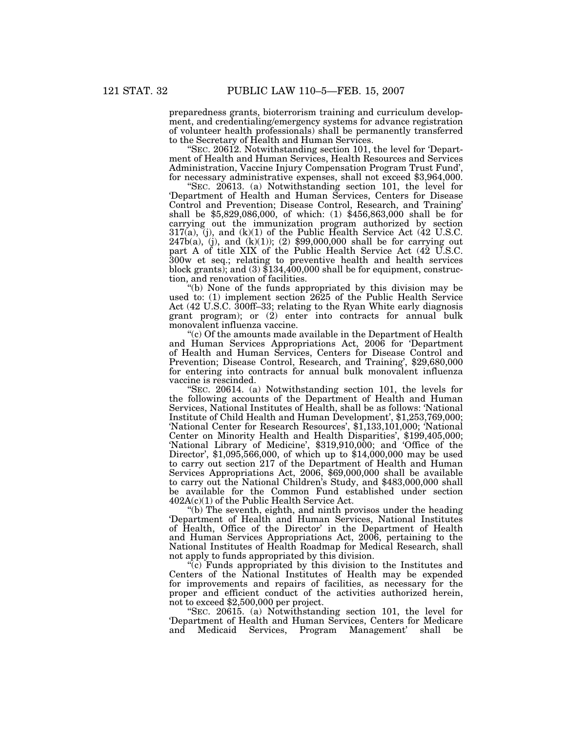preparedness grants, bioterrorism training and curriculum development, and credentialing/emergency systems for advance registration of volunteer health professionals) shall be permanently transferred to the Secretary of Health and Human Services.

''SEC. 20612. Notwithstanding section 101, the level for 'Department of Health and Human Services, Health Resources and Services Administration, Vaccine Injury Compensation Program Trust Fund', for necessary administrative expenses, shall not exceed \$3,964,000.

''SEC. 20613. (a) Notwithstanding section 101, the level for 'Department of Health and Human Services, Centers for Disease Control and Prevention; Disease Control, Research, and Training' shall be \$5,829,086,000, of which: (1) \$456,863,000 shall be for carrying out the immunization program authorized by section  $317(a)$ , (j), and (k)(1) of the Public Health Service Act (42 U.S.C.  $247b(a)$ , (j), and (k)(1)); (2) \$99,000,000 shall be for carrying out part A of title XIX of the Public Health Service Act (42 U.S.C. 300w et seq.; relating to preventive health and health services block grants); and (3) \$134,400,000 shall be for equipment, construction, and renovation of facilities.

''(b) None of the funds appropriated by this division may be used to: (1) implement section 2625 of the Public Health Service Act (42 U.S.C. 300ff–33; relating to the Ryan White early diagnosis grant program); or (2) enter into contracts for annual bulk monovalent influenza vaccine.

''(c) Of the amounts made available in the Department of Health and Human Services Appropriations Act, 2006 for 'Department of Health and Human Services, Centers for Disease Control and Prevention; Disease Control, Research, and Training', \$29,680,000 for entering into contracts for annual bulk monovalent influenza vaccine is rescinded.

''SEC. 20614. (a) Notwithstanding section 101, the levels for the following accounts of the Department of Health and Human Services, National Institutes of Health, shall be as follows: 'National Institute of Child Health and Human Development', \$1,253,769,000; 'National Center for Research Resources', \$1,133,101,000; 'National Center on Minority Health and Health Disparities', \$199,405,000; 'National Library of Medicine', \$319,910,000; and 'Office of the Director', \$1,095,566,000, of which up to \$14,000,000 may be used to carry out section 217 of the Department of Health and Human Services Appropriations Act, 2006, \$69,000,000 shall be available to carry out the National Children's Study, and \$483,000,000 shall be available for the Common Fund established under section  $402A(c)(1)$  of the Public Health Service Act.

''(b) The seventh, eighth, and ninth provisos under the heading 'Department of Health and Human Services, National Institutes of Health, Office of the Director' in the Department of Health and Human Services Appropriations Act, 2006, pertaining to the National Institutes of Health Roadmap for Medical Research, shall not apply to funds appropriated by this division.

 $\overline{c}$  Funds appropriated by this division to the Institutes and Centers of the National Institutes of Health may be expended for improvements and repairs of facilities, as necessary for the proper and efficient conduct of the activities authorized herein, not to exceed \$2,500,000 per project.

''SEC. 20615. (a) Notwithstanding section 101, the level for 'Department of Health and Human Services, Centers for Medicare and Medicaid Services, Program Management' shall be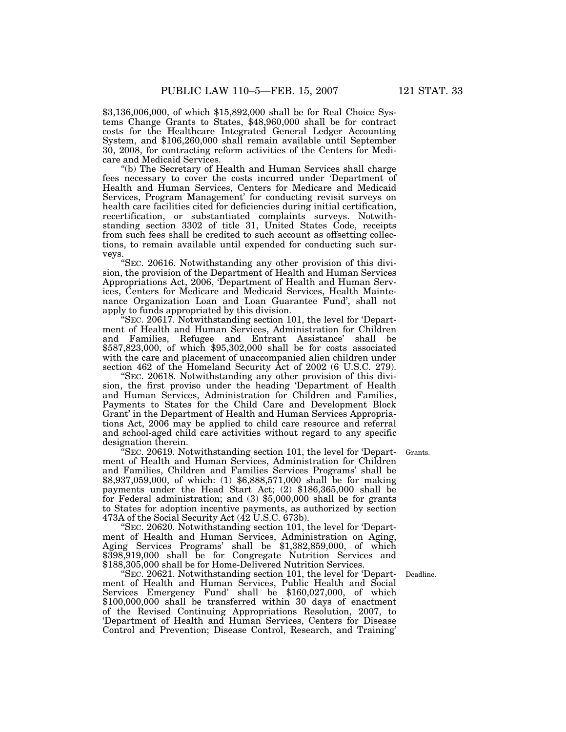\$3,136,006,000, of which \$15,892,000 shall be for Real Choice Systems Change Grants to States, \$48,960,000 shall be for contract costs for the Healthcare Integrated General Ledger Accounting System, and \$106,260,000 shall remain available until September 30, 2008, for contracting reform activities of the Centers for Medicare and Medicaid Services.

''(b) The Secretary of Health and Human Services shall charge fees necessary to cover the costs incurred under 'Department of Health and Human Services, Centers for Medicare and Medicaid Services, Program Management' for conducting revisit surveys on health care facilities cited for deficiencies during initial certification, recertification, or substantiated complaints surveys. Notwithstanding section 3302 of title 31, United States Code, receipts from such fees shall be credited to such account as offsetting collections, to remain available until expended for conducting such surveys.

''SEC. 20616. Notwithstanding any other provision of this division, the provision of the Department of Health and Human Services Appropriations Act, 2006, 'Department of Health and Human Services, Centers for Medicare and Medicaid Services, Health Maintenance Organization Loan and Loan Guarantee Fund', shall not apply to funds appropriated by this division.

''SEC. 20617. Notwithstanding section 101, the level for 'Department of Health and Human Services, Administration for Children and Families, Refugee and Entrant Assistance' shall be \$587,823,000, of which \$95,302,000 shall be for costs associated with the care and placement of unaccompanied alien children under section 462 of the Homeland Security Act of 2002 (6 U.S.C. 279).

''SEC. 20618. Notwithstanding any other provision of this division, the first proviso under the heading 'Department of Health and Human Services, Administration for Children and Families, Payments to States for the Child Care and Development Block Grant' in the Department of Health and Human Services Appropriations Act, 2006 may be applied to child care resource and referral and school-aged child care activities without regard to any specific designation therein.

Grants.

''SEC. 20619. Notwithstanding section 101, the level for 'Department of Health and Human Services, Administration for Children and Families, Children and Families Services Programs' shall be \$8,937,059,000, of which: (1) \$6,888,571,000 shall be for making payments under the Head Start Act; (2) \$186,365,000 shall be for Federal administration; and (3) \$5,000,000 shall be for grants to States for adoption incentive payments, as authorized by section 473A of the Social Security Act (42 U.S.C. 673b).

''SEC. 20620. Notwithstanding section 101, the level for 'Department of Health and Human Services, Administration on Aging, Aging Services Programs' shall be \$1,382,859,000, of which \$398,919,000 shall be for Congregate Nutrition Services and \$188,305,000 shall be for Home-Delivered Nutrition Services.

''SEC. 20621. Notwithstanding section 101, the level for 'Department of Health and Human Services, Public Health and Social Services Emergency Fund' shall be \$160,027,000, of which \$100,000,000 shall be transferred within 30 days of enactment of the Revised Continuing Appropriations Resolution, 2007, to 'Department of Health and Human Services, Centers for Disease Control and Prevention; Disease Control, Research, and Training'

Deadline.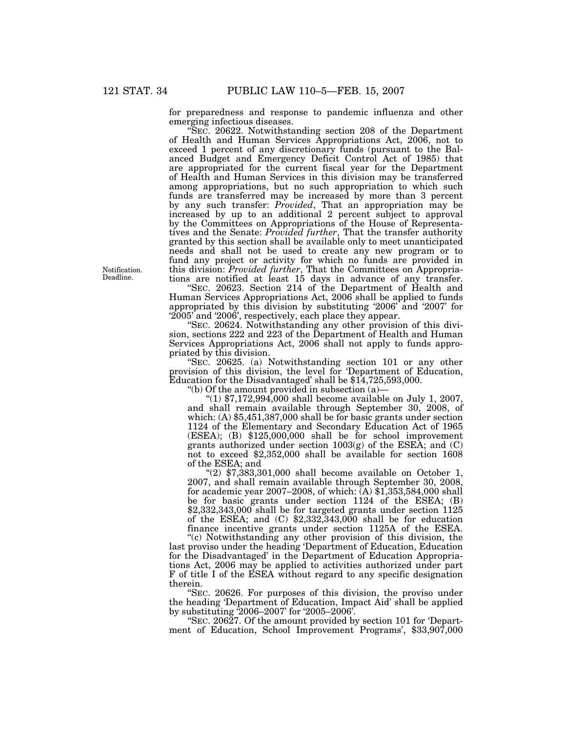for preparedness and response to pandemic influenza and other emerging infectious diseases.

''SEC. 20622. Notwithstanding section 208 of the Department of Health and Human Services Appropriations Act, 2006, not to exceed 1 percent of any discretionary funds (pursuant to the Balanced Budget and Emergency Deficit Control Act of 1985) that are appropriated for the current fiscal year for the Department of Health and Human Services in this division may be transferred among appropriations, but no such appropriation to which such funds are transferred may be increased by more than 3 percent by any such transfer: *Provided*, That an appropriation may be increased by up to an additional 2 percent subject to approval by the Committees on Appropriations of the House of Representatives and the Senate: *Provided further*, That the transfer authority granted by this section shall be available only to meet unanticipated needs and shall not be used to create any new program or to fund any project or activity for which no funds are provided in this division: *Provided further*, That the Committees on Appropriations are notified at least 15 days in advance of any transfer.

''SEC. 20623. Section 214 of the Department of Health and Human Services Appropriations Act, 2006 shall be applied to funds appropriated by this division by substituting '2006' and '2007' for '2005' and '2006', respectively, each place they appear.

"SEC. 20624. Notwithstanding any other provision of this division, sections 222 and 223 of the Department of Health and Human Services Appropriations Act, 2006 shall not apply to funds appropriated by this division.

''SEC. 20625. (a) Notwithstanding section 101 or any other provision of this division, the level for 'Department of Education, Education for the Disadvantaged' shall be \$14,725,593,000.

"(b) Of the amount provided in subsection  $(a)$ -

"(1)  $$7,172,994,000$  shall become available on July 1, 2007, and shall remain available through September 30, 2008, of which: (A) \$5,451,387,000 shall be for basic grants under section 1124 of the Elementary and Secondary Education Act of 1965  $(ESEA);$   $(B)$  \$125,000,000 shall be for school improvement grants authorized under section 1003(g) of the ESEA; and (C) not to exceed \$2,352,000 shall be available for section 1608 of the ESEA; and

" $(2)$  \$7,383,301,000 shall become available on October 1, 2007, and shall remain available through September 30, 2008, for academic year 2007–2008, of which:  $\tilde{A}$ ) \$1,353,584,000 shall be for basic grants under section 1124 of the ESEA; (B) \$2,332,343,000 shall be for targeted grants under section 1125 of the ESEA; and (C) \$2,332,343,000 shall be for education finance incentive grants under section 1125A of the ESEA.

''(c) Notwithstanding any other provision of this division, the last proviso under the heading 'Department of Education, Education for the Disadvantaged' in the Department of Education Appropriations Act, 2006 may be applied to activities authorized under part F of title I of the ESEA without regard to any specific designation therein.

''SEC. 20626. For purposes of this division, the proviso under the heading 'Department of Education, Impact Aid' shall be applied by substituting '2006–2007' for '2005–2006'.<br>"SEC. 20627. Of the amount provided by section 101 for 'Depart-

ment of Education, School Improvement Programs', \$33,907,000

Notification. Deadline.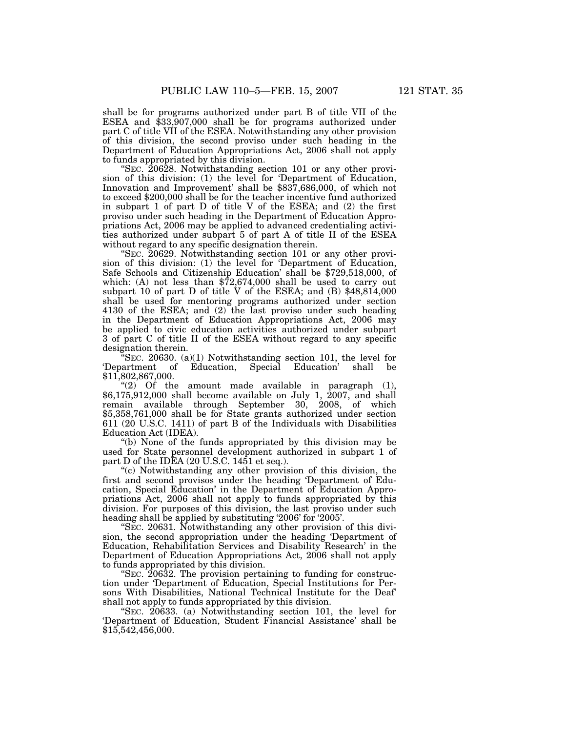shall be for programs authorized under part B of title VII of the ESEA and \$33,907,000 shall be for programs authorized under part C of title VII of the ESEA. Notwithstanding any other provision of this division, the second proviso under such heading in the Department of Education Appropriations Act, 2006 shall not apply to funds appropriated by this division.

''SEC. 20628. Notwithstanding section 101 or any other provision of this division: (1) the level for 'Department of Education, Innovation and Improvement' shall be \$837,686,000, of which not to exceed \$200,000 shall be for the teacher incentive fund authorized in subpart 1 of part D of title V of the ESEA; and (2) the first proviso under such heading in the Department of Education Appropriations Act, 2006 may be applied to advanced credentialing activities authorized under subpart 5 of part A of title II of the ESEA without regard to any specific designation therein.

''SEC. 20629. Notwithstanding section 101 or any other provision of this division: (1) the level for 'Department of Education, Safe Schools and Citizenship Education' shall be \$729,518,000, of which: (A) not less than  $\frac{272,674,000}{2}$  shall be used to carry out subpart 10 of part D of title V of the ESEA; and  $(B)$  \$48,814,000 shall be used for mentoring programs authorized under section 4130 of the ESEA; and (2) the last proviso under such heading in the Department of Education Appropriations Act, 2006 may be applied to civic education activities authorized under subpart 3 of part C of title II of the ESEA without regard to any specific designation therein.

'SEC. 20630. (a)(1) Notwithstanding section 101, the level for<br>artment of Education, Special Education' shall be 'Department of Education, Special Education' \$11,802,867,000.

" $(2)$  Of the amount made available in paragraph  $(1)$ , \$6,175,912,000 shall become available on July 1, 2007, and shall remain available through September 30, 2008, of which \$5,358,761,000 shall be for State grants authorized under section 611 (20 U.S.C. 1411) of part B of the Individuals with Disabilities Education Act (IDEA).

''(b) None of the funds appropriated by this division may be used for State personnel development authorized in subpart 1 of part D of the IDEA (20 U.S.C. 1451 et seq.).

''(c) Notwithstanding any other provision of this division, the first and second provisos under the heading 'Department of Education, Special Education' in the Department of Education Appropriations Act, 2006 shall not apply to funds appropriated by this division. For purposes of this division, the last proviso under such heading shall be applied by substituting '2006' for '2005'.

''SEC. 20631. Notwithstanding any other provision of this division, the second appropriation under the heading 'Department of Education, Rehabilitation Services and Disability Research' in the Department of Education Appropriations Act, 2006 shall not apply to funds appropriated by this division.

''SEC. 20632. The provision pertaining to funding for construction under 'Department of Education, Special Institutions for Persons With Disabilities, National Technical Institute for the Deaf' shall not apply to funds appropriated by this division.

''SEC. 20633. (a) Notwithstanding section 101, the level for 'Department of Education, Student Financial Assistance' shall be \$15,542,456,000.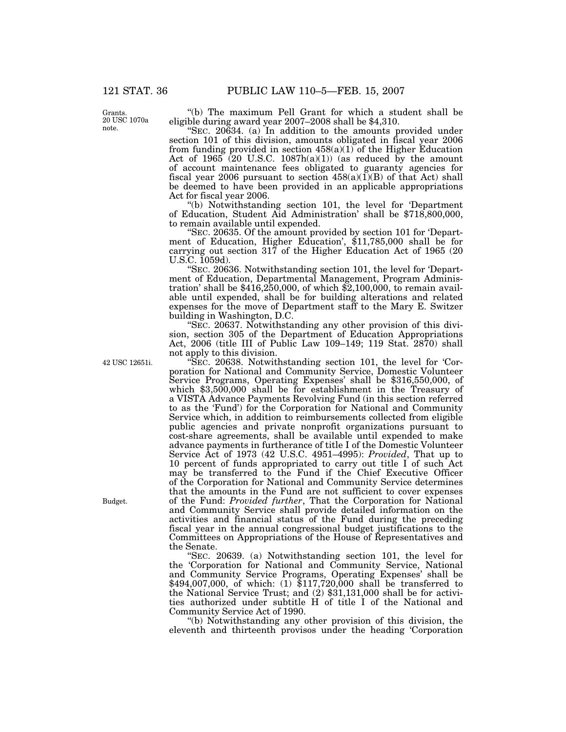Grants. 20 USC 1070a note.

''(b) The maximum Pell Grant for which a student shall be eligible during award year 2007–2008 shall be \$4,310.

''SEC. 20634. (a) In addition to the amounts provided under section 101 of this division, amounts obligated in fiscal year 2006 from funding provided in section  $458(a)(1)$  of the Higher Education Act of 1965 (20 U.S.C. 1087h(a)(1)) (as reduced by the amount of account maintenance fees obligated to guaranty agencies for fiscal year 2006 pursuant to section  $458(a)(1)(B)$  of that Act) shall be deemed to have been provided in an applicable appropriations Act for fiscal year 2006.

''(b) Notwithstanding section 101, the level for 'Department of Education, Student Aid Administration' shall be \$718,800,000, to remain available until expended.<br>"SEC. 20635. Of the amount provided by section 101 for 'Depart-

ment of Education, Higher Education', \$11,785,000 shall be for carrying out section 317 of the Higher Education Act of 1965 (20 U.S.C. 1059d).

''SEC. 20636. Notwithstanding section 101, the level for 'Department of Education, Departmental Management, Program Administration' shall be \$416,250,000, of which \$2,100,000, to remain available until expended, shall be for building alterations and related expenses for the move of Department staff to the Mary E. Switzer building in Washington, D.C.

''SEC. 20637. Notwithstanding any other provision of this division, section 305 of the Department of Education Appropriations Act, 2006 (title III of Public Law 109–149; 119 Stat. 2870) shall not apply to this division.

''SEC. 20638. Notwithstanding section 101, the level for 'Corporation for National and Community Service, Domestic Volunteer Service Programs, Operating Expenses' shall be \$316,550,000, of which \$3,500,000 shall be for establishment in the Treasury of a VISTA Advance Payments Revolving Fund (in this section referred to as the 'Fund') for the Corporation for National and Community Service which, in addition to reimbursements collected from eligible public agencies and private nonprofit organizations pursuant to cost-share agreements, shall be available until expended to make advance payments in furtherance of title I of the Domestic Volunteer Service Act of 1973 (42 U.S.C. 4951–4995): *Provided*, That up to 10 percent of funds appropriated to carry out title I of such Act may be transferred to the Fund if the Chief Executive Officer of the Corporation for National and Community Service determines that the amounts in the Fund are not sufficient to cover expenses of the Fund: *Provided further*, That the Corporation for National and Community Service shall provide detailed information on the activities and financial status of the Fund during the preceding fiscal year in the annual congressional budget justifications to the Committees on Appropriations of the House of Representatives and the Senate.

''SEC. 20639. (a) Notwithstanding section 101, the level for the 'Corporation for National and Community Service, National and Community Service Programs, Operating Expenses' shall be \$494,007,000, of which: (1) \$117,720,000 shall be transferred to the National Service Trust; and (2) \$31,131,000 shall be for activities authorized under subtitle H of title I of the National and Community Service Act of 1990.

''(b) Notwithstanding any other provision of this division, the eleventh and thirteenth provisos under the heading 'Corporation

42 USC 12651i.

Budget.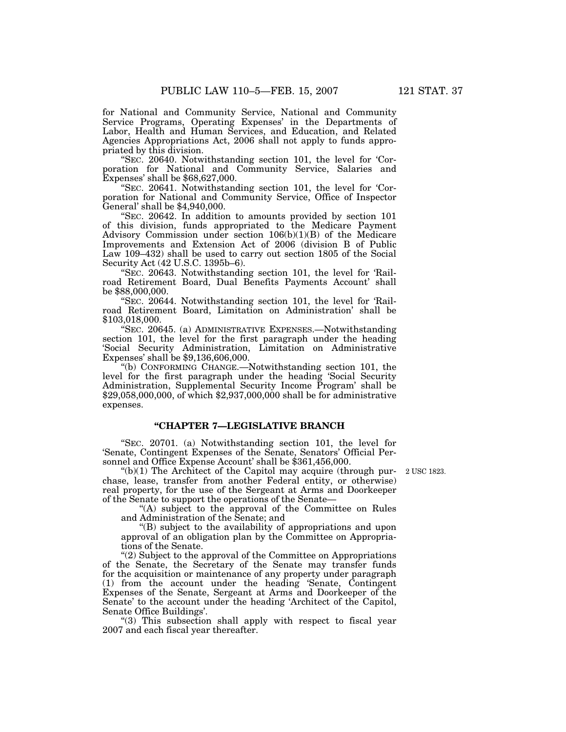for National and Community Service, National and Community Service Programs, Operating Expenses' in the Departments of Labor, Health and Human Services, and Education, and Related Agencies Appropriations Act, 2006 shall not apply to funds appropriated by this division.

''SEC. 20640. Notwithstanding section 101, the level for 'Corporation for National and Community Service, Salaries and Expenses' shall be \$68,627,000.

''SEC. 20641. Notwithstanding section 101, the level for 'Corporation for National and Community Service, Office of Inspector General' shall be \$4,940,000.

''SEC. 20642. In addition to amounts provided by section 101 of this division, funds appropriated to the Medicare Payment Advisory Commission under section 106(b)(1)(B) of the Medicare Improvements and Extension Act of 2006 (division B of Public Law 109–432) shall be used to carry out section 1805 of the Social Security Act (42 U.S.C. 1395b–6).

''SEC. 20643. Notwithstanding section 101, the level for 'Railroad Retirement Board, Dual Benefits Payments Account' shall be \$88,000,000.

''SEC. 20644. Notwithstanding section 101, the level for 'Railroad Retirement Board, Limitation on Administration' shall be \$103,018,000.

''SEC. 20645. (a) ADMINISTRATIVE EXPENSES.—Notwithstanding section 101, the level for the first paragraph under the heading 'Social Security Administration, Limitation on Administrative Expenses' shall be \$9,136,606,000.

''(b) CONFORMING CHANGE.—Notwithstanding section 101, the level for the first paragraph under the heading 'Social Security Administration, Supplemental Security Income Program' shall be \$29,058,000,000, of which \$2,937,000,000 shall be for administrative expenses.

# **''CHAPTER 7—LEGISLATIVE BRANCH**

''SEC. 20701. (a) Notwithstanding section 101, the level for 'Senate, Contingent Expenses of the Senate, Senators' Official Personnel and Office Expense Account' shall be \$361,456,000.

" $(b)(1)$  The Architect of the Capitol may acquire (through pur-  $2$  USC 1823. chase, lease, transfer from another Federal entity, or otherwise) real property, for the use of the Sergeant at Arms and Doorkeeper of the Senate to support the operations of the Senate—

''(A) subject to the approval of the Committee on Rules and Administration of the Senate; and

''(B) subject to the availability of appropriations and upon approval of an obligation plan by the Committee on Appropriations of the Senate.

"(2) Subject to the approval of the Committee on Appropriations of the Senate, the Secretary of the Senate may transfer funds for the acquisition or maintenance of any property under paragraph (1) from the account under the heading 'Senate, Contingent Expenses of the Senate, Sergeant at Arms and Doorkeeper of the Senate' to the account under the heading 'Architect of the Capitol, Senate Office Buildings'.

"(3) This subsection shall apply with respect to fiscal year 2007 and each fiscal year thereafter.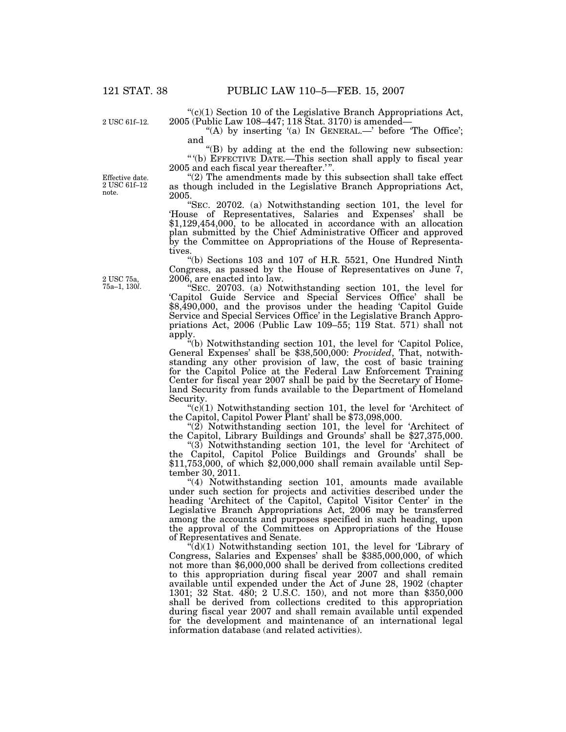$C<sup>(c)</sup>(1)$  Section 10 of the Legislative Branch Appropriations Act, 2005 (Public Law 108–447; 118 Stat. 3170) is amended—

"(A) by inserting '(a) In GENERAL.—' before 'The Office'; and

''(B) by adding at the end the following new subsection: '' '(b) EFFECTIVE DATE.—This section shall apply to fiscal year 2005 and each fiscal year thereafter.'".

" $(2)$  The amendments made by this subsection shall take effect as though included in the Legislative Branch Appropriations Act, 2005.

''SEC. 20702. (a) Notwithstanding section 101, the level for 'House of Representatives, Salaries and Expenses' shall be \$1,129,454,000, to be allocated in accordance with an allocation plan submitted by the Chief Administrative Officer and approved by the Committee on Appropriations of the House of Representatives.

''(b) Sections 103 and 107 of H.R. 5521, One Hundred Ninth Congress, as passed by the House of Representatives on June 7, 2006, are enacted into law.

''SEC. 20703. (a) Notwithstanding section 101, the level for 'Capitol Guide Service and Special Services Office' shall be \$8,490,000, and the provisos under the heading 'Capitol Guide Service and Special Services Office' in the Legislative Branch Appropriations Act,  $2006$  (Public Law 109–55; 119 Stat. 571) shall not apply.

''(b) Notwithstanding section 101, the level for 'Capitol Police, General Expenses' shall be \$38,500,000: *Provided*, That, notwithstanding any other provision of law, the cost of basic training for the Capitol Police at the Federal Law Enforcement Training Center for fiscal year 2007 shall be paid by the Secretary of Homeland Security from funds available to the Department of Homeland Security.

 $(c)(1)$  Notwithstanding section 101, the level for 'Architect of the Capitol, Capitol Power Plant' shall be \$73,098,000.<br>
"(2) Notwithstanding section 101, the level for 'Architect of

the Capitol, Library Buildings and Grounds' shall be \$27,375,000.

"(3) Notwithstanding section 101, the level for 'Architect of the Capitol, Capitol Police Buildings and Grounds' shall be \$11,753,000, of which \$2,000,000 shall remain available until September 30, 2011.

''(4) Notwithstanding section 101, amounts made available under such section for projects and activities described under the heading 'Architect of the Capitol, Capitol Visitor Center' in the Legislative Branch Appropriations Act, 2006 may be transferred among the accounts and purposes specified in such heading, upon the approval of the Committees on Appropriations of the House of Representatives and Senate.

 $\tilde{d}(d)(1)$  Notwithstanding section 101, the level for 'Library of Congress, Salaries and Expenses' shall be \$385,000,000, of which not more than \$6,000,000 shall be derived from collections credited to this appropriation during fiscal year 2007 and shall remain available until expended under the Act of June 28, 1902 (chapter 1301; 32 Stat. 480; 2 U.S.C. 150), and not more than \$350,000 shall be derived from collections credited to this appropriation during fiscal year 2007 and shall remain available until expended for the development and maintenance of an international legal information database (and related activities).

note.

Effective date. 2 USC 61f–12

2 USC 61f–12.

2 USC 75a, 75a–1, 130*l*.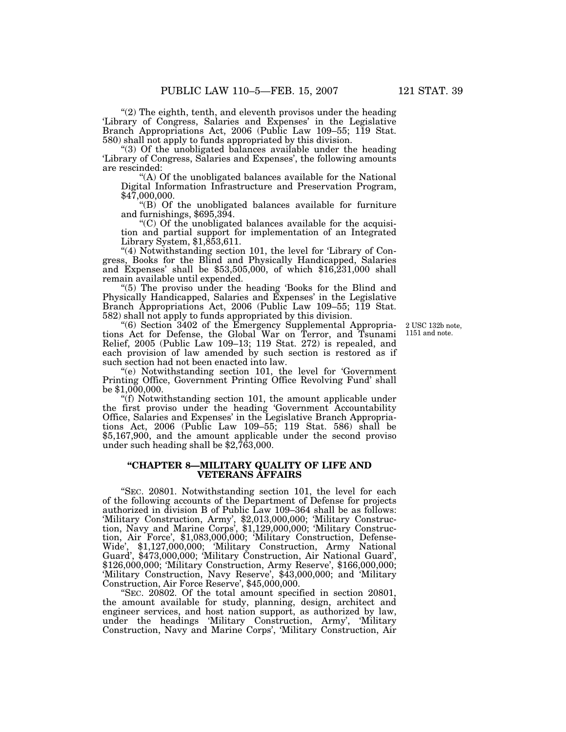"(2) The eighth, tenth, and eleventh provisos under the heading 'Library of Congress, Salaries and Expenses' in the Legislative Branch Appropriations Act, 2006 (Public Law 109–55; 119 Stat. 580) shall not apply to funds appropriated by this division.

"(3) Of the unobligated balances available under the heading 'Library of Congress, Salaries and Expenses', the following amounts are rescinded:

"(A) Of the unobligated balances available for the National Digital Information Infrastructure and Preservation Program, \$47,000,000.

''(B) Of the unobligated balances available for furniture and furnishings, \$695,394.

''(C) Of the unobligated balances available for the acquisition and partial support for implementation of an Integrated Library System, \$1,853,611.

"(4) Notwithstanding section 101, the level for 'Library of Congress, Books for the Blind and Physically Handicapped, Salaries and Expenses' shall be  $$53,505,000$ , of which  $$16,231,000$  shall remain available until expended.

''(5) The proviso under the heading 'Books for the Blind and Physically Handicapped, Salaries and Expenses' in the Legislative Branch Appropriations Act, 2006 (Public Law 109–55; 119 Stat. 582) shall not apply to funds appropriated by this division.

''(6) Section 3402 of the Emergency Supplemental Appropriations Act for Defense, the Global War on Terror, and Tsunami Relief, 2005 (Public Law 109–13; 119 Stat. 272) is repealed, and each provision of law amended by such section is restored as if such section had not been enacted into law.

''(e) Notwithstanding section 101, the level for 'Government Printing Office, Government Printing Office Revolving Fund' shall be \$1,000,000.

"(f) Notwithstanding section 101, the amount applicable under the first proviso under the heading 'Government Accountability Office, Salaries and Expenses' in the Legislative Branch Appropriations Act, 2006 (Public Law 109-55; 119 Stat. 586) shall be \$5,167,900, and the amount applicable under the second proviso under such heading shall be \$2,763,000.

#### **''CHAPTER 8—MILITARY QUALITY OF LIFE AND VETERANS AFFAIRS**

''SEC. 20801. Notwithstanding section 101, the level for each of the following accounts of the Department of Defense for projects authorized in division B of Public Law 109–364 shall be as follows: 'Military Construction, Army', \$2,013,000,000; 'Military Construction, Navy and Marine Corps', \$1,129,000,000; 'Military Construction, Air Force', \$1,083,000,000; 'Military Construction, Defense-Wide', \$1,127,000,000; 'Military Construction, Army National Guard', \$473,000,000; 'Military Construction, Air National Guard', \$126,000,000; 'Military Construction, Army Reserve', \$166,000,000; 'Military Construction, Navy Reserve', \$43,000,000; and 'Military Construction, Air Force Reserve', \$45,000,000.

''SEC. 20802. Of the total amount specified in section 20801, the amount available for study, planning, design, architect and engineer services, and host nation support, as authorized by law, under the headings 'Military Construction, Army', 'Military Construction, Navy and Marine Corps', 'Military Construction, Air

2 USC 132b note, 1151 and note.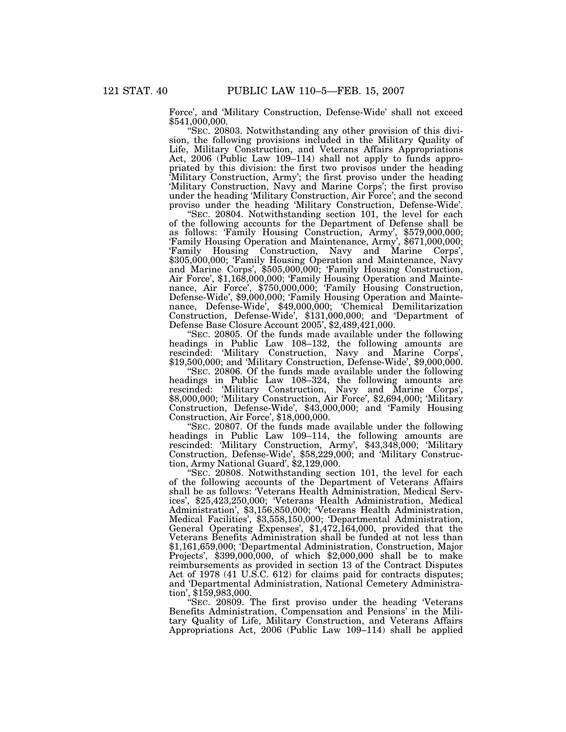Force', and 'Military Construction, Defense-Wide' shall not exceed \$541,000,000.

''SEC. 20803. Notwithstanding any other provision of this division, the following provisions included in the Military Quality of Life, Military Construction, and Veterans Affairs Appropriations Act, 2006 (Public Law 109–114) shall not apply to funds appropriated by this division: the first two provisos under the heading 'Military Construction, Army'; the first proviso under the heading 'Military Construction, Navy and Marine Corps'; the first proviso under the heading 'Military Construction, Air Force'; and the second proviso under the heading 'Military Construction, Defense-Wide'.

''SEC. 20804. Notwithstanding section 101, the level for each of the following accounts for the Department of Defense shall be as follows: 'Family Housing Construction, Army', \$579,000,000; 'Family Housing Operation and Maintenance, Army', \$671,000,000; 'Family Housing Construction, Navy and Marine Corps', \$305,000,000; 'Family Housing Operation and Maintenance, Navy and Marine Corps', \$505,000,000; 'Family Housing Construction, Air Force', \$1,168,000,000; 'Family Housing Operation and Maintenance, Air Force', \$750,000,000; 'Family Housing Construction, Defense-Wide', \$9,000,000; 'Family Housing Operation and Maintenance, Defense-Wide', \$49,000,000; 'Chemical Demilitarization Construction, Defense-Wide', \$131,000,000; and 'Department of Defense Base Closure Account 2005', \$2,489,421,000.

''SEC. 20805. Of the funds made available under the following headings in Public Law 108–132, the following amounts are rescinded: 'Military Construction, Navy and Marine Corps', \$19,500,000; and 'Military Construction, Defense-Wide', \$9,000,000.

'SEC. 20806. Of the funds made available under the following headings in Public Law 108–324, the following amounts are rescinded: 'Military Construction, Navy and Marine Corps', \$8,000,000; 'Military Construction, Air Force', \$2,694,000; 'Military Construction, Defense-Wide', \$43,000,000; and 'Family Housing Construction, Air Force', \$18,000,000.

''SEC. 20807. Of the funds made available under the following headings in Public Law 109–114, the following amounts are rescinded: 'Military Construction, Army', \$43,348,000; 'Military Construction, Defense-Wide', \$58,229,000; and 'Military Construction, Army National Guard', \$2,129,000.

''SEC. 20808. Notwithstanding section 101, the level for each of the following accounts of the Department of Veterans Affairs shall be as follows: 'Veterans Health Administration, Medical Services', \$25,423,250,000; 'Veterans Health Administration, Medical Administration', \$3,156,850,000; 'Veterans Health Administration, Medical Facilities', \$3,558,150,000; 'Departmental Administration, General Operating Expenses', \$1,472,164,000, provided that the Veterans Benefits Administration shall be funded at not less than \$1,161,659,000; 'Departmental Administration, Construction, Major Projects', \$399,000,000, of which \$2,000,000 shall be to make reimbursements as provided in section 13 of the Contract Disputes Act of 1978 (41 U.S.C. 612) for claims paid for contracts disputes; and 'Departmental Administration, National Cemetery Administration', \$159,983,000.

''SEC. 20809. The first proviso under the heading 'Veterans Benefits Administration, Compensation and Pensions' in the Military Quality of Life, Military Construction, and Veterans Affairs Appropriations Act, 2006 (Public Law 109–114) shall be applied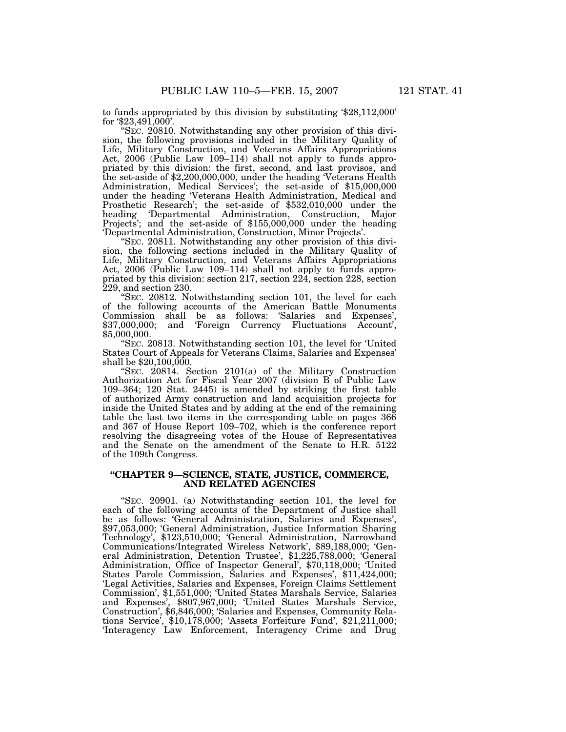to funds appropriated by this division by substituting '\$28,112,000' for '\$23,491,000'.

''SEC. 20810. Notwithstanding any other provision of this division, the following provisions included in the Military Quality of Life, Military Construction, and Veterans Affairs Appropriations Act, 2006 (Public Law 109–114) shall not apply to funds appropriated by this division: the first, second, and last provisos, and the set-aside of \$2,200,000,000, under the heading 'Veterans Health Administration, Medical Services'; the set-aside of \$15,000,000 under the heading 'Veterans Health Administration, Medical and Prosthetic Research'; the set-aside of \$532,010,000 under the heading 'Departmental Administration, Construction, Major Projects'; and the set-aside of \$155,000,000 under the heading 'Departmental Administration, Construction, Minor Projects'.

''SEC. 20811. Notwithstanding any other provision of this division, the following sections included in the Military Quality of Life, Military Construction, and Veterans Affairs Appropriations Act, 2006 (Public Law 109–114) shall not apply to funds appropriated by this division: section 217, section 224, section 228, section 229, and section 230.

''SEC. 20812. Notwithstanding section 101, the level for each of the following accounts of the American Battle Monuments Commission shall be as follows: 'Salaries and Expenses', \$37,000,000; and 'Foreign Currency Fluctuations Account', \$5,000,000.

''SEC. 20813. Notwithstanding section 101, the level for 'United States Court of Appeals for Veterans Claims, Salaries and Expenses' shall be \$20,100,000.

''SEC. 20814. Section 2101(a) of the Military Construction Authorization Act for Fiscal Year 2007 (division B of Public Law 109–364; 120 Stat. 2445) is amended by striking the first table of authorized Army construction and land acquisition projects for inside the United States and by adding at the end of the remaining table the last two items in the corresponding table on pages 366 and 367 of House Report 109–702, which is the conference report resolving the disagreeing votes of the House of Representatives and the Senate on the amendment of the Senate to H.R. 5122 of the 109th Congress.

# **''CHAPTER 9—SCIENCE, STATE, JUSTICE, COMMERCE, AND RELATED AGENCIES**

''SEC. 20901. (a) Notwithstanding section 101, the level for each of the following accounts of the Department of Justice shall be as follows: 'General Administration, Salaries and Expenses', \$97,053,000; 'General Administration, Justice Information Sharing Technology', \$123,510,000; 'General Administration, Narrowband Communications/Integrated Wireless Network', \$89,188,000; 'General Administration, Detention Trustee', \$1,225,788,000; 'General Administration, Office of Inspector General', \$70,118,000; 'United States Parole Commission, Salaries and Expenses', \$11,424,000; 'Legal Activities, Salaries and Expenses, Foreign Claims Settlement Commission', \$1,551,000; 'United States Marshals Service, Salaries and Expenses', \$807,967,000; 'United States Marshals Service, Construction', \$6,846,000; 'Salaries and Expenses, Community Relations Service', \$10,178,000; 'Assets Forfeiture Fund', \$21,211,000; 'Interagency Law Enforcement, Interagency Crime and Drug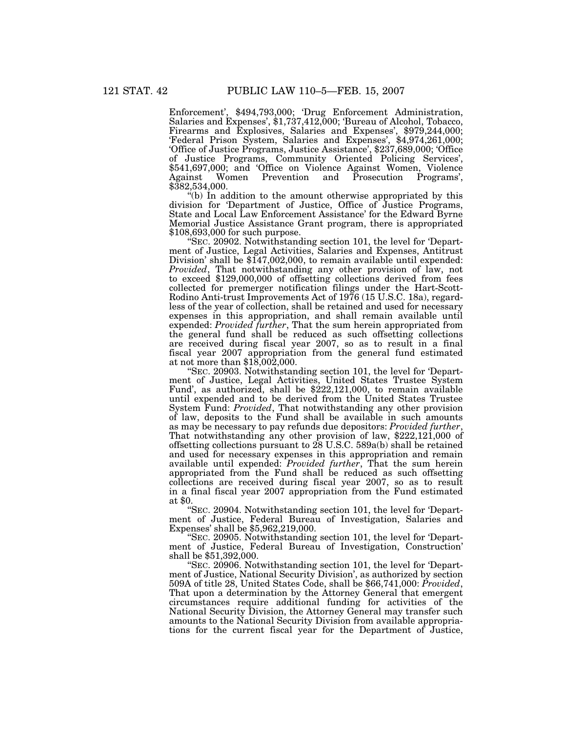Enforcement', \$494,793,000; 'Drug Enforcement Administration, Salaries and Expenses', \$1,737,412,000; 'Bureau of Alcohol, Tobacco, Firearms and Explosives, Salaries and Expenses', \$979,244,000; 'Federal Prison System, Salaries and Expenses', \$4,974,261,000; 'Office of Justice Programs, Justice Assistance', \$237,689,000; 'Office of Justice Programs, Community Oriented Policing Services', \$541,697,000; and 'Office on Violence Against Women, Violence Against Women Prevention and Prosecution \$382,534,000.

''(b) In addition to the amount otherwise appropriated by this division for 'Department of Justice, Office of Justice Programs, State and Local Law Enforcement Assistance' for the Edward Byrne Memorial Justice Assistance Grant program, there is appropriated \$108,693,000 for such purpose.

''SEC. 20902. Notwithstanding section 101, the level for 'Department of Justice, Legal Activities, Salaries and Expenses, Antitrust Division' shall be \$147,002,000, to remain available until expended:<br>*Provided*, That notwithstanding any other provision of law, not *Provided*, That notwithstanding any other provision of law, not to exceed \$129,000,000 of offsetting collections derived from fees collected for premerger notification filings under the Hart-Scott-Rodino Anti-trust Improvements Act of 1976 (15 U.S.C. 18a), regardless of the year of collection, shall be retained and used for necessary expenses in this appropriation, and shall remain available until expended: *Provided further*, That the sum herein appropriated from the general fund shall be reduced as such offsetting collections are received during fiscal year 2007, so as to result in a final fiscal year 2007 appropriation from the general fund estimated at not more than \$18,002,000.

''SEC. 20903. Notwithstanding section 101, the level for 'Department of Justice, Legal Activities, United States Trustee System Fund', as authorized, shall be \$222,121,000, to remain available until expended and to be derived from the United States Trustee System Fund: *Provided*, That notwithstanding any other provision of law, deposits to the Fund shall be available in such amounts as may be necessary to pay refunds due depositors: *Provided further*, That notwithstanding any other provision of law, \$222,121,000 of offsetting collections pursuant to 28 U.S.C. 589a(b) shall be retained and used for necessary expenses in this appropriation and remain available until expended: *Provided further*, That the sum herein appropriated from the Fund shall be reduced as such offsetting collections are received during fiscal year 2007, so as to result in a final fiscal year 2007 appropriation from the Fund estimated at \$0.

''SEC. 20904. Notwithstanding section 101, the level for 'Department of Justice, Federal Bureau of Investigation, Salaries and Expenses' shall be \$5,962,219,000.

''SEC. 20905. Notwithstanding section 101, the level for 'Department of Justice, Federal Bureau of Investigation, Construction' shall be \$51,392,000.

''SEC. 20906. Notwithstanding section 101, the level for 'Department of Justice, National Security Division', as authorized by section 509A of title 28, United States Code, shall be \$66,741,000: *Provided*, That upon a determination by the Attorney General that emergent circumstances require additional funding for activities of the National Security Division, the Attorney General may transfer such amounts to the National Security Division from available appropriations for the current fiscal year for the Department of Justice,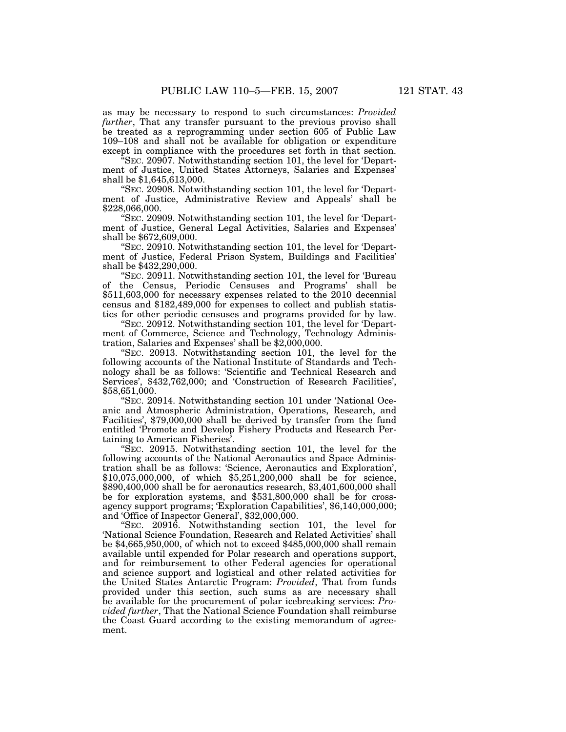as may be necessary to respond to such circumstances: *Provided further*, That any transfer pursuant to the previous proviso shall be treated as a reprogramming under section 605 of Public Law 109–108 and shall not be available for obligation or expenditure except in compliance with the procedures set forth in that section.

''SEC. 20907. Notwithstanding section 101, the level for 'Department of Justice, United States Attorneys, Salaries and Expenses' shall be \$1,645,613,000.

''SEC. 20908. Notwithstanding section 101, the level for 'Department of Justice, Administrative Review and Appeals' shall be \$228,066,000.

''SEC. 20909. Notwithstanding section 101, the level for 'Department of Justice, General Legal Activities, Salaries and Expenses' shall be \$672,609,000.

''SEC. 20910. Notwithstanding section 101, the level for 'Department of Justice, Federal Prison System, Buildings and Facilities' shall be \$432,290,000.

''SEC. 20911. Notwithstanding section 101, the level for 'Bureau of the Census, Periodic Censuses and Programs' shall be \$511,603,000 for necessary expenses related to the 2010 decennial census and \$182,489,000 for expenses to collect and publish statistics for other periodic censuses and programs provided for by law.

''SEC. 20912. Notwithstanding section 101, the level for 'Department of Commerce, Science and Technology, Technology Administration, Salaries and Expenses' shall be \$2,000,000.

''SEC. 20913. Notwithstanding section 101, the level for the following accounts of the National Institute of Standards and Technology shall be as follows: 'Scientific and Technical Research and Services', \$432,762,000; and 'Construction of Research Facilities', \$58,651,000.

''SEC. 20914. Notwithstanding section 101 under 'National Oceanic and Atmospheric Administration, Operations, Research, and Facilities', \$79,000,000 shall be derived by transfer from the fund entitled 'Promote and Develop Fishery Products and Research Pertaining to American Fisheries'.

''SEC. 20915. Notwithstanding section 101, the level for the following accounts of the National Aeronautics and Space Administration shall be as follows: 'Science, Aeronautics and Exploration', \$10,075,000,000, of which \$5,251,200,000 shall be for science, \$890,400,000 shall be for aeronautics research, \$3,401,600,000 shall be for exploration systems, and \$531,800,000 shall be for crossagency support programs; 'Exploration Capabilities', \$6,140,000,000; and 'Office of Inspector General', \$32,000,000.

''SEC. 20916. Notwithstanding section 101, the level for 'National Science Foundation, Research and Related Activities' shall be \$4,665,950,000, of which not to exceed \$485,000,000 shall remain available until expended for Polar research and operations support, and for reimbursement to other Federal agencies for operational and science support and logistical and other related activities for the United States Antarctic Program: *Provided*, That from funds provided under this section, such sums as are necessary shall be available for the procurement of polar icebreaking services: *Provided further*, That the National Science Foundation shall reimburse the Coast Guard according to the existing memorandum of agreement.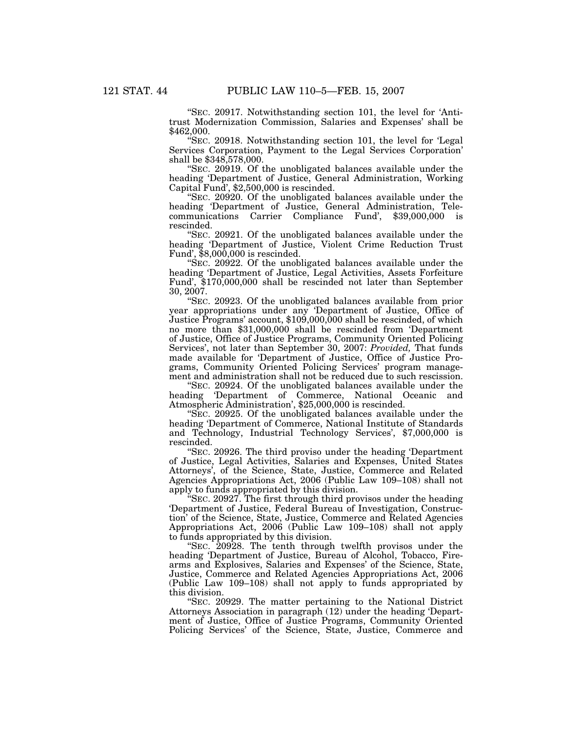''SEC. 20917. Notwithstanding section 101, the level for 'Antitrust Modernization Commission, Salaries and Expenses' shall be \$462,000.

''SEC. 20918. Notwithstanding section 101, the level for 'Legal Services Corporation, Payment to the Legal Services Corporation' shall be \$348,578,000.

''SEC. 20919. Of the unobligated balances available under the heading 'Department of Justice, General Administration, Working Capital Fund', \$2,500,000 is rescinded.

''SEC. 20920. Of the unobligated balances available under the heading 'Department of Justice, General Administration, Telecommunications Carrier Compliance Fund', \$39,000,000 is rescinded.

''SEC. 20921. Of the unobligated balances available under the heading 'Department of Justice, Violent Crime Reduction Trust Fund', \$8,000,000 is rescinded.

''SEC. 20922. Of the unobligated balances available under the heading 'Department of Justice, Legal Activities, Assets Forfeiture Fund', \$170,000,000 shall be rescinded not later than September 30, 2007.

''SEC. 20923. Of the unobligated balances available from prior year appropriations under any 'Department of Justice, Office of Justice Programs' account, \$109,000,000 shall be rescinded, of which no more than \$31,000,000 shall be rescinded from 'Department of Justice, Office of Justice Programs, Community Oriented Policing Services', not later than September 30, 2007: *Provided,* That funds made available for 'Department of Justice, Office of Justice Programs, Community Oriented Policing Services' program management and administration shall not be reduced due to such rescission.

''SEC. 20924. Of the unobligated balances available under the heading 'Department of Commerce, National Oceanic and Atmospheric Administration', \$25,000,000 is rescinded.

''SEC. 20925. Of the unobligated balances available under the heading 'Department of Commerce, National Institute of Standards and Technology, Industrial Technology Services', \$7,000,000 is rescinded.

''SEC. 20926. The third proviso under the heading 'Department of Justice, Legal Activities, Salaries and Expenses, United States Attorneys', of the Science, State, Justice, Commerce and Related Agencies Appropriations Act, 2006 (Public Law 109–108) shall not apply to funds appropriated by this division.

SEC. 20927. The first through third provisos under the heading 'Department of Justice, Federal Bureau of Investigation, Construction' of the Science, State, Justice, Commerce and Related Agencies Appropriations Act, 2006 (Public Law 109–108) shall not apply to funds appropriated by this division.

''SEC. 20928. The tenth through twelfth provisos under the heading 'Department of Justice, Bureau of Alcohol, Tobacco, Firearms and Explosives, Salaries and Expenses' of the Science, State, Justice, Commerce and Related Agencies Appropriations Act, 2006 (Public Law 109–108) shall not apply to funds appropriated by this division.

''SEC. 20929. The matter pertaining to the National District Attorneys Association in paragraph (12) under the heading 'Department of Justice, Office of Justice Programs, Community Oriented Policing Services' of the Science, State, Justice, Commerce and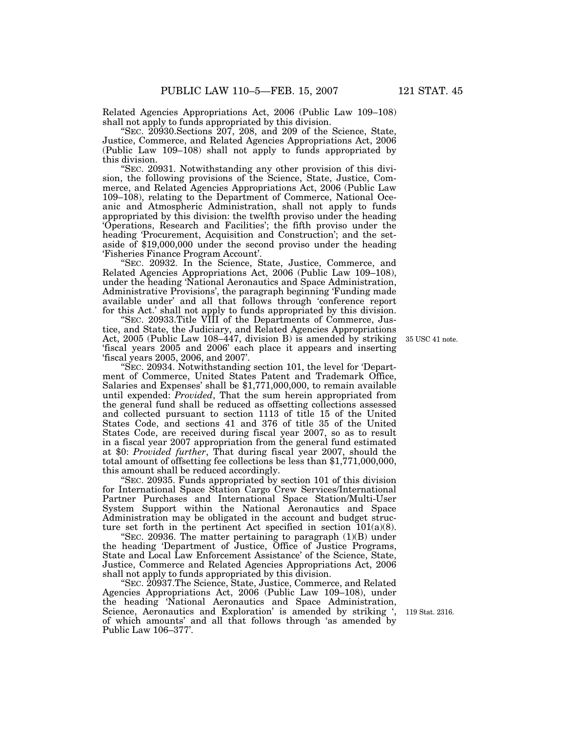Related Agencies Appropriations Act, 2006 (Public Law 109–108) shall not apply to funds appropriated by this division.

"SEC.  $20930$ . Sections  $207$ ,  $208$ , and  $209$  of the Science, State, Justice, Commerce, and Related Agencies Appropriations Act, 2006 (Public Law 109–108) shall not apply to funds appropriated by this division.

''SEC. 20931. Notwithstanding any other provision of this division, the following provisions of the Science, State, Justice, Commerce, and Related Agencies Appropriations Act, 2006 (Public Law 109–108), relating to the Department of Commerce, National Oceanic and Atmospheric Administration, shall not apply to funds appropriated by this division: the twelfth proviso under the heading 'Operations, Research and Facilities'; the fifth proviso under the heading 'Procurement, Acquisition and Construction'; and the setaside of \$19,000,000 under the second proviso under the heading 'Fisheries Finance Program Account'.

''SEC. 20932. In the Science, State, Justice, Commerce, and Related Agencies Appropriations Act, 2006 (Public Law 109–108), under the heading 'National Aeronautics and Space Administration, Administrative Provisions', the paragraph beginning 'Funding made available under' and all that follows through 'conference report for this Act.' shall not apply to funds appropriated by this division.

"SEC. 20933.Title VIII of the Departments of Commerce, Justice, and State, the Judiciary, and Related Agencies Appropriations Act, 2005 (Public Law 108–447, division B) is amended by striking 'fiscal years 2005 and 2006' each place it appears and inserting 'fiscal years 2005, 2006, and 2007'.

''SEC. 20934. Notwithstanding section 101, the level for 'Department of Commerce, United States Patent and Trademark Office, Salaries and Expenses' shall be \$1,771,000,000, to remain available until expended: *Provided*, That the sum herein appropriated from the general fund shall be reduced as offsetting collections assessed and collected pursuant to section 1113 of title 15 of the United States Code, and sections 41 and 376 of title 35 of the United States Code, are received during fiscal year 2007, so as to result in a fiscal year 2007 appropriation from the general fund estimated at \$0: *Provided further*, That during fiscal year 2007, should the total amount of offsetting fee collections be less than \$1,771,000,000, this amount shall be reduced accordingly.

''SEC. 20935. Funds appropriated by section 101 of this division for International Space Station Cargo Crew Services/International Partner Purchases and International Space Station/Multi-User System Support within the National Aeronautics and Space Administration may be obligated in the account and budget structure set forth in the pertinent Act specified in section  $101(a)(8)$ .

"SEC. 20936. The matter pertaining to paragraph  $(1)(B)$  under the heading 'Department of Justice, Office of Justice Programs, State and Local Law Enforcement Assistance' of the Science, State, Justice, Commerce and Related Agencies Appropriations Act, 2006 shall not apply to funds appropriated by this division.

''SEC. 20937.The Science, State, Justice, Commerce, and Related Agencies Appropriations Act, 2006 (Public Law 109–108), under the heading 'National Aeronautics and Space Administration, Science, Aeronautics and Exploration' is amended by striking ', of which amounts' and all that follows through 'as amended by Public Law 106–377'.

35 USC 41 note.

119 Stat. 2316.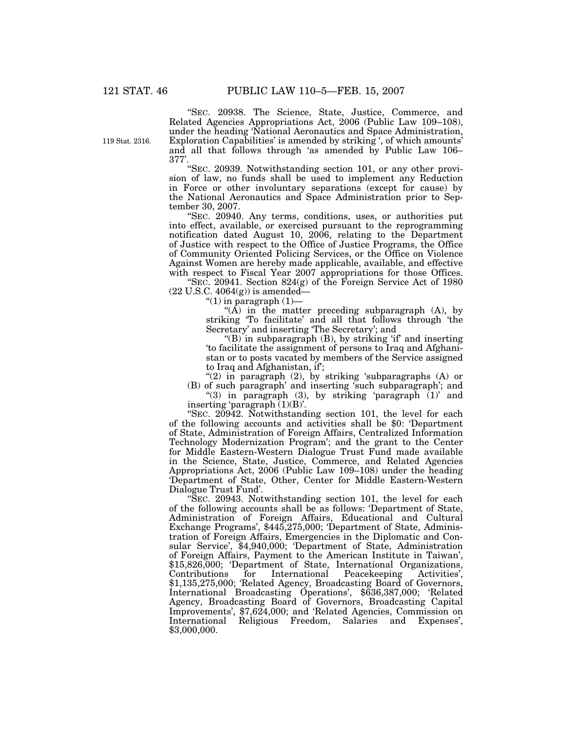119 Stat. 2316.

''SEC. 20938. The Science, State, Justice, Commerce, and Related Agencies Appropriations Act, 2006 (Public Law 109–108), under the heading 'National Aeronautics and Space Administration, Exploration Capabilities' is amended by striking ', of which amounts' and all that follows through 'as amended by Public Law 106– 377'.

''SEC. 20939. Notwithstanding section 101, or any other provision of law, no funds shall be used to implement any Reduction in Force or other involuntary separations (except for cause) by the National Aeronautics and Space Administration prior to September 30, 2007.

''SEC. 20940. Any terms, conditions, uses, or authorities put into effect, available, or exercised pursuant to the reprogramming notification dated August 10, 2006, relating to the Department of Justice with respect to the Office of Justice Programs, the Office of Community Oriented Policing Services, or the Office on Violence Against Women are hereby made applicable, available, and effective with respect to Fiscal Year 2007 appropriations for those Offices.

''SEC. 20941. Section 824(g) of the Foreign Service Act of 1980  $(22 \text{ U.S.C. } 4064(g))$  is amended—

" $(1)$  in paragraph  $(1)$ —

" $(\overline{A})$  in the matter preceding subparagraph  $(A)$ , by striking 'To facilitate' and all that follows through 'the Secretary' and inserting 'The Secretary'; and

"(B) in subparagraph (B), by striking 'if' and inserting 'to facilitate the assignment of persons to Iraq and Afghanistan or to posts vacated by members of the Service assigned to Iraq and Afghanistan, if';

"(2) in paragraph (2), by striking 'subparagraphs (A) or (B) of such paragraph' and inserting 'such subparagraph'; and

"(3) in paragraph (3), by striking 'paragraph  $(1)'$  and inserting 'paragraph (1)(B)'.

''SEC. 20942. Notwithstanding section 101, the level for each of the following accounts and activities shall be \$0: 'Department of State, Administration of Foreign Affairs, Centralized Information Technology Modernization Program'; and the grant to the Center for Middle Eastern-Western Dialogue Trust Fund made available in the Science, State, Justice, Commerce, and Related Agencies Appropriations Act, 2006 (Public Law 109–108) under the heading 'Department of State, Other, Center for Middle Eastern-Western Dialogue Trust Fund'.

''SEC. 20943. Notwithstanding section 101, the level for each of the following accounts shall be as follows: 'Department of State, Administration of Foreign Affairs, Educational and Cultural Exchange Programs', \$445,275,000; 'Department of State, Administration of Foreign Affairs, Emergencies in the Diplomatic and Consular Service', \$4,940,000; 'Department of State, Administration of Foreign Affairs, Payment to the American Institute in Taiwan', \$15,826,000; 'Department of State, International Organizations, Contributions for International Peacekeeping Activities', \$1,135,275,000; 'Related Agency, Broadcasting Board of Governors, International Broadcasting Operations', \$636,387,000; 'Related Agency, Broadcasting Board of Governors, Broadcasting Capital Improvements', \$7,624,000; and 'Related Agencies, Commission on International Religious Freedom, Salaries and Expenses', \$3,000,000.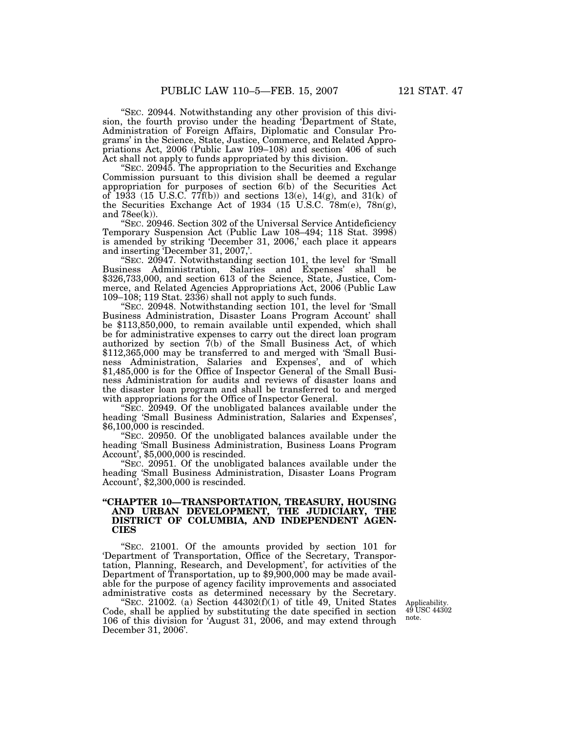''SEC. 20944. Notwithstanding any other provision of this division, the fourth proviso under the heading 'Department of State, Administration of Foreign Affairs, Diplomatic and Consular Programs' in the Science, State, Justice, Commerce, and Related Appropriations Act, 2006 (Public Law 109–108) and section 406 of such Act shall not apply to funds appropriated by this division.

''SEC. 20945. The appropriation to the Securities and Exchange Commission pursuant to this division shall be deemed a regular appropriation for purposes of section 6(b) of the Securities Act of 1933 (15 U.S.C. 77f(b)) and sections 13(e), 14(g), and 31(k) of the Securities Exchange Act of 1934 (15 U.S.C. 78m(e), 78n(g), and  $78ee(k)$ ).

''SEC. 20946. Section 302 of the Universal Service Antideficiency Temporary Suspension Act (Public Law 108–494; 118 Stat. 3998) is amended by striking 'December 31, 2006,' each place it appears and inserting 'December 31, 2007,'.

''SEC. 20947. Notwithstanding section 101, the level for 'Small Business Administration, Salaries and Expenses' shall be \$326,733,000, and section 613 of the Science, State, Justice, Commerce, and Related Agencies Appropriations Act, 2006 (Public Law 109–108; 119 Stat. 2336) shall not apply to such funds.

''SEC. 20948. Notwithstanding section 101, the level for 'Small Business Administration, Disaster Loans Program Account' shall be \$113,850,000, to remain available until expended, which shall be for administrative expenses to carry out the direct loan program authorized by section 7(b) of the Small Business Act, of which \$112,365,000 may be transferred to and merged with 'Small Business Administration, Salaries and Expenses', and of which \$1,485,000 is for the Office of Inspector General of the Small Business Administration for audits and reviews of disaster loans and the disaster loan program and shall be transferred to and merged with appropriations for the Office of Inspector General.

''SEC. 20949. Of the unobligated balances available under the heading 'Small Business Administration, Salaries and Expenses', \$6,100,000 is rescinded.

''SEC. 20950. Of the unobligated balances available under the heading 'Small Business Administration, Business Loans Program Account', \$5,000,000 is rescinded.

''SEC. 20951. Of the unobligated balances available under the heading 'Small Business Administration, Disaster Loans Program Account', \$2,300,000 is rescinded.

#### **''CHAPTER 10—TRANSPORTATION, TREASURY, HOUSING AND URBAN DEVELOPMENT, THE JUDICIARY, THE DISTRICT OF COLUMBIA, AND INDEPENDENT AGEN-CIES**

''SEC. 21001. Of the amounts provided by section 101 for 'Department of Transportation, Office of the Secretary, Transportation, Planning, Research, and Development', for activities of the Department of Transportation, up to \$9,900,000 may be made available for the purpose of agency facility improvements and associated administrative costs as determined necessary by the Secretary.

"SEC. 21002. (a) Section  $44302(f)(1)$  of title  $49$ . United States Code, shall be applied by substituting the date specified in section 106 of this division for 'August 31, 2006, and may extend through December 31, 2006'.

Applicability. 49 USC 44302 note.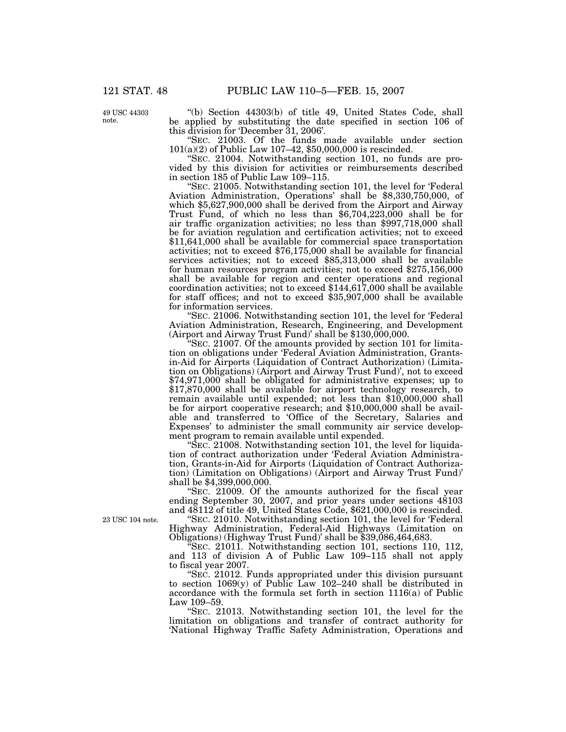49 USC 44303 note.

''(b) Section 44303(b) of title 49, United States Code, shall be applied by substituting the date specified in section 106 of this division for 'December 31, 2006'.

''SEC. 21003. Of the funds made available under section 101(a)(2) of Public Law 107–42, \$50,000,000 is rescinded.

''SEC. 21004. Notwithstanding section 101, no funds are provided by this division for activities or reimbursements described in section 185 of Public Law 109–115.<br>
"SEC. 21005. Notwithstanding section 101, the level for 'Federal'

Aviation Administration, Operations' shall be \$8,330,750,000, of which \$5,627,900,000 shall be derived from the Airport and Airway Trust Fund, of which no less than \$6,704,223,000 shall be for air traffic organization activities; no less than \$997,718,000 shall be for aviation regulation and certification activities; not to exceed \$11,641,000 shall be available for commercial space transportation activities; not to exceed \$76,175,000 shall be available for financial services activities; not to exceed \$85,313,000 shall be available for human resources program activities; not to exceed \$275,156,000 shall be available for region and center operations and regional coordination activities; not to exceed \$144,617,000 shall be available for staff offices; and not to exceed \$35,907,000 shall be available for information services.

''SEC. 21006. Notwithstanding section 101, the level for 'Federal Aviation Administration, Research, Engineering, and Development (Airport and Airway Trust Fund)' shall be  $$130,000,000$ .

''SEC. 21007. Of the amounts provided by section 101 for limitation on obligations under 'Federal Aviation Administration, Grantsin-Aid for Airports (Liquidation of Contract Authorization) (Limitation on Obligations) (Airport and Airway Trust Fund)', not to exceed \$74,971,000 shall be obligated for administrative expenses; up to \$17,870,000 shall be available for airport technology research, to remain available until expended; not less than \$10,000,000 shall be for airport cooperative research; and \$10,000,000 shall be available and transferred to 'Office of the Secretary, Salaries and Expenses' to administer the small community air service development program to remain available until expended.

"SEC. 21008. Notwithstanding section 101, the level for liquidation of contract authorization under 'Federal Aviation Administration, Grants-in-Aid for Airports (Liquidation of Contract Authorization) (Limitation on Obligations) (Airport and Airway Trust Fund)' shall be \$4,399,000,000.

''SEC. 21009. Of the amounts authorized for the fiscal year ending September 30, 2007, and prior years under sections 48103 and 48112 of title 49, United States Code, \$621,000,000 is rescinded.

''SEC. 21010. Notwithstanding section 101, the level for 'Federal Highway Administration, Federal-Aid Highways (Limitation on Obligations) (Highway Trust Fund)' shall be \$39,086,464,683.

''SEC. 21011. Notwithstanding section 101, sections 110, 112, and 113 of division A of Public Law 109–115 shall not apply to fiscal year 2007.

''SEC. 21012. Funds appropriated under this division pursuant to section 1069(y) of Public Law 102–240 shall be distributed in accordance with the formula set forth in section 1116(a) of Public Law 109–59.

''SEC. 21013. Notwithstanding section 101, the level for the limitation on obligations and transfer of contract authority for 'National Highway Traffic Safety Administration, Operations and

23 USC 104 note.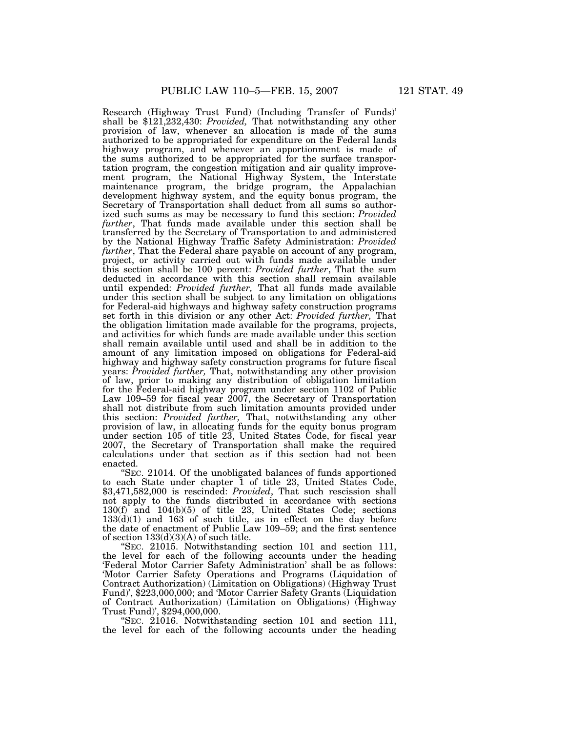Research (Highway Trust Fund) (Including Transfer of Funds)' shall be \$121,232,430: *Provided,* That notwithstanding any other provision of law, whenever an allocation is made of the sums authorized to be appropriated for expenditure on the Federal lands highway program, and whenever an apportionment is made of the sums authorized to be appropriated for the surface transportation program, the congestion mitigation and air quality improvement program, the National Highway System, the Interstate maintenance program, the bridge program, the Appalachian development highway system, and the equity bonus program, the Secretary of Transportation shall deduct from all sums so authorized such sums as may be necessary to fund this section: *Provided further*, That funds made available under this section shall be transferred by the Secretary of Transportation to and administered by the National Highway Traffic Safety Administration: *Provided further*, That the Federal share payable on account of any program, project, or activity carried out with funds made available under this section shall be 100 percent: *Provided further*, That the sum deducted in accordance with this section shall remain available until expended: *Provided further,* That all funds made available under this section shall be subject to any limitation on obligations for Federal-aid highways and highway safety construction programs set forth in this division or any other Act: *Provided further,* That the obligation limitation made available for the programs, projects, and activities for which funds are made available under this section shall remain available until used and shall be in addition to the amount of any limitation imposed on obligations for Federal-aid highway and highway safety construction programs for future fiscal years: *Provided further,* That, notwithstanding any other provision of law, prior to making any distribution of obligation limitation for the Federal-aid highway program under section 1102 of Public Law 109–59 for fiscal year 2007, the Secretary of Transportation shall not distribute from such limitation amounts provided under this section: *Provided further,* That, notwithstanding any other provision of law, in allocating funds for the equity bonus program under section 105 of title 23, United States Code, for fiscal year 2007, the Secretary of Transportation shall make the required calculations under that section as if this section had not been enacted.

''SEC. 21014. Of the unobligated balances of funds apportioned to each State under chapter 1 of title 23, United States Code, \$3,471,582,000 is rescinded: *Provided*, That such rescission shall not apply to the funds distributed in accordance with sections 130(f) and 104(b)(5) of title 23, United States Code; sections  $133(d)(1)$  and 163 of such title, as in effect on the day before the date of enactment of Public Law 109–59; and the first sentence of section  $133(\mathrm{d})(3)(\mathrm{A})$  of such title.

''SEC. 21015. Notwithstanding section 101 and section 111, the level for each of the following accounts under the heading 'Federal Motor Carrier Safety Administration' shall be as follows: 'Motor Carrier Safety Operations and Programs (Liquidation of Contract Authorization) (Limitation on Obligations) (Highway Trust Fund)', \$223,000,000; and 'Motor Carrier Safety Grants (Liquidation of Contract Authorization) (Limitation on Obligations) (Highway Trust Fund)', \$294,000,000.

''SEC. 21016. Notwithstanding section 101 and section 111, the level for each of the following accounts under the heading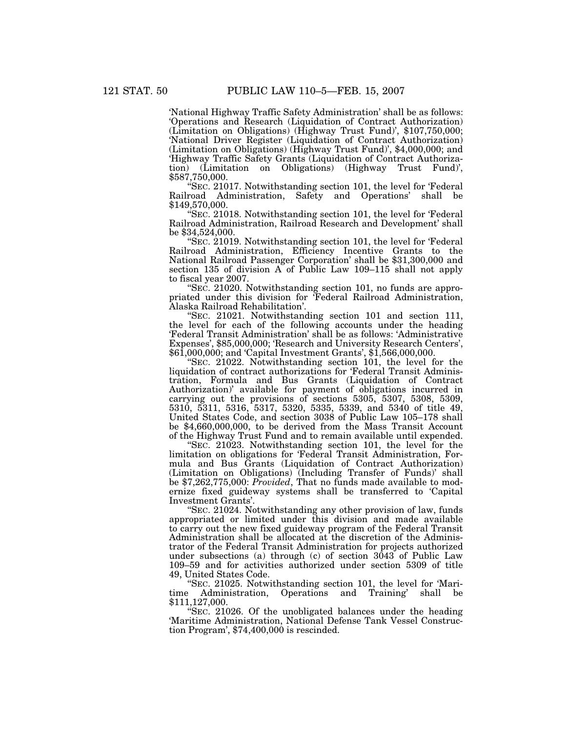'National Highway Traffic Safety Administration' shall be as follows: 'Operations and Research (Liquidation of Contract Authorization) (Limitation on Obligations) (Highway Trust Fund)', \$107,750,000; 'National Driver Register (Liquidation of Contract Authorization) (Limitation on Obligations) (Highway Trust Fund)', \$4,000,000; and 'Highway Traffic Safety Grants (Liquidation of Contract Authorization) (Limitation on Obligations) (Highway Trust Fund)', \$587,750,000.

''SEC. 21017. Notwithstanding section 101, the level for 'Federal Railroad Administration, Safety and Operations' shall be \$149,570,000.

''SEC. 21018. Notwithstanding section 101, the level for 'Federal Railroad Administration, Railroad Research and Development' shall be \$34,524,000.

''SEC. 21019. Notwithstanding section 101, the level for 'Federal Railroad Administration, Efficiency Incentive Grants to the National Railroad Passenger Corporation' shall be \$31,300,000 and section 135 of division  $A$  of Public Law 109–115 shall not apply to fiscal year 2007.

''SEC. 21020. Notwithstanding section 101, no funds are appropriated under this division for 'Federal Railroad Administration, Alaska Railroad Rehabilitation'.

''SEC. 21021. Notwithstanding section 101 and section 111, the level for each of the following accounts under the heading 'Federal Transit Administration' shall be as follows: 'Administrative Expenses', \$85,000,000; 'Research and University Research Centers', \$61,000,000; and 'Capital Investment Grants', \$1,566,000,000.

''SEC. 21022. Notwithstanding section 101, the level for the liquidation of contract authorizations for 'Federal Transit Administration, Formula and Bus Grants (Liquidation of Contract Authorization)' available for payment of obligations incurred in carrying out the provisions of sections 5305, 5307, 5308, 5309, 5310, 5311, 5316, 5317, 5320, 5335, 5339, and 5340 of title 49, United States Code, and section 3038 of Public Law 105–178 shall be \$4,660,000,000, to be derived from the Mass Transit Account of the Highway Trust Fund and to remain available until expended.

''SEC. 21023. Notwithstanding section 101, the level for the limitation on obligations for 'Federal Transit Administration, Formula and Bus Grants (Liquidation of Contract Authorization) (Limitation on Obligations) (Including Transfer of Funds)' shall be \$7,262,775,000: *Provided*, That no funds made available to modernize fixed guideway systems shall be transferred to 'Capital Investment Grants'.

''SEC. 21024. Notwithstanding any other provision of law, funds appropriated or limited under this division and made available to carry out the new fixed guideway program of the Federal Transit Administration shall be allocated at the discretion of the Administrator of the Federal Transit Administration for projects authorized under subsections (a) through (c) of section 3043 of Public Law 109–59 and for activities authorized under section 5309 of title 49, United States Code.

''SEC. 21025. Notwithstanding section 101, the level for 'Mari-Administration, Operations and Training' \$111,127,000.

''SEC. 21026. Of the unobligated balances under the heading 'Maritime Administration, National Defense Tank Vessel Construction Program', \$74,400,000 is rescinded.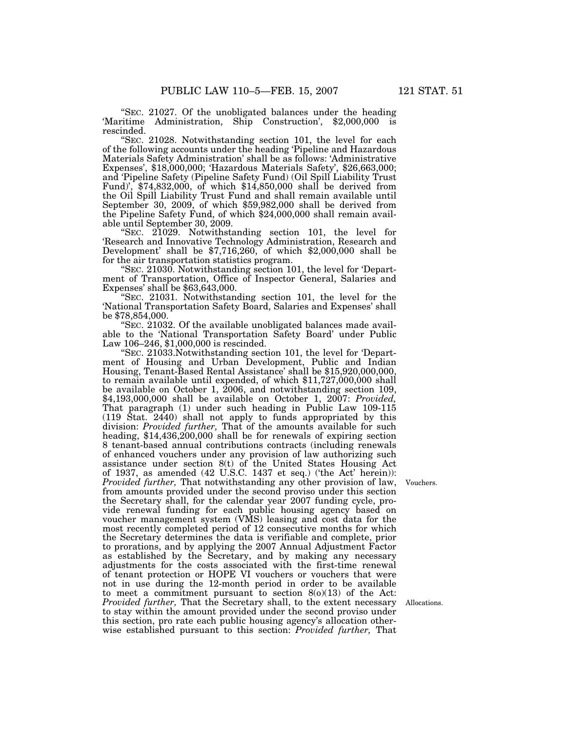''SEC. 21027. Of the unobligated balances under the heading 'Maritime Administration, Ship Construction', \$2,000,000 is rescinded.

''SEC. 21028. Notwithstanding section 101, the level for each of the following accounts under the heading 'Pipeline and Hazardous Materials Safety Administration' shall be as follows: 'Administrative Expenses', \$18,000,000; 'Hazardous Materials Safety', \$26,663,000; and 'Pipeline Safety (Pipeline Safety Fund) (Oil Spill Liability Trust Fund)', \$74,832,000, of which \$14,850,000 shall be derived from the Oil Spill Liability Trust Fund and shall remain available until September 30, 2009, of which \$59,982,000 shall be derived from the Pipeline Safety Fund, of which \$24,000,000 shall remain available until September 30, 2009.

''SEC. 21029. Notwithstanding section 101, the level for 'Research and Innovative Technology Administration, Research and Development' shall be \$7,716,260, of which \$2,000,000 shall be for the air transportation statistics program.

''SEC. 21030. Notwithstanding section 101, the level for 'Department of Transportation, Office of Inspector General, Salaries and Expenses' shall be \$63,643,000.

''SEC. 21031. Notwithstanding section 101, the level for the 'National Transportation Safety Board, Salaries and Expenses' shall be \$78,854,000.

''SEC. 21032. Of the available unobligated balances made available to the 'National Transportation Safety Board' under Public Law 106–246, \$1,000,000 is rescinded.

''SEC. 21033.Notwithstanding section 101, the level for 'Department of Housing and Urban Development, Public and Indian Housing, Tenant-Based Rental Assistance' shall be \$15,920,000,000, to remain available until expended, of which \$11,727,000,000 shall be available on October 1, 2006, and notwithstanding section 109, \$4,193,000,000 shall be available on October 1, 2007: *Provided,* That paragraph (1) under such heading in Public Law 109-115 (119 Stat. 2440) shall not apply to funds appropriated by this division: *Provided further,* That of the amounts available for such heading, \$14,436,200,000 shall be for renewals of expiring section 8 tenant-based annual contributions contracts (including renewals of enhanced vouchers under any provision of law authorizing such assistance under section 8(t) of the United States Housing Act of 1937, as amended (42 U.S.C. 1437 et seq.) ('the Act' herein)): *Provided further,* That notwithstanding any other provision of law, from amounts provided under the second proviso under this section the Secretary shall, for the calendar year 2007 funding cycle, provide renewal funding for each public housing agency based on voucher management system (VMS) leasing and cost data for the most recently completed period of 12 consecutive months for which the Secretary determines the data is verifiable and complete, prior to prorations, and by applying the 2007 Annual Adjustment Factor as established by the Secretary, and by making any necessary adjustments for the costs associated with the first-time renewal of tenant protection or HOPE VI vouchers or vouchers that were not in use during the 12-month period in order to be available to meet a commitment pursuant to section  $8(0)(13)$  of the Act: *Provided further,* That the Secretary shall, to the extent necessary to stay within the amount provided under the second proviso under this section, pro rate each public housing agency's allocation otherwise established pursuant to this section: *Provided further,* That

Vouchers.

Allocations.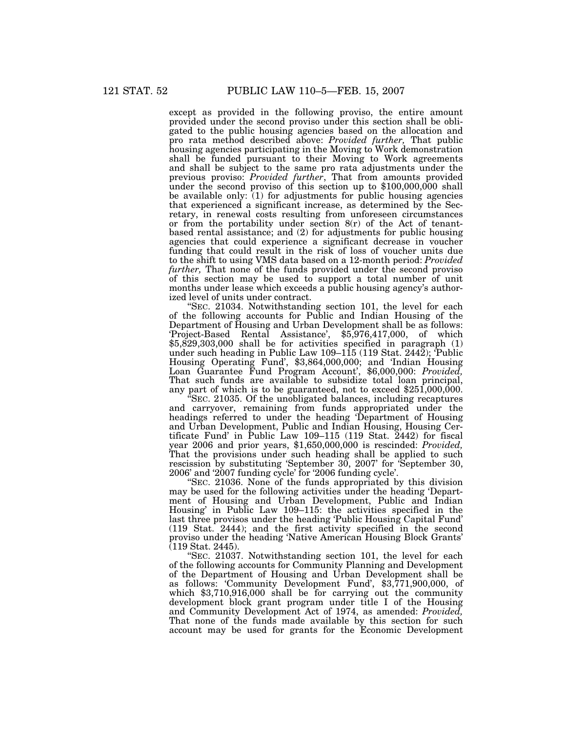except as provided in the following proviso, the entire amount provided under the second proviso under this section shall be obligated to the public housing agencies based on the allocation and pro rata method described above: *Provided further,* That public housing agencies participating in the Moving to Work demonstration shall be funded pursuant to their Moving to Work agreements and shall be subject to the same pro rata adjustments under the previous proviso: *Provided further*, That from amounts provided under the second proviso of this section up to \$100,000,000 shall be available only:  $(1)$  for adjustments for public housing agencies that experienced a significant increase, as determined by the Secretary, in renewal costs resulting from unforeseen circumstances or from the portability under section 8(r) of the Act of tenantbased rental assistance; and (2) for adjustments for public housing agencies that could experience a significant decrease in voucher funding that could result in the risk of loss of voucher units due to the shift to using VMS data based on a 12-month period: *Provided further,* That none of the funds provided under the second proviso of this section may be used to support a total number of unit months under lease which exceeds a public housing agency's authorized level of units under contract.

''SEC. 21034. Notwithstanding section 101, the level for each of the following accounts for Public and Indian Housing of the Department of Housing and Urban Development shall be as follows: 'Project-Based Rental Assistance', \$5,976,417,000, of which \$5,829,303,000 shall be for activities specified in paragraph (1) under such heading in Public Law 109–115 (119 Stat. 2442); 'Public Housing Operating Fund', \$3,864,000,000; and 'Indian Housing Loan Guarantee Fund Program Account', \$6,000,000: *Provided,* That such funds are available to subsidize total loan principal, any part of which is to be guaranteed, not to exceed  $$251,000,000$ .

''SEC. 21035. Of the unobligated balances, including recaptures and carryover, remaining from funds appropriated under the headings referred to under the heading 'Department of Housing and Urban Development, Public and Indian Housing, Housing Certificate Fund' in Public Law 109–115 (119 Stat. 2442) for fiscal year 2006 and prior years, \$1,650,000,000 is rescinded: *Provided,* That the provisions under such heading shall be applied to such rescission by substituting 'September 30, 2007' for 'September 30, 2006' and '2007 funding cycle' for '2006 funding cycle'.

"SEC. 21036. None of the funds appropriated by this division may be used for the following activities under the heading 'Department of Housing and Urban Development, Public and Indian Housing' in Public Law 109–115: the activities specified in the last three provisos under the heading 'Public Housing Capital Fund' (119 Stat. 2444); and the first activity specified in the second proviso under the heading 'Native American Housing Block Grants' (119 Stat. 2445).

''SEC. 21037. Notwithstanding section 101, the level for each of the following accounts for Community Planning and Development of the Department of Housing and Urban Development shall be as follows: 'Community Development Fund', \$3,771,900,000, of which \$3,710,916,000 shall be for carrying out the community development block grant program under title I of the Housing and Community Development Act of 1974, as amended: *Provided,* That none of the funds made available by this section for such account may be used for grants for the Economic Development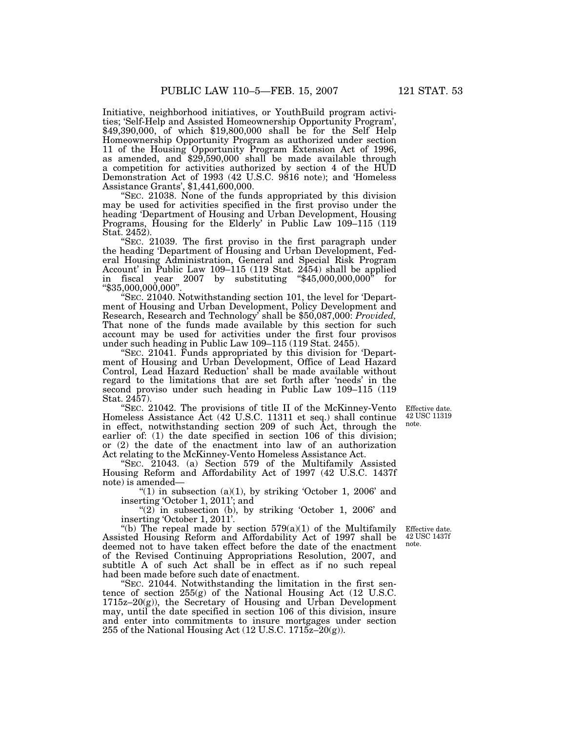Initiative, neighborhood initiatives, or YouthBuild program activities; 'Self-Help and Assisted Homeownership Opportunity Program', \$49,390,000, of which \$19,800,000 shall be for the Self Help Homeownership Opportunity Program as authorized under section 11 of the Housing Opportunity Program Extension Act of 1996, as amended, and \$29,590,000 shall be made available through a competition for activities authorized by section 4 of the HUD Demonstration Act of 1993 (42 U.S.C. 9816 note); and 'Homeless Assistance Grants', \$1,441,600,000.

''SEC. 21038. None of the funds appropriated by this division may be used for activities specified in the first proviso under the heading 'Department of Housing and Urban Development, Housing Programs, Housing for the Elderly' in Public Law 109-115 (119) Stat. 2452).

''SEC. 21039. The first proviso in the first paragraph under the heading 'Department of Housing and Urban Development, Federal Housing Administration, General and Special Risk Program Account' in Public Law 109–115 (119 Stat. 2454) shall be applied in fiscal year 2007 by substituting ''\$45,000,000,000'' for ''\$35,000,000,000''.

''SEC. 21040. Notwithstanding section 101, the level for 'Department of Housing and Urban Development, Policy Development and Research, Research and Technology' shall be \$50,087,000: *Provided,* That none of the funds made available by this section for such account may be used for activities under the first four provisos under such heading in Public Law 109–115 (119 Stat. 2455).

''SEC. 21041. Funds appropriated by this division for 'Department of Housing and Urban Development, Office of Lead Hazard Control, Lead Hazard Reduction' shall be made available without regard to the limitations that are set forth after 'needs' in the second proviso under such heading in Public Law 109–115 (119 Stat. 2457).

''SEC. 21042. The provisions of title II of the McKinney-Vento Homeless Assistance Act (42 U.S.C. 11311 et seq.) shall continue in effect, notwithstanding section 209 of such Act, through the earlier of: (1) the date specified in section 106 of this division; or (2) the date of the enactment into law of an authorization Act relating to the McKinney-Vento Homeless Assistance Act.

''SEC. 21043. (a) Section 579 of the Multifamily Assisted Housing Reform and Affordability Act of 1997 (42 U.S.C. 1437f note) is amended—

" $(1)$  in subsection  $(a)(1)$ , by striking 'October 1, 2006' and inserting 'October 1, 2011'; and

" $(2)$  in subsection (b), by striking 'October 1, 2006' and inserting 'October 1, 2011'.

"(b) The repeal made by section  $579(a)(1)$  of the Multifamily Assisted Housing Reform and Affordability Act of 1997 shall be deemed not to have taken effect before the date of the enactment of the Revised Continuing Appropriations Resolution, 2007, and subtitle A of such Act shall be in effect as if no such repeal had been made before such date of enactment. Effective date. 42 USC 1437f note.

''SEC. 21044. Notwithstanding the limitation in the first sentence of section  $255(g)$  of the National Housing Act (12 U.S.C. 1715z–20(g)), the Secretary of Housing and Urban Development may, until the date specified in section 106 of this division, insure and enter into commitments to insure mortgages under section 255 of the National Housing Act  $(12 \text{ U.S.C. } 1715\overline{z}-20\text{(g)}).$ 

Effective date. 42 USC 11319 note.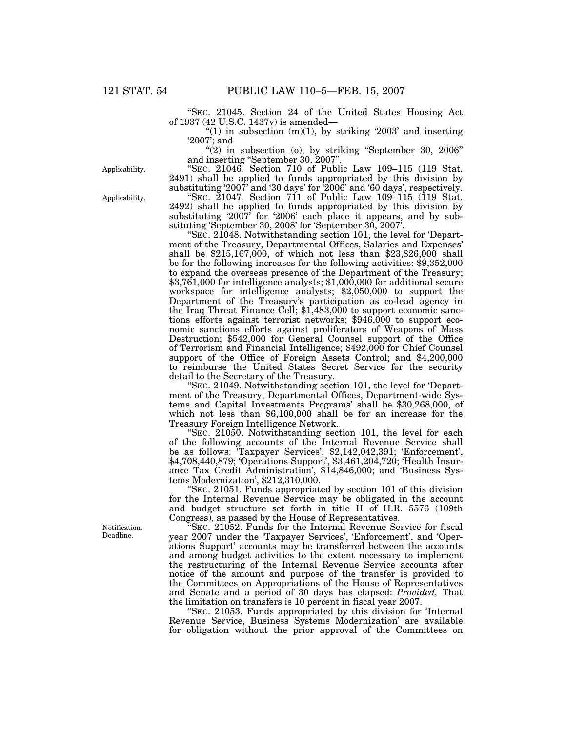''SEC. 21045. Section 24 of the United States Housing Act of 1937 (42 U.S.C. 1437v) is amended—

"(1) in subsection  $(m)(1)$ , by striking '2003' and inserting '2007'; and

" $(2)$  in subsection  $(0)$ , by striking "September 30, 2006" and inserting ''September 30, 2007''.

"SEC. 21046. Section 710 of Public Law 109-115 (119 Stat. 2491) shall be applied to funds appropriated by this division by substituting '2007' and '30 days' for '2006' and '60 days', respectively.

"SEC.  $\overline{2}1047$ . Section 711 of Public Law 109–115 (119 Stat. 2492) shall be applied to funds appropriated by this division by substituting  $2007$ <sup> $\degree$ </sup> for  $2006$ <sup>'</sup> each place it appears, and by substituting 'September 30, 2008' for 'September 30, 2007'.

''SEC. 21048. Notwithstanding section 101, the level for 'Department of the Treasury, Departmental Offices, Salaries and Expenses' shall be \$215,167,000, of which not less than \$23,826,000 shall be for the following increases for the following activities: \$9,352,000 to expand the overseas presence of the Department of the Treasury; \$3,761,000 for intelligence analysts; \$1,000,000 for additional secure workspace for intelligence analysts; \$2,050,000 to support the Department of the Treasury's participation as co-lead agency in the Iraq Threat Finance Cell; \$1,483,000 to support economic sanctions efforts against terrorist networks; \$946,000 to support economic sanctions efforts against proliferators of Weapons of Mass Destruction; \$542,000 for General Counsel support of the Office of Terrorism and Financial Intelligence; \$492,000 for Chief Counsel support of the Office of Foreign Assets Control; and \$4,200,000 to reimburse the United States Secret Service for the security detail to the Secretary of the Treasury.

''SEC. 21049. Notwithstanding section 101, the level for 'Department of the Treasury, Departmental Offices, Department-wide Systems and Capital Investments Programs' shall be \$30,268,000, of which not less than \$6,100,000 shall be for an increase for the Treasury Foreign Intelligence Network.

''SEC. 21050. Notwithstanding section 101, the level for each of the following accounts of the Internal Revenue Service shall be as follows: 'Taxpayer Services', \$2,142,042,391; 'Enforcement', \$4,708,440,879; 'Operations Support', \$3,461,204,720; 'Health Insurance Tax Credit Administration', \$14,846,000; and 'Business Systems Modernization', \$212,310,000.

''SEC. 21051. Funds appropriated by section 101 of this division for the Internal Revenue Service may be obligated in the account and budget structure set forth in title II of H.R. 5576 (109th Congress), as passed by the House of Representatives.

''SEC. 21052. Funds for the Internal Revenue Service for fiscal year 2007 under the 'Taxpayer Services', 'Enforcement', and 'Operations Support' accounts may be transferred between the accounts and among budget activities to the extent necessary to implement the restructuring of the Internal Revenue Service accounts after notice of the amount and purpose of the transfer is provided to the Committees on Appropriations of the House of Representatives and Senate and a period of 30 days has elapsed: *Provided,* That the limitation on transfers is 10 percent in fiscal year 2007.

"SEC. 21053. Funds appropriated by this division for 'Internal Revenue Service, Business Systems Modernization' are available for obligation without the prior approval of the Committees on

Applicability.

Applicability.

Notification. Deadline.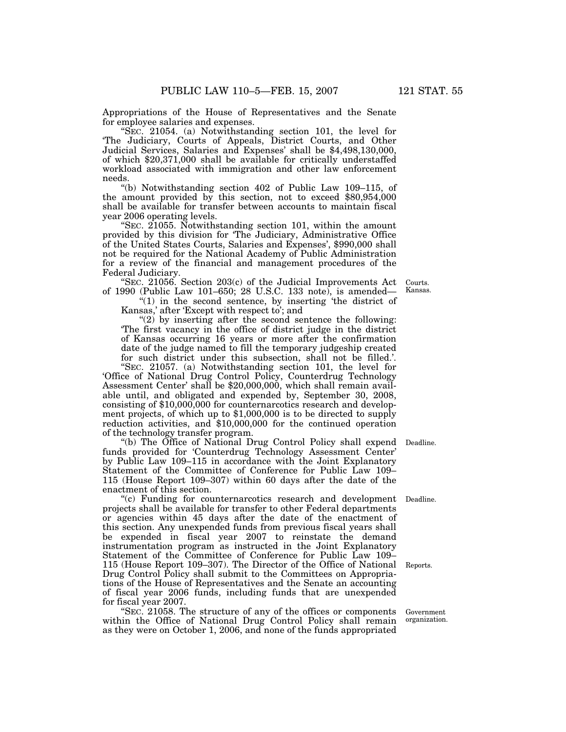Appropriations of the House of Representatives and the Senate for employee salaries and expenses.

''SEC. 21054. (a) Notwithstanding section 101, the level for 'The Judiciary, Courts of Appeals, District Courts, and Other Judicial Services, Salaries and Expenses' shall be \$4,498,130,000, of which \$20,371,000 shall be available for critically understaffed workload associated with immigration and other law enforcement needs.

''(b) Notwithstanding section 402 of Public Law 109–115, of the amount provided by this section, not to exceed \$80,954,000 shall be available for transfer between accounts to maintain fiscal year 2006 operating levels.

''SEC. 21055. Notwithstanding section 101, within the amount provided by this division for 'The Judiciary, Administrative Office of the United States Courts, Salaries and Expenses', \$990,000 shall not be required for the National Academy of Public Administration for a review of the financial and management procedures of the Federal Judiciary.

"SEC. 21056. Section  $203(c)$  of the Judicial Improvements Act of 1990 (Public Law 101–650; 28 U.S.C. 133 note), is amended—

" $(1)$  in the second sentence, by inserting 'the district of Kansas,' after 'Except with respect to'; and

" $(2)$  by inserting after the second sentence the following: 'The first vacancy in the office of district judge in the district of Kansas occurring 16 years or more after the confirmation date of the judge named to fill the temporary judgeship created for such district under this subsection, shall not be filled.'.

''SEC. 21057. (a) Notwithstanding section 101, the level for 'Office of National Drug Control Policy, Counterdrug Technology Assessment Center' shall be \$20,000,000, which shall remain available until, and obligated and expended by, September 30, 2008, consisting of \$10,000,000 for counternarcotics research and development projects, of which up to \$1,000,000 is to be directed to supply reduction activities, and \$10,000,000 for the continued operation of the technology transfer program.

''(b) The Office of National Drug Control Policy shall expend funds provided for 'Counterdrug Technology Assessment Center' by Public Law 109–115 in accordance with the Joint Explanatory Statement of the Committee of Conference for Public Law 109– 115 (House Report 109–307) within 60 days after the date of the enactment of this section.

''(c) Funding for counternarcotics research and development Deadline. projects shall be available for transfer to other Federal departments or agencies within 45 days after the date of the enactment of this section. Any unexpended funds from previous fiscal years shall be expended in fiscal year 2007 to reinstate the demand instrumentation program as instructed in the Joint Explanatory Statement of the Committee of Conference for Public Law 109– 115 (House Report 109–307). The Director of the Office of National Drug Control Policy shall submit to the Committees on Appropriations of the House of Representatives and the Senate an accounting of fiscal year 2006 funds, including funds that are unexpended for fiscal year 2007.

''SEC. 21058. The structure of any of the offices or components within the Office of National Drug Control Policy shall remain as they were on October 1, 2006, and none of the funds appropriated

Courts. Kansas.

Deadline.

Reports.

Government organization.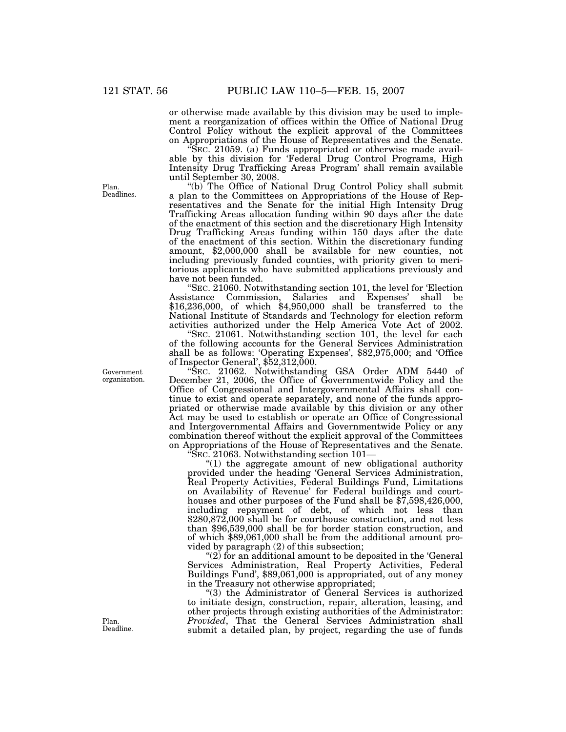or otherwise made available by this division may be used to implement a reorganization of offices within the Office of National Drug Control Policy without the explicit approval of the Committees on Appropriations of the House of Representatives and the Senate.

SEC. 21059. (a) Funds appropriated or otherwise made available by this division for 'Federal Drug Control Programs, High Intensity Drug Trafficking Areas Program' shall remain available until September 30, 2008.

''(b) The Office of National Drug Control Policy shall submit a plan to the Committees on Appropriations of the House of Representatives and the Senate for the initial High Intensity Drug Trafficking Areas allocation funding within 90 days after the date of the enactment of this section and the discretionary High Intensity Drug Trafficking Areas funding within 150 days after the date of the enactment of this section. Within the discretionary funding amount, \$2,000,000 shall be available for new counties, not including previously funded counties, with priority given to meritorious applicants who have submitted applications previously and have not been funded.

''SEC. 21060. Notwithstanding section 101, the level for 'Election Assistance Commission, Salaries and Expenses' shall be \$16,236,000, of which \$4,950,000 shall be transferred to the National Institute of Standards and Technology for election reform activities authorized under the Help America Vote Act of 2002.

''SEC. 21061. Notwithstanding section 101, the level for each of the following accounts for the General Services Administration shall be as follows: 'Operating Expenses', \$82,975,000; and 'Office of Inspector General', \$52,312,000.

"SEC. 21062. Notwithstanding GSA Order ADM 5440 of December 21, 2006, the Office of Governmentwide Policy and the Office of Congressional and Intergovernmental Affairs shall continue to exist and operate separately, and none of the funds appropriated or otherwise made available by this division or any other Act may be used to establish or operate an Office of Congressional and Intergovernmental Affairs and Governmentwide Policy or any combination thereof without the explicit approval of the Committees on Appropriations of the House of Representatives and the Senate.

''SEC. 21063. Notwithstanding section 101—

"(1) the aggregate amount of new obligational authority provided under the heading 'General Services Administration, Real Property Activities, Federal Buildings Fund, Limitations on Availability of Revenue' for Federal buildings and courthouses and other purposes of the Fund shall be  $$7,598,426,000$ , including repayment of debt, of which not less than \$280,872,000 shall be for courthouse construction, and not less than \$96,539,000 shall be for border station construction, and of which \$89,061,000 shall be from the additional amount provided by paragraph (2) of this subsection;

"(2) for an additional amount to be deposited in the 'General Services Administration, Real Property Activities, Federal Buildings Fund', \$89,061,000 is appropriated, out of any money in the Treasury not otherwise appropriated;

''(3) the Administrator of General Services is authorized to initiate design, construction, repair, alteration, leasing, and other projects through existing authorities of the Administrator: *Provided*, That the General Services Administration shall submit a detailed plan, by project, regarding the use of funds

Deadlines.

Plan.

Government organization.

Plan. Deadline.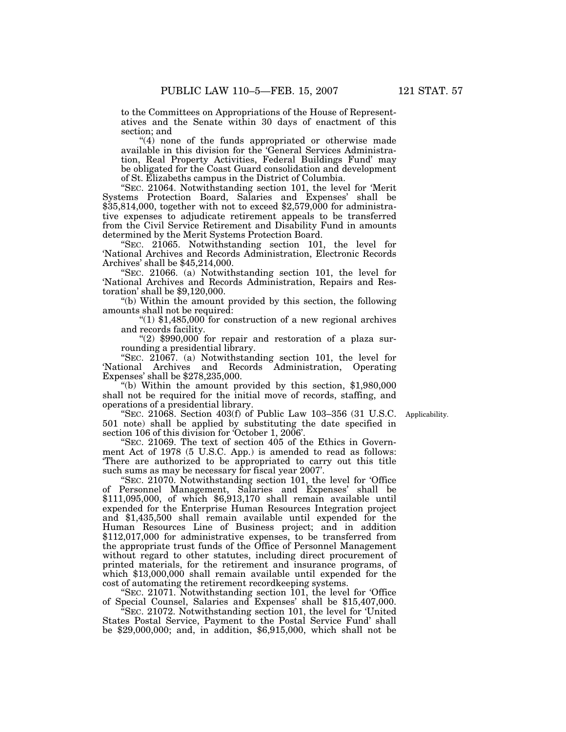to the Committees on Appropriations of the House of Representatives and the Senate within 30 days of enactment of this section; and

''(4) none of the funds appropriated or otherwise made available in this division for the 'General Services Administration, Real Property Activities, Federal Buildings Fund' may be obligated for the Coast Guard consolidation and development of St. Elizabeths campus in the District of Columbia.

''SEC. 21064. Notwithstanding section 101, the level for 'Merit Systems Protection Board, Salaries and Expenses' shall be \$35,814,000, together with not to exceed \$2,579,000 for administrative expenses to adjudicate retirement appeals to be transferred from the Civil Service Retirement and Disability Fund in amounts determined by the Merit Systems Protection Board.

''SEC. 21065. Notwithstanding section 101, the level for 'National Archives and Records Administration, Electronic Records Archives' shall be \$45,214,000.

''SEC. 21066. (a) Notwithstanding section 101, the level for 'National Archives and Records Administration, Repairs and Restoration' shall be \$9,120,000.

''(b) Within the amount provided by this section, the following amounts shall not be required:

" $(1)$  \$1,485,000 for construction of a new regional archives and records facility.

" $(2)$  \$990,000 for repair and restoration of a plaza surrounding a presidential library.

''SEC. 21067. (a) Notwithstanding section 101, the level for 'National Archives and Records Administration, Operating Expenses' shall be \$278,235,000.

''(b) Within the amount provided by this section, \$1,980,000 shall not be required for the initial move of records, staffing, and operations of a presidential library.

"SEC. 21068. Section 403(f) of Public Law 103-356 (31 U.S.C. 501 note) shall be applied by substituting the date specified in section 106 of this division for 'October 1, 2006'.

''SEC. 21069. The text of section 405 of the Ethics in Government Act of 1978 (5 U.S.C. App.) is amended to read as follows: 'There are authorized to be appropriated to carry out this title such sums as may be necessary for fiscal year 2007'.

''SEC. 21070. Notwithstanding section 101, the level for 'Office of Personnel Management, Salaries and Expenses' shall be \$111,095,000, of which \$6,913,170 shall remain available until expended for the Enterprise Human Resources Integration project and \$1,435,500 shall remain available until expended for the Human Resources Line of Business project; and in addition \$112,017,000 for administrative expenses, to be transferred from the appropriate trust funds of the Office of Personnel Management without regard to other statutes, including direct procurement of printed materials, for the retirement and insurance programs, of which \$13,000,000 shall remain available until expended for the cost of automating the retirement recordkeeping systems.

''SEC. 21071. Notwithstanding section 101, the level for 'Office of Special Counsel, Salaries and Expenses' shall be \$15,407,000.

''SEC. 21072. Notwithstanding section 101, the level for 'United States Postal Service, Payment to the Postal Service Fund' shall be \$29,000,000; and, in addition, \$6,915,000, which shall not be

Applicability.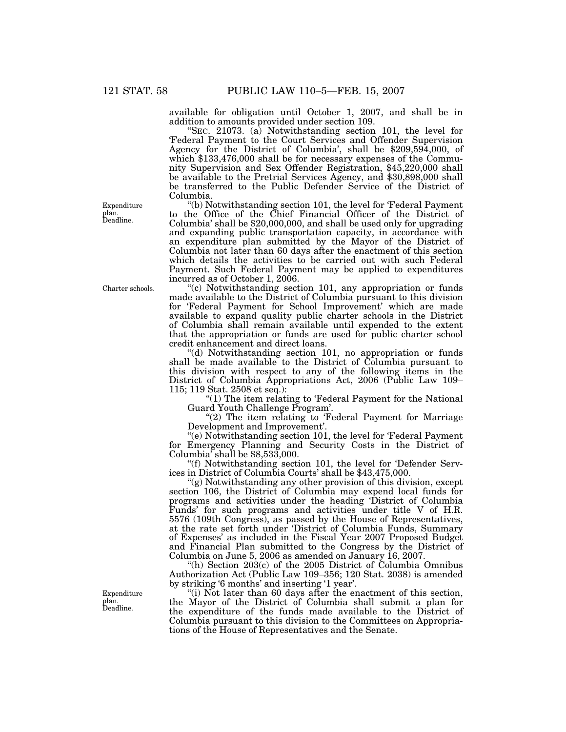available for obligation until October 1, 2007, and shall be in addition to amounts provided under section 109.

''SEC. 21073. (a) Notwithstanding section 101, the level for 'Federal Payment to the Court Services and Offender Supervision Agency for the District of Columbia', shall be \$209,594,000, of which  $$133,476,000$  shall be for necessary expenses of the Community Supervision and Sex Offender Registration, \$45,220,000 shall be available to the Pretrial Services Agency, and \$30,898,000 shall be transferred to the Public Defender Service of the District of Columbia.

''(b) Notwithstanding section 101, the level for 'Federal Payment to the Office of the Chief Financial Officer of the District of Columbia' shall be \$20,000,000, and shall be used only for upgrading and expanding public transportation capacity, in accordance with an expenditure plan submitted by the Mayor of the District of Columbia not later than 60 days after the enactment of this section which details the activities to be carried out with such Federal Payment. Such Federal Payment may be applied to expenditures incurred as of October 1, 2006.

''(c) Notwithstanding section 101, any appropriation or funds made available to the District of Columbia pursuant to this division for 'Federal Payment for School Improvement' which are made available to expand quality public charter schools in the District of Columbia shall remain available until expended to the extent that the appropriation or funds are used for public charter school credit enhancement and direct loans.

''(d) Notwithstanding section 101, no appropriation or funds shall be made available to the District of Columbia pursuant to this division with respect to any of the following items in the District of Columbia Appropriations Act, 2006 (Public Law 109– 115; 119 Stat. 2508 et seq.):

"(1) The item relating to 'Federal Payment for the National Guard Youth Challenge Program'.

" $(2)$  The item relating to 'Federal Payment for Marriage Development and Improvement'.

''(e) Notwithstanding section 101, the level for 'Federal Payment for Emergency Planning and Security Costs in the District of Columbia' shall be \$8,533,000.

''(f) Notwithstanding section 101, the level for 'Defender Services in District of Columbia Courts' shall be \$43,475,000.

''(g) Notwithstanding any other provision of this division, except section 106, the District of Columbia may expend local funds for programs and activities under the heading 'District of Columbia Funds' for such programs and activities under title V of H.R. 5576 (109th Congress), as passed by the House of Representatives, at the rate set forth under 'District of Columbia Funds, Summary of Expenses' as included in the Fiscal Year 2007 Proposed Budget and Financial Plan submitted to the Congress by the District of Columbia on June 5, 2006 as amended on January 16, 2007.

''(h) Section 203(c) of the 2005 District of Columbia Omnibus Authorization Act (Public Law 109–356; 120 Stat. 2038) is amended by striking '6 months' and inserting '1 year'.

"(i) Not later than 60 days after the enactment of this section, the Mayor of the District of Columbia shall submit a plan for the expenditure of the funds made available to the District of Columbia pursuant to this division to the Committees on Appropriations of the House of Representatives and the Senate.

Expenditure plan. Deadline.

Charter schools.

Expenditure plan. Deadline.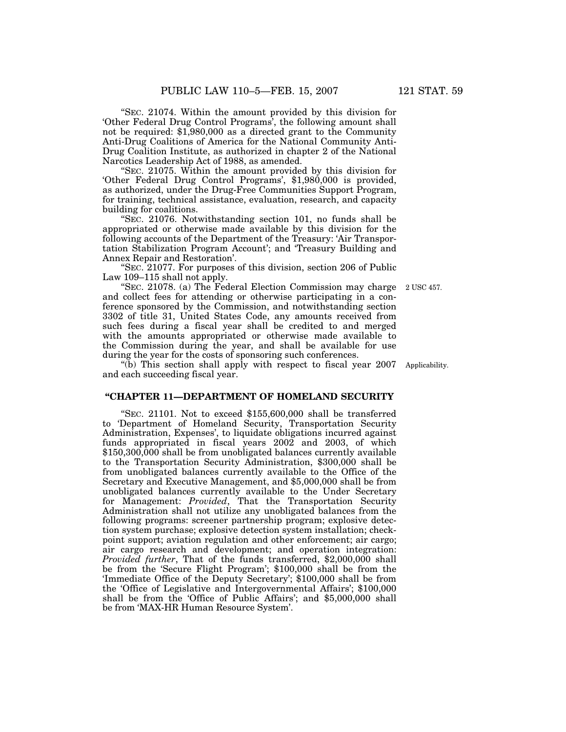''SEC. 21074. Within the amount provided by this division for 'Other Federal Drug Control Programs', the following amount shall not be required: \$1,980,000 as a directed grant to the Community Anti-Drug Coalitions of America for the National Community Anti-Drug Coalition Institute, as authorized in chapter 2 of the National Narcotics Leadership Act of 1988, as amended.

''SEC. 21075. Within the amount provided by this division for 'Other Federal Drug Control Programs', \$1,980,000 is provided, as authorized, under the Drug-Free Communities Support Program, for training, technical assistance, evaluation, research, and capacity building for coalitions.

''SEC. 21076. Notwithstanding section 101, no funds shall be appropriated or otherwise made available by this division for the following accounts of the Department of the Treasury: 'Air Transportation Stabilization Program Account'; and 'Treasury Building and Annex Repair and Restoration'.

''SEC. 21077. For purposes of this division, section 206 of Public Law 109–115 shall not apply.

''SEC. 21078. (a) The Federal Election Commission may charge and collect fees for attending or otherwise participating in a conference sponsored by the Commission, and notwithstanding section 3302 of title 31, United States Code, any amounts received from such fees during a fiscal year shall be credited to and merged with the amounts appropriated or otherwise made available to the Commission during the year, and shall be available for use during the year for the costs of sponsoring such conferences. 2 USC 457.

''(b) This section shall apply with respect to fiscal year 2007 Applicability. and each succeeding fiscal year.

### **''CHAPTER 11—DEPARTMENT OF HOMELAND SECURITY**

''SEC. 21101. Not to exceed \$155,600,000 shall be transferred to 'Department of Homeland Security, Transportation Security Administration, Expenses', to liquidate obligations incurred against funds appropriated in fiscal years 2002 and 2003, of which  $$150,300,000$  shall be from unobligated balances currently available to the Transportation Security Administration, \$300,000 shall be from unobligated balances currently available to the Office of the Secretary and Executive Management, and \$5,000,000 shall be from unobligated balances currently available to the Under Secretary for Management: *Provided*, That the Transportation Security Administration shall not utilize any unobligated balances from the following programs: screener partnership program; explosive detection system purchase; explosive detection system installation; checkpoint support; aviation regulation and other enforcement; air cargo; air cargo research and development; and operation integration: *Provided further*, That of the funds transferred, \$2,000,000 shall be from the 'Secure Flight Program'; \$100,000 shall be from the 'Immediate Office of the Deputy Secretary'; \$100,000 shall be from the 'Office of Legislative and Intergovernmental Affairs'; \$100,000 shall be from the 'Office of Public Affairs'; and \$5,000,000 shall be from 'MAX-HR Human Resource System'.